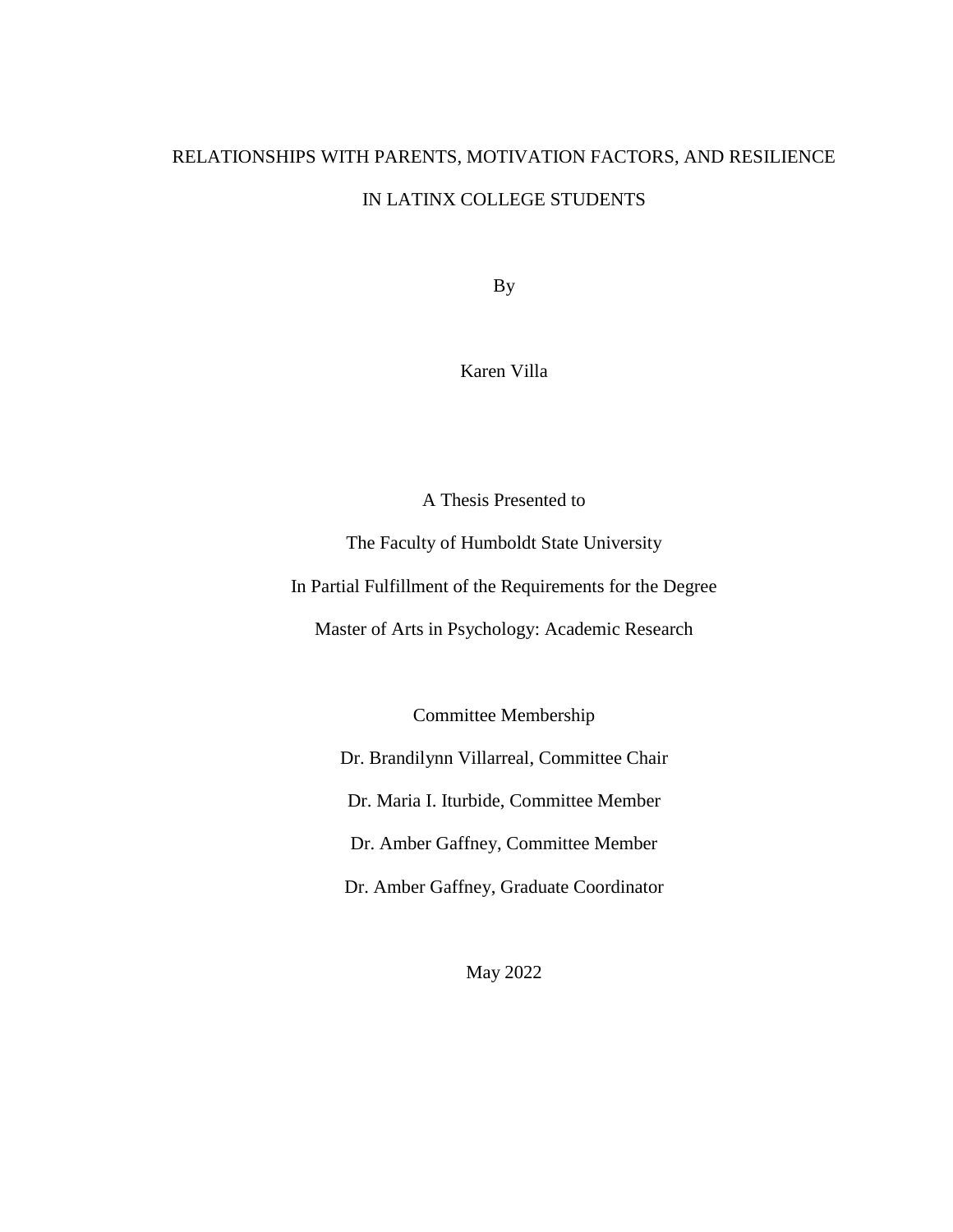# RELATIONSHIPS WITH PARENTS, MOTIVATION FACTORS, AND RESILIENCE IN LATINX COLLEGE STUDENTS

By

Karen Villa

A Thesis Presented to

The Faculty of Humboldt State University

In Partial Fulfillment of the Requirements for the Degree

Master of Arts in Psychology: Academic Research

Committee Membership

Dr. Brandilynn Villarreal, Committee Chair

Dr. Maria I. Iturbide, Committee Member

Dr. Amber Gaffney, Committee Member

Dr. Amber Gaffney, Graduate Coordinator

May 2022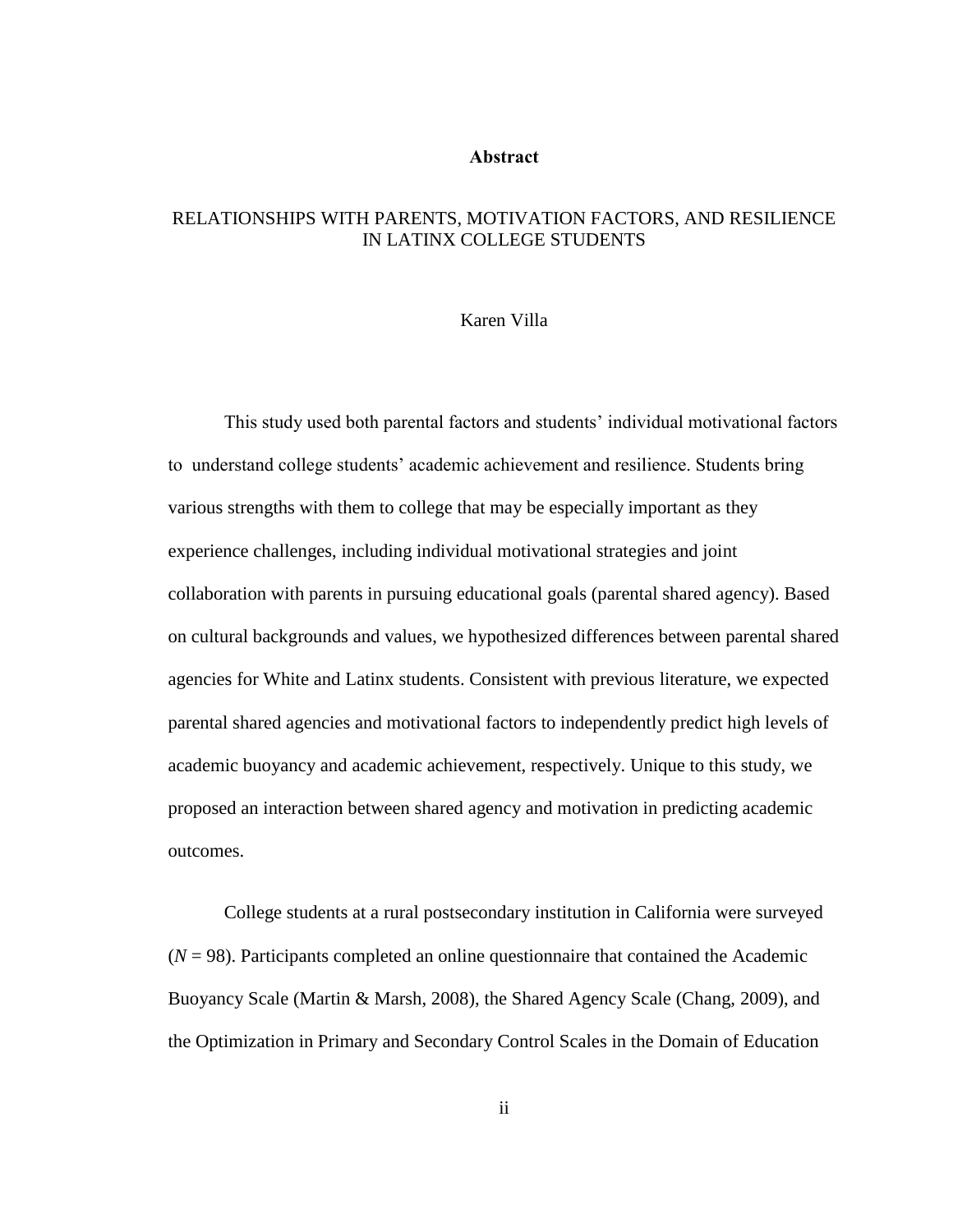#### **Abstract**

#### <span id="page-1-0"></span>RELATIONSHIPS WITH PARENTS, MOTIVATION FACTORS, AND RESILIENCE IN LATINX COLLEGE STUDENTS

#### Karen Villa

This study used both parental factors and students' individual motivational factors to understand college students' academic achievement and resilience. Students bring various strengths with them to college that may be especially important as they experience challenges, including individual motivational strategies and joint collaboration with parents in pursuing educational goals (parental shared agency). Based on cultural backgrounds and values, we hypothesized differences between parental shared agencies for White and Latinx students. Consistent with previous literature, we expected parental shared agencies and motivational factors to independently predict high levels of academic buoyancy and academic achievement, respectively. Unique to this study, we proposed an interaction between shared agency and motivation in predicting academic outcomes.

College students at a rural postsecondary institution in California were surveyed  $(N = 98)$ . Participants completed an online questionnaire that contained the Academic Buoyancy Scale (Martin & Marsh, 2008), the Shared Agency Scale (Chang, 2009), and the Optimization in Primary and Secondary Control Scales in the Domain of Education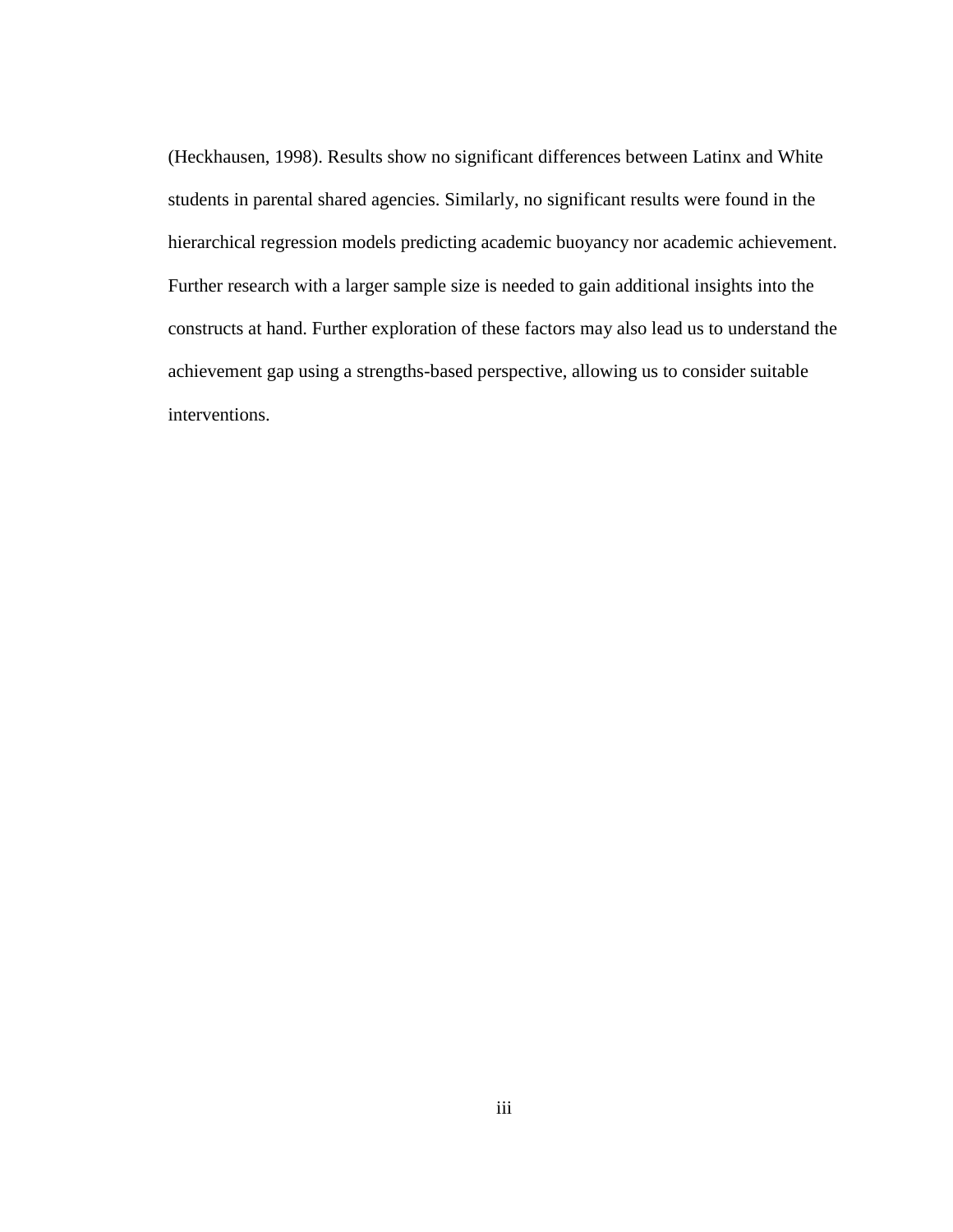(Heckhausen, 1998). Results show no significant differences between Latinx and White students in parental shared agencies. Similarly, no significant results were found in the hierarchical regression models predicting academic buoyancy nor academic achievement. Further research with a larger sample size is needed to gain additional insights into the constructs at hand. Further exploration of these factors may also lead us to understand the achievement gap using a strengths-based perspective, allowing us to consider suitable interventions.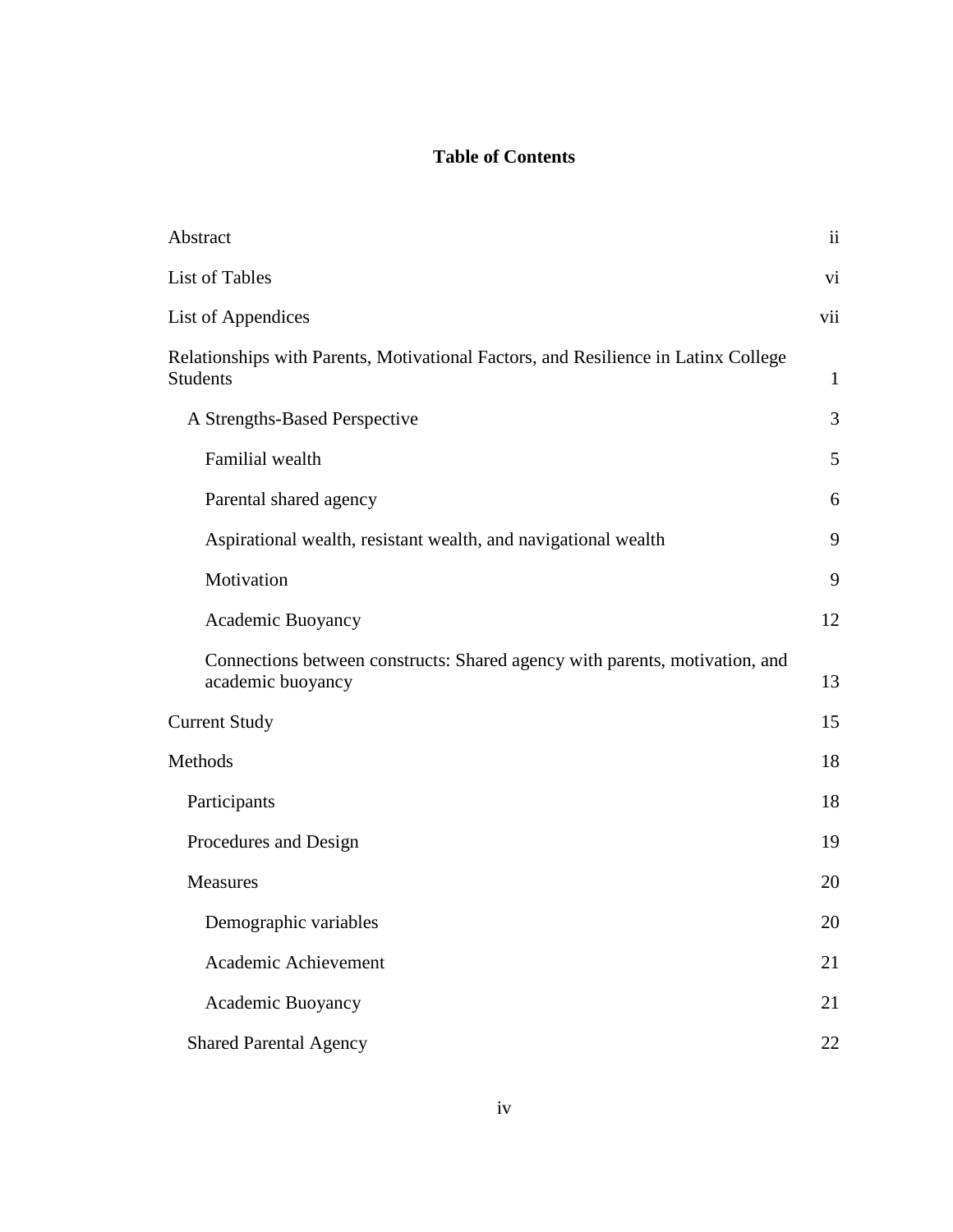## **Table of Contents**

| Abstract                                                                                              | $\mathbf{ii}$ |
|-------------------------------------------------------------------------------------------------------|---------------|
| List of Tables                                                                                        | vi            |
| List of Appendices                                                                                    | vii           |
| Relationships with Parents, Motivational Factors, and Resilience in Latinx College<br><b>Students</b> | $\mathbf{1}$  |
| A Strengths-Based Perspective                                                                         | 3             |
| Familial wealth                                                                                       | 5             |
| Parental shared agency                                                                                | 6             |
| Aspirational wealth, resistant wealth, and navigational wealth                                        | 9             |
| Motivation                                                                                            | 9             |
| Academic Buoyancy                                                                                     | 12            |
| Connections between constructs: Shared agency with parents, motivation, and<br>academic buoyancy      | 13            |
| <b>Current Study</b>                                                                                  | 15            |
| Methods                                                                                               | 18            |
| Participants                                                                                          | 18            |
| Procedures and Design                                                                                 | 19            |
| <b>Measures</b>                                                                                       | 20            |
| Demographic variables                                                                                 | 20            |
| Academic Achievement                                                                                  | 21            |
| Academic Buoyancy                                                                                     | 21            |
| <b>Shared Parental Agency</b>                                                                         | 22            |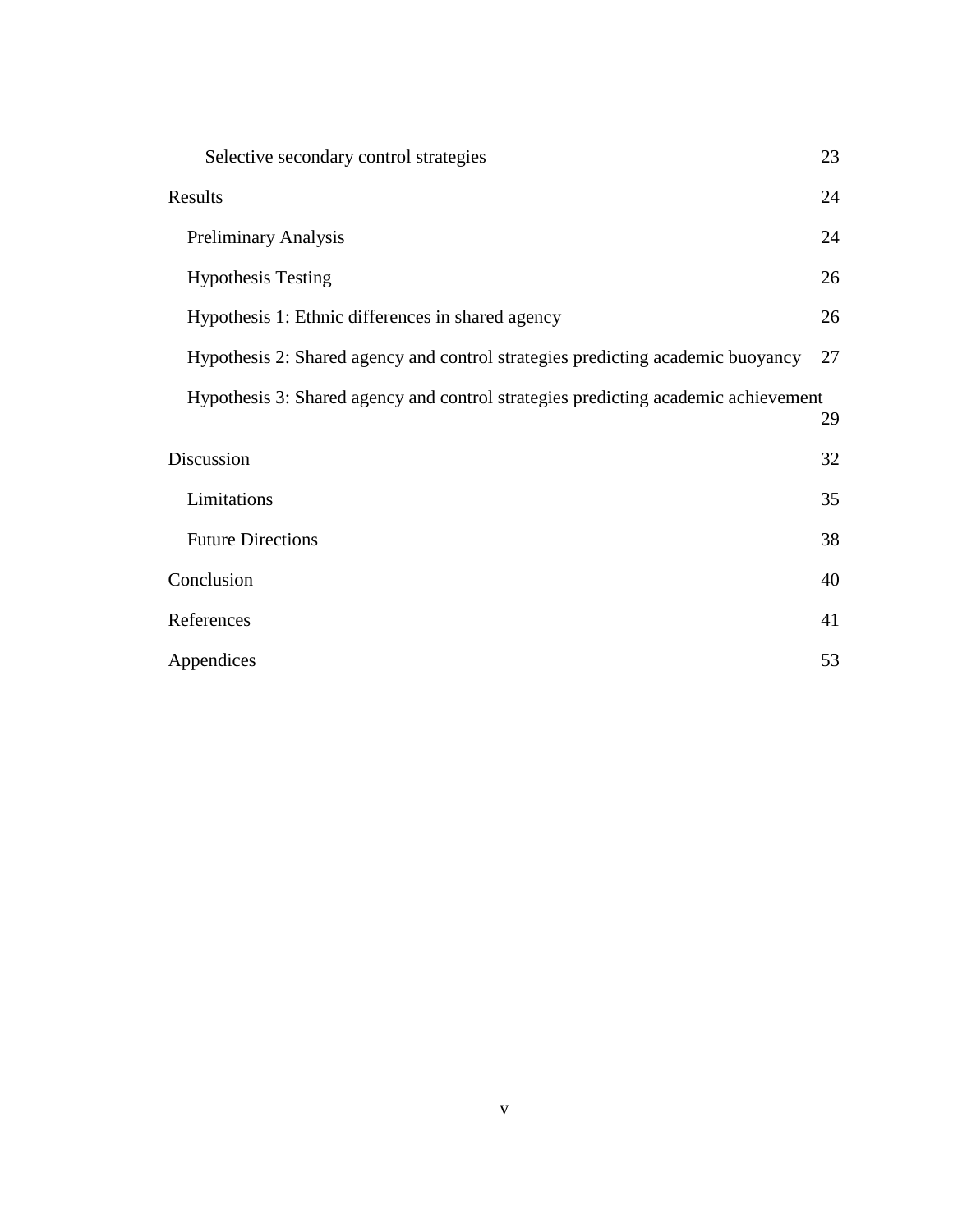| Selective secondary control strategies                                             | 23 |
|------------------------------------------------------------------------------------|----|
| Results                                                                            | 24 |
| <b>Preliminary Analysis</b>                                                        | 24 |
| <b>Hypothesis Testing</b>                                                          | 26 |
| Hypothesis 1: Ethnic differences in shared agency                                  | 26 |
| Hypothesis 2: Shared agency and control strategies predicting academic buoyancy    | 27 |
| Hypothesis 3: Shared agency and control strategies predicting academic achievement | 29 |
| Discussion                                                                         | 32 |
| Limitations                                                                        | 35 |
| <b>Future Directions</b>                                                           | 38 |
| Conclusion                                                                         | 40 |
| References                                                                         | 41 |
| Appendices                                                                         | 53 |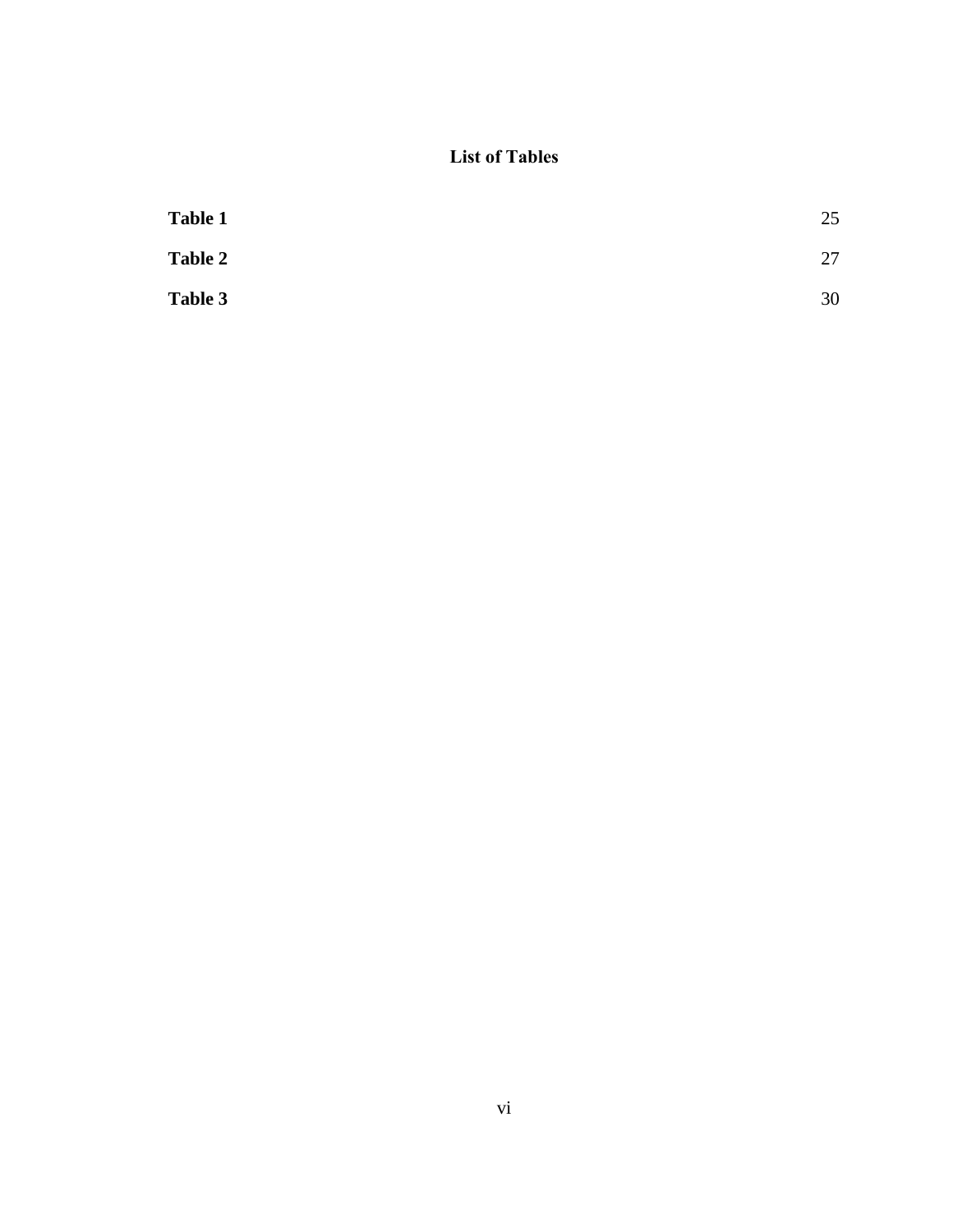## **List of Tables**

<span id="page-5-0"></span>

| <b>Table 1</b> | 25 |
|----------------|----|
| <b>Table 2</b> | 27 |
| Table 3        | 30 |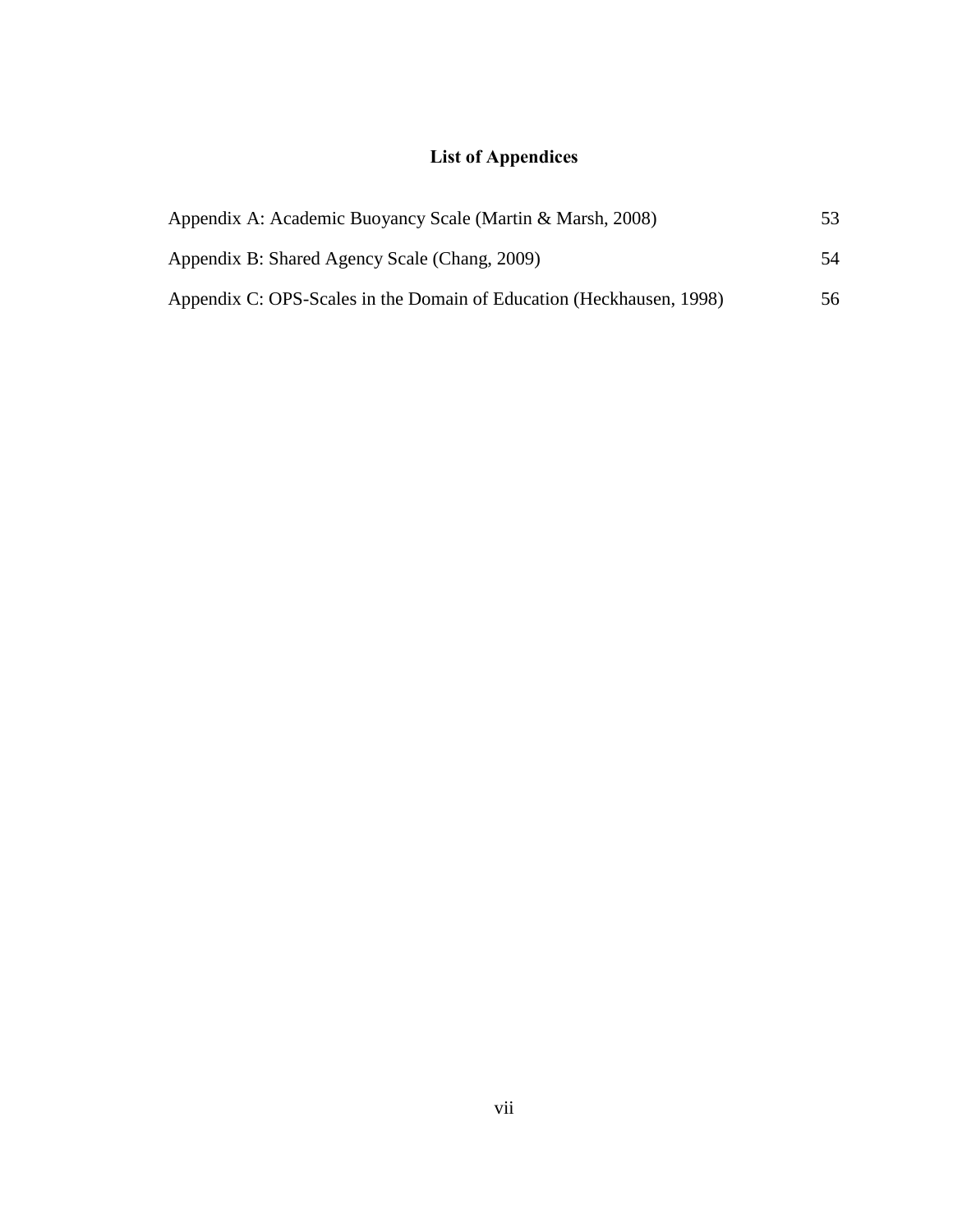## **List of Appendices**

<span id="page-6-0"></span>

| Appendix A: Academic Buoyancy Scale (Martin & Marsh, 2008)           | 53 |
|----------------------------------------------------------------------|----|
| Appendix B: Shared Agency Scale (Chang, 2009)                        | 54 |
| Appendix C: OPS-Scales in the Domain of Education (Heckhausen, 1998) | 56 |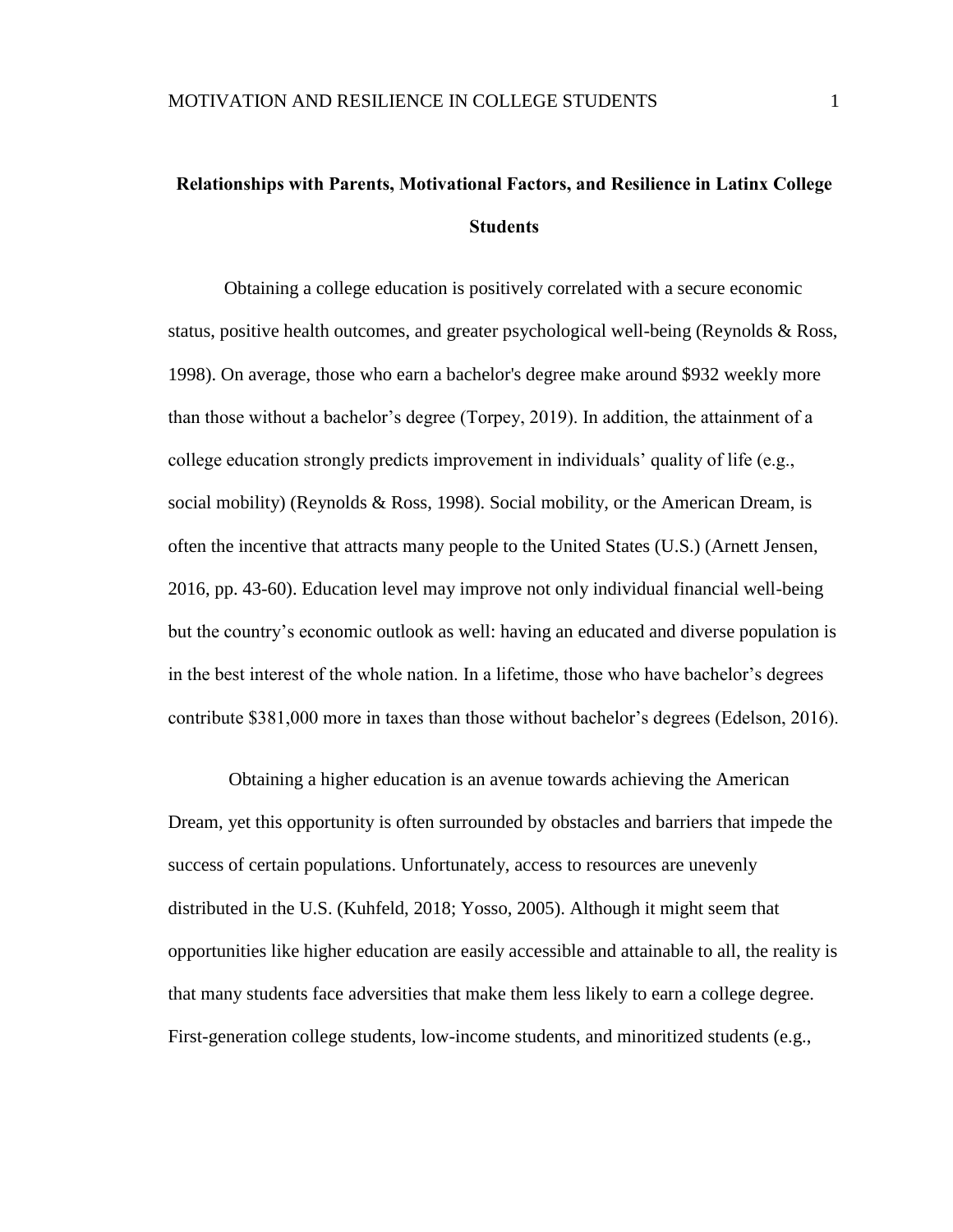# <span id="page-7-0"></span>**Relationships with Parents, Motivational Factors, and Resilience in Latinx College Students**

Obtaining a college education is positively correlated with a secure economic status, positive health outcomes, and greater psychological well-being (Reynolds & Ross, 1998). On average, those who earn a bachelor's degree make around \$932 weekly more than those without a bachelor's degree (Torpey, 2019). In addition, the attainment of a college education strongly predicts improvement in individuals' quality of life (e.g., social mobility) (Reynolds  $\&$  Ross, 1998). Social mobility, or the American Dream, is often the incentive that attracts many people to the United States (U.S.) (Arnett Jensen, 2016, pp. 43-60). Education level may improve not only individual financial well-being but the country's economic outlook as well: having an educated and diverse population is in the best interest of the whole nation. In a lifetime, those who have bachelor's degrees contribute \$381,000 more in taxes than those without bachelor's degrees (Edelson, 2016).

Obtaining a higher education is an avenue towards achieving the American Dream, yet this opportunity is often surrounded by obstacles and barriers that impede the success of certain populations. Unfortunately, access to resources are unevenly distributed in the U.S. (Kuhfeld, 2018; Yosso, 2005). Although it might seem that opportunities like higher education are easily accessible and attainable to all, the reality is that many students face adversities that make them less likely to earn a college degree. First-generation college students, low-income students, and minoritized students (e.g.,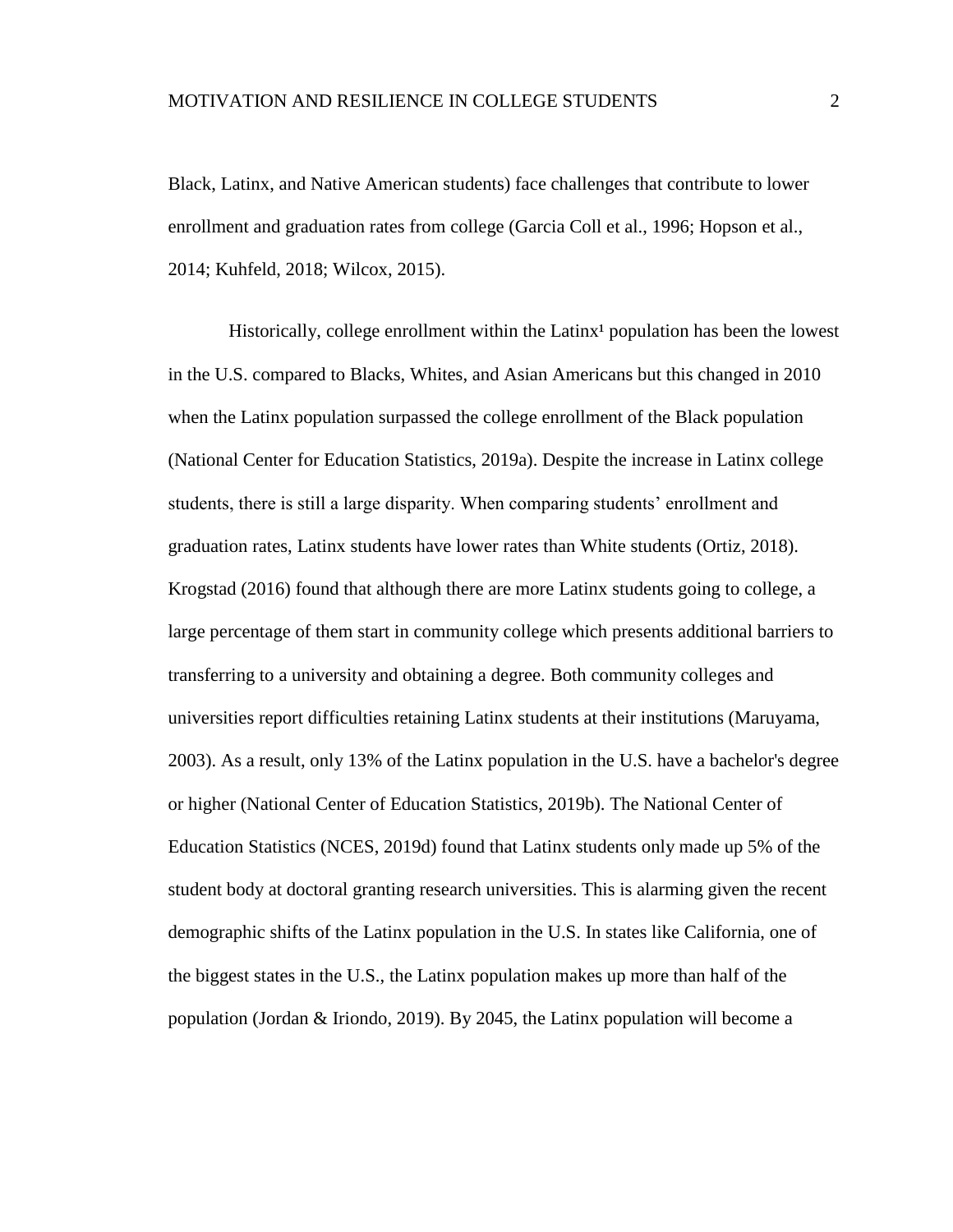Black, Latinx, and Native American students) face challenges that contribute to lower enrollment and graduation rates from college (Garcia Coll et al., 1996; Hopson et al., 2014; Kuhfeld, 2018; Wilcox, 2015).

Historically, college enrollment within the Latinx<sup>1</sup> population has been the lowest in the U.S. compared to Blacks, Whites, and Asian Americans but this changed in 2010 when the Latinx population surpassed the college enrollment of the Black population (National Center for Education Statistics, 2019a). Despite the increase in Latinx college students, there is still a large disparity. When comparing students' enrollment and graduation rates, Latinx students have lower rates than White students (Ortiz, 2018). Krogstad (2016) found that although there are more Latinx students going to college, a large percentage of them start in community college which presents additional barriers to transferring to a university and obtaining a degree. Both community colleges and universities report difficulties retaining Latinx students at their institutions (Maruyama, 2003). As a result, only 13% of the Latinx population in the U.S. have a bachelor's degree or higher (National Center of Education Statistics, 2019b). The National Center of Education Statistics (NCES, 2019d) found that Latinx students only made up 5% of the student body at doctoral granting research universities. This is alarming given the recent demographic shifts of the Latinx population in the U.S. In states like California, one of the biggest states in the U.S., the Latinx population makes up more than half of the population (Jordan & Iriondo, 2019). By 2045, the Latinx population will become a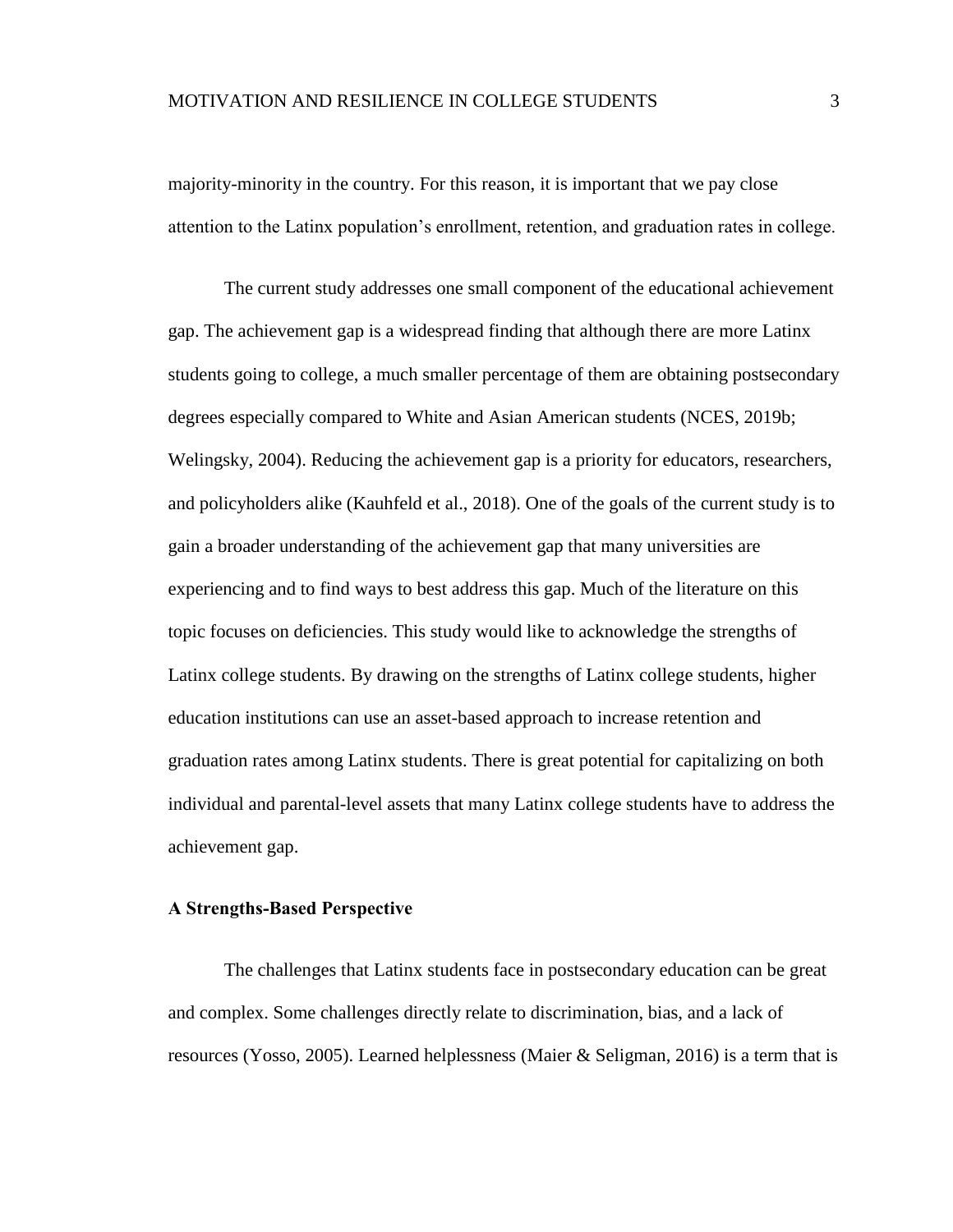majority-minority in the country. For this reason, it is important that we pay close attention to the Latinx population's enrollment, retention, and graduation rates in college.

The current study addresses one small component of the educational achievement gap. The achievement gap is a widespread finding that although there are more Latinx students going to college, a much smaller percentage of them are obtaining postsecondary degrees especially compared to White and Asian American students (NCES, 2019b; Welingsky, 2004). Reducing the achievement gap is a priority for educators, researchers, and policyholders alike (Kauhfeld et al., 2018). One of the goals of the current study is to gain a broader understanding of the achievement gap that many universities are experiencing and to find ways to best address this gap. Much of the literature on this topic focuses on deficiencies. This study would like to acknowledge the strengths of Latinx college students. By drawing on the strengths of Latinx college students, higher education institutions can use an asset-based approach to increase retention and graduation rates among Latinx students. There is great potential for capitalizing on both individual and parental-level assets that many Latinx college students have to address the achievement gap.

#### <span id="page-9-0"></span>**A Strengths-Based Perspective**

The challenges that Latinx students face in postsecondary education can be great and complex. Some challenges directly relate to discrimination, bias, and a lack of resources (Yosso, 2005). Learned helplessness (Maier & Seligman, 2016) is a term that is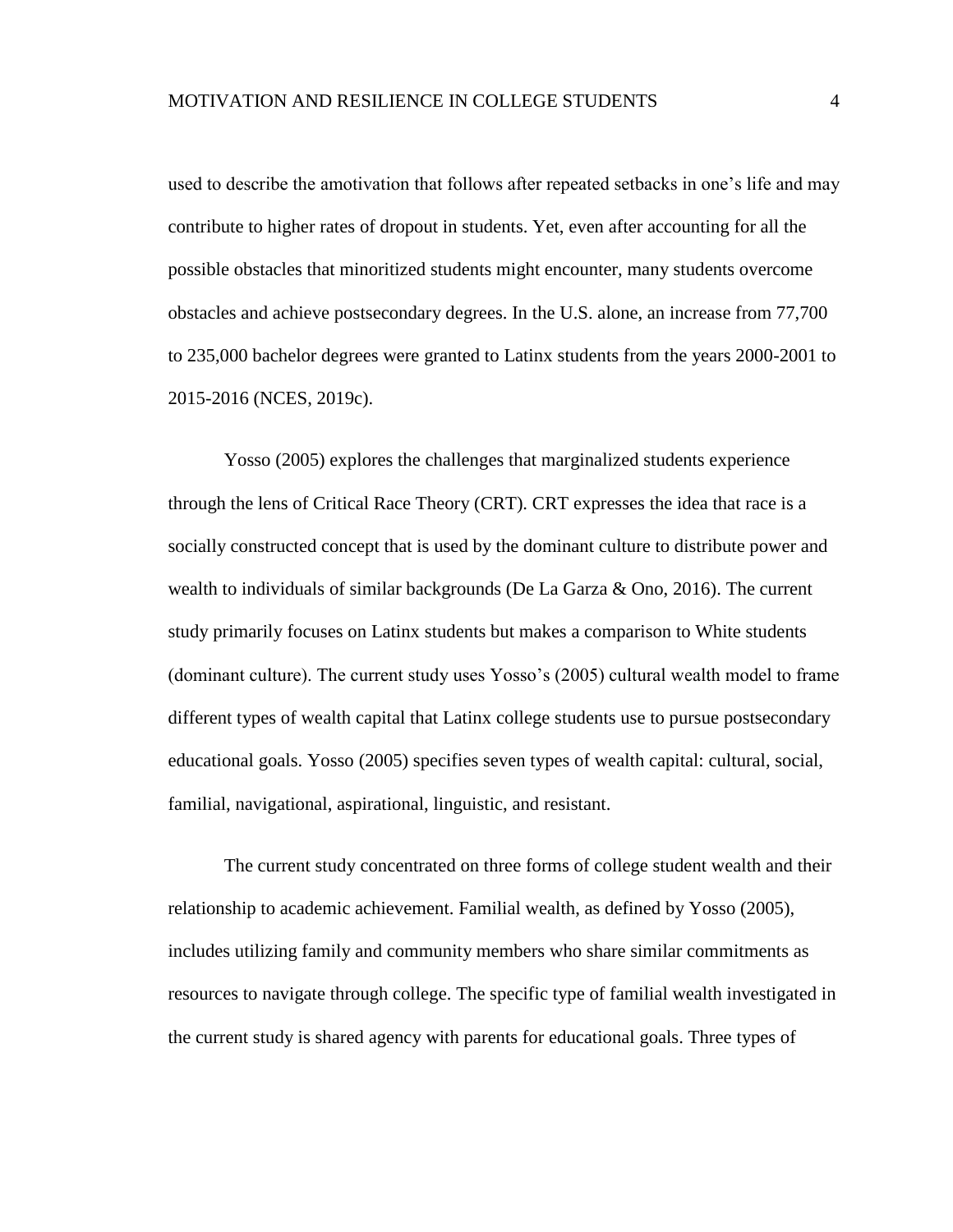used to describe the amotivation that follows after repeated setbacks in one's life and may contribute to higher rates of dropout in students. Yet, even after accounting for all the possible obstacles that minoritized students might encounter, many students overcome obstacles and achieve postsecondary degrees. In the U.S. alone, an increase from 77,700 to 235,000 bachelor degrees were granted to Latinx students from the years 2000-2001 to 2015-2016 (NCES, 2019c).

Yosso (2005) explores the challenges that marginalized students experience through the lens of Critical Race Theory (CRT). CRT expresses the idea that race is a socially constructed concept that is used by the dominant culture to distribute power and wealth to individuals of similar backgrounds (De La Garza & Ono, 2016). The current study primarily focuses on Latinx students but makes a comparison to White students (dominant culture). The current study uses Yosso's (2005) cultural wealth model to frame different types of wealth capital that Latinx college students use to pursue postsecondary educational goals. Yosso (2005) specifies seven types of wealth capital: cultural, social, familial, navigational, aspirational, linguistic, and resistant.

The current study concentrated on three forms of college student wealth and their relationship to academic achievement. Familial wealth, as defined by Yosso (2005), includes utilizing family and community members who share similar commitments as resources to navigate through college. The specific type of familial wealth investigated in the current study is shared agency with parents for educational goals. Three types of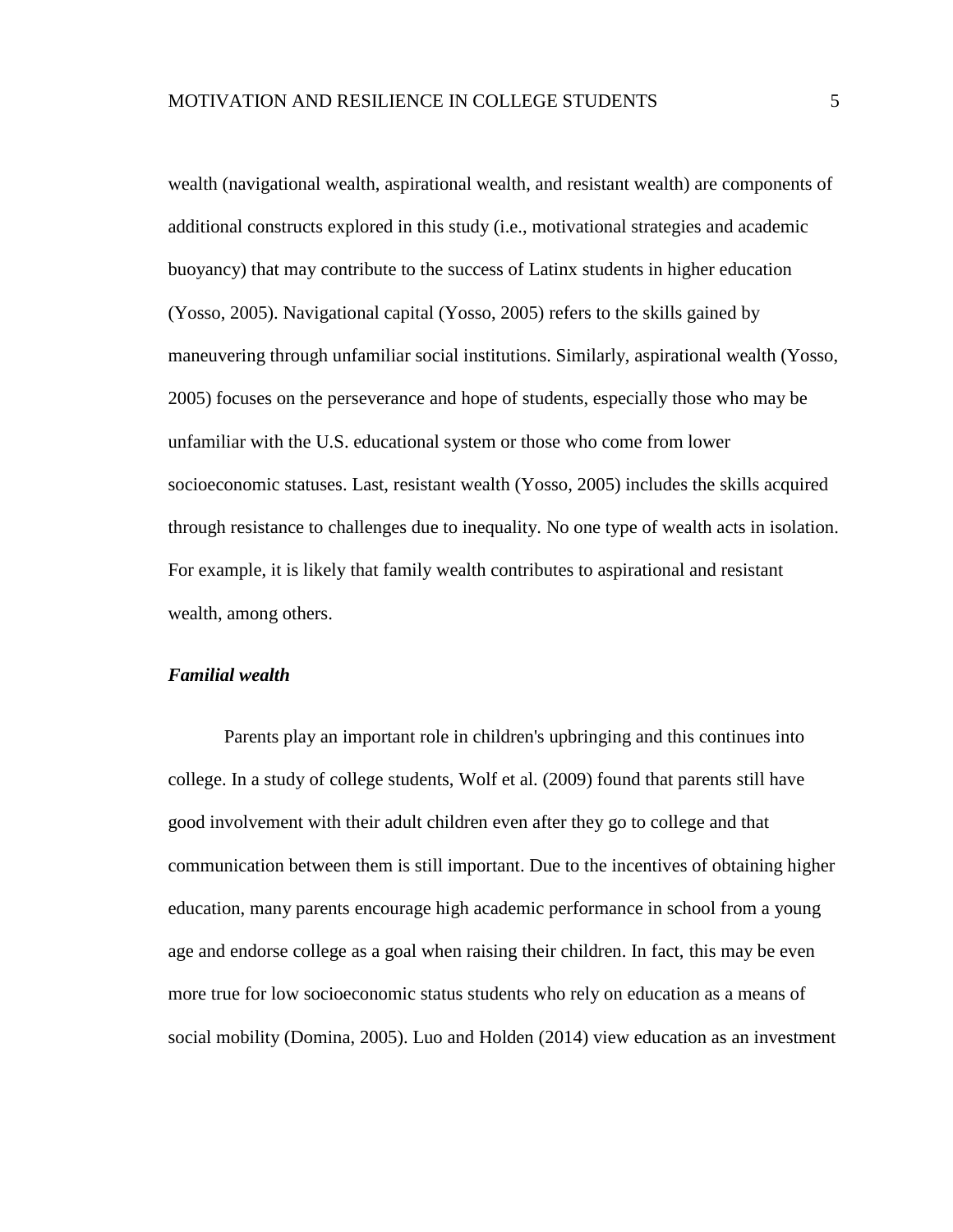wealth (navigational wealth, aspirational wealth, and resistant wealth) are components of additional constructs explored in this study (i.e., motivational strategies and academic buoyancy) that may contribute to the success of Latinx students in higher education (Yosso, 2005). Navigational capital (Yosso, 2005) refers to the skills gained by maneuvering through unfamiliar social institutions. Similarly, aspirational wealth (Yosso, 2005) focuses on the perseverance and hope of students, especially those who may be unfamiliar with the U.S. educational system or those who come from lower socioeconomic statuses. Last, resistant wealth (Yosso, 2005) includes the skills acquired through resistance to challenges due to inequality. No one type of wealth acts in isolation. For example, it is likely that family wealth contributes to aspirational and resistant wealth, among others.

#### <span id="page-11-0"></span>*Familial wealth*

Parents play an important role in children's upbringing and this continues into college. In a study of college students, Wolf et al. (2009) found that parents still have good involvement with their adult children even after they go to college and that communication between them is still important. Due to the incentives of obtaining higher education, many parents encourage high academic performance in school from a young age and endorse college as a goal when raising their children. In fact, this may be even more true for low socioeconomic status students who rely on education as a means of social mobility (Domina, 2005). Luo and Holden (2014) view education as an investment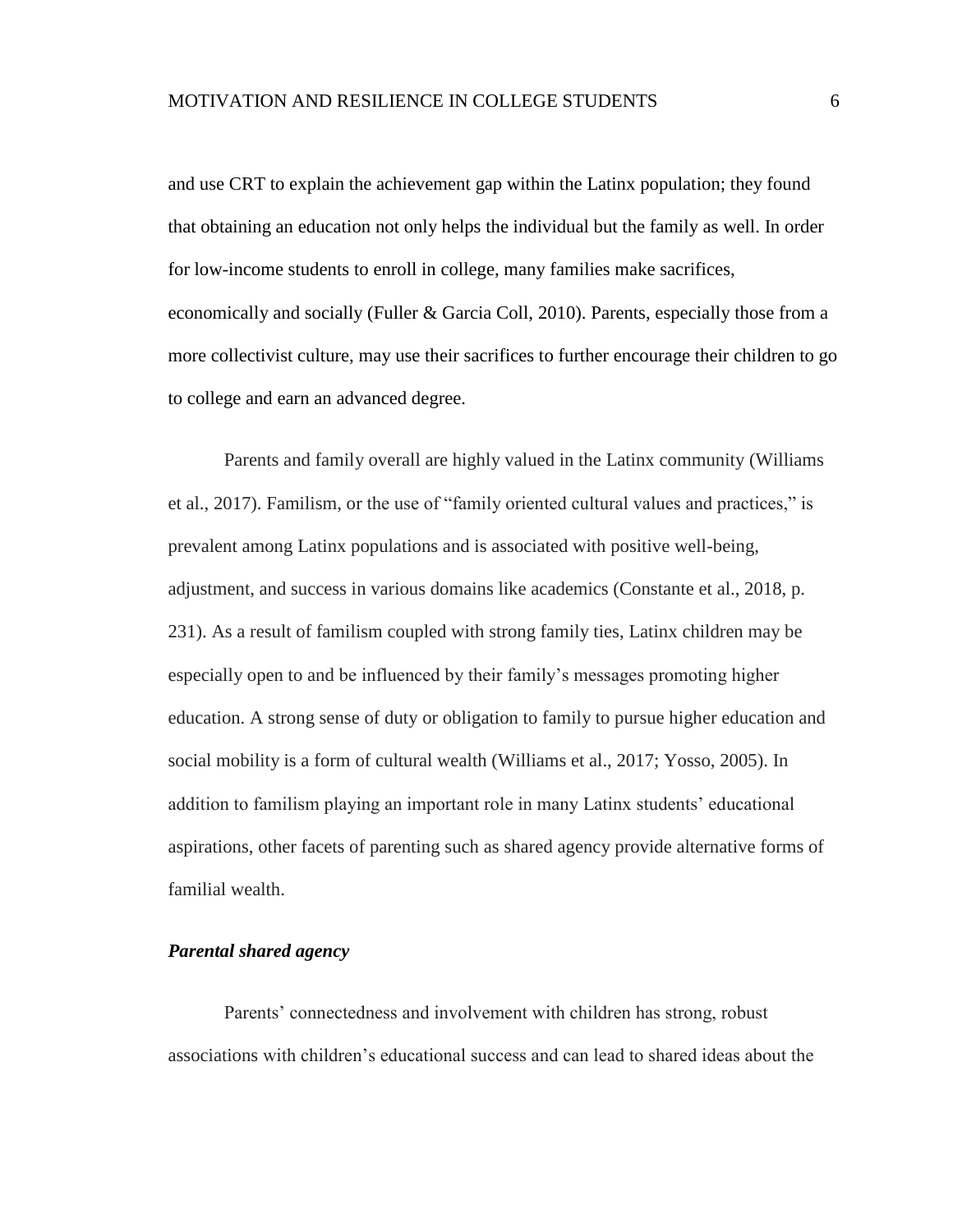and use CRT to explain the achievement gap within the Latinx population; they found that obtaining an education not only helps the individual but the family as well. In order for low-income students to enroll in college, many families make sacrifices, economically and socially (Fuller & Garcia Coll, 2010). Parents, especially those from a more collectivist culture, may use their sacrifices to further encourage their children to go to college and earn an advanced degree.

Parents and family overall are highly valued in the Latinx community (Williams et al., 2017). Familism, or the use of "family oriented cultural values and practices," is prevalent among Latinx populations and is associated with positive well-being, adjustment, and success in various domains like academics (Constante et al., 2018, p. 231). As a result of familism coupled with strong family ties, Latinx children may be especially open to and be influenced by their family's messages promoting higher education. A strong sense of duty or obligation to family to pursue higher education and social mobility is a form of cultural wealth (Williams et al., 2017; Yosso, 2005). In addition to familism playing an important role in many Latinx students' educational aspirations, other facets of parenting such as shared agency provide alternative forms of familial wealth.

#### <span id="page-12-0"></span>*Parental shared agency*

Parents' connectedness and involvement with children has strong, robust associations with children's educational success and can lead to shared ideas about the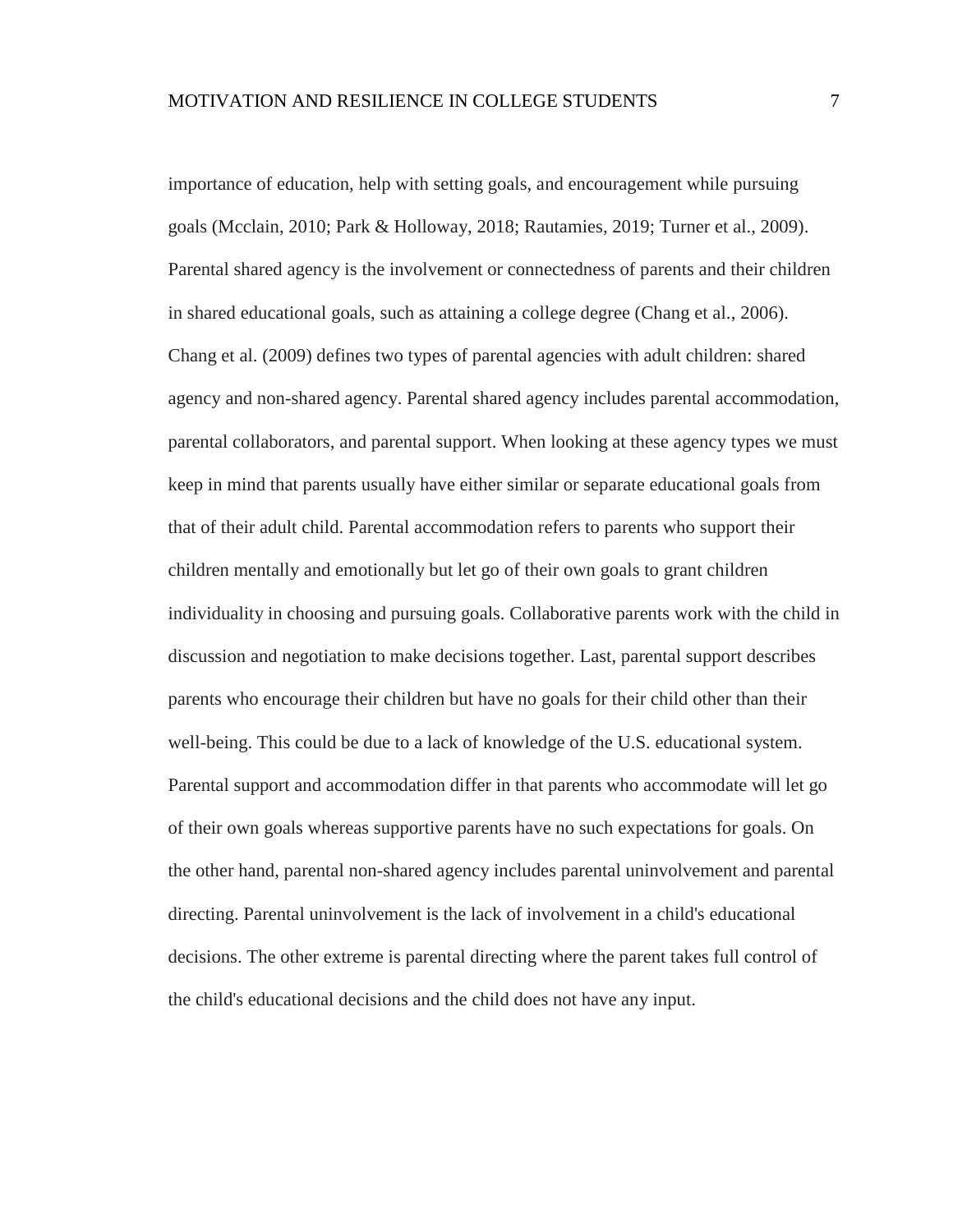importance of education, help with setting goals, and encouragement while pursuing goals (Mcclain, 2010; Park & Holloway, 2018; Rautamies, 2019; Turner et al., 2009). Parental shared agency is the involvement or connectedness of parents and their children in shared educational goals, such as attaining a college degree (Chang et al., 2006). Chang et al. (2009) defines two types of parental agencies with adult children: shared agency and non-shared agency. Parental shared agency includes parental accommodation, parental collaborators, and parental support. When looking at these agency types we must keep in mind that parents usually have either similar or separate educational goals from that of their adult child. Parental accommodation refers to parents who support their children mentally and emotionally but let go of their own goals to grant children individuality in choosing and pursuing goals. Collaborative parents work with the child in discussion and negotiation to make decisions together. Last, parental support describes parents who encourage their children but have no goals for their child other than their well-being. This could be due to a lack of knowledge of the U.S. educational system. Parental support and accommodation differ in that parents who accommodate will let go of their own goals whereas supportive parents have no such expectations for goals. On the other hand, parental non-shared agency includes parental uninvolvement and parental directing. Parental uninvolvement is the lack of involvement in a child's educational decisions. The other extreme is parental directing where the parent takes full control of the child's educational decisions and the child does not have any input.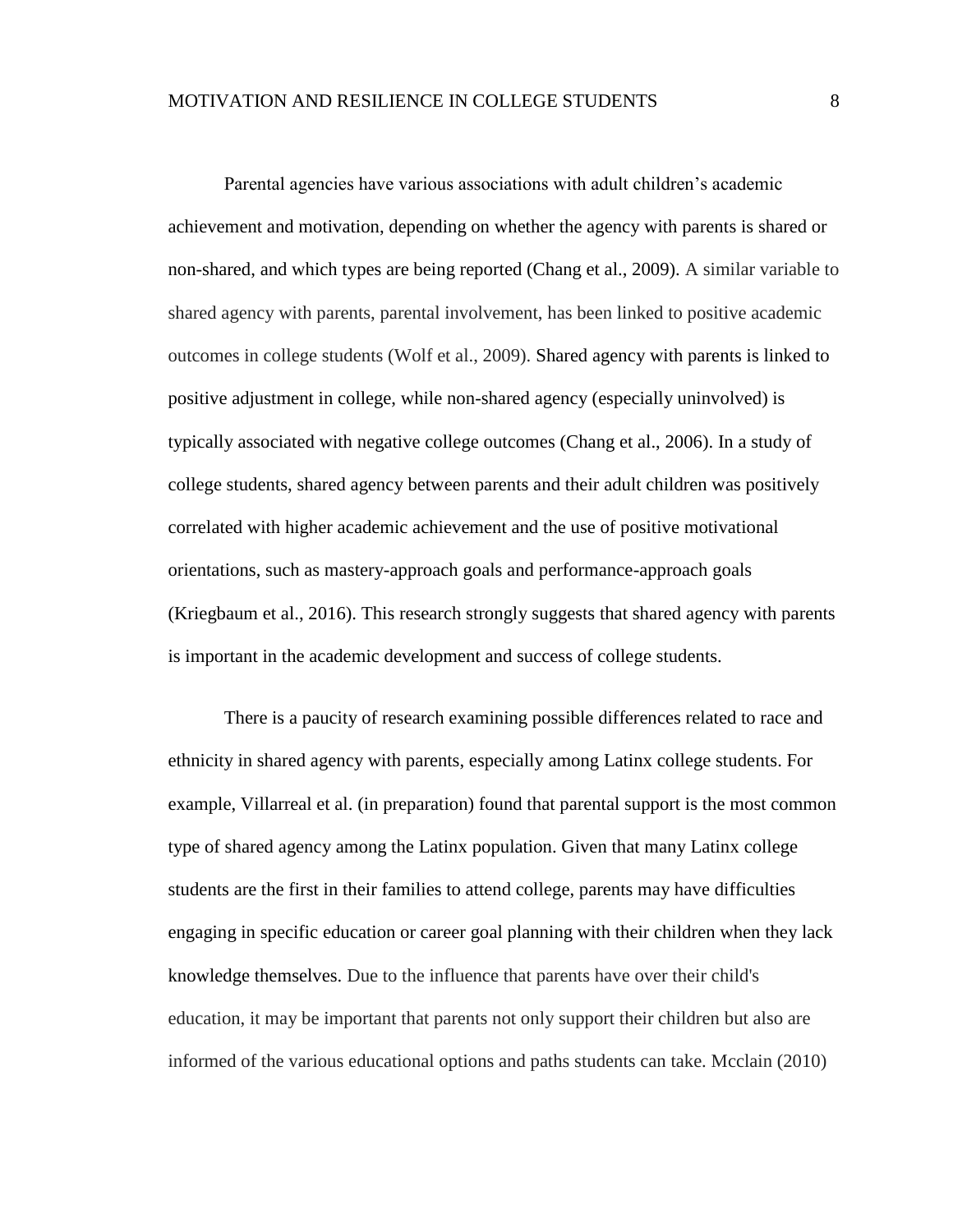Parental agencies have various associations with adult children's academic achievement and motivation, depending on whether the agency with parents is shared or non-shared, and which types are being reported (Chang et al., 2009). A similar variable to shared agency with parents, parental involvement, has been linked to positive academic outcomes in college students (Wolf et al., 2009). Shared agency with parents is linked to positive adjustment in college, while non-shared agency (especially uninvolved) is typically associated with negative college outcomes (Chang et al., 2006). In a study of college students, shared agency between parents and their adult children was positively correlated with higher academic achievement and the use of positive motivational orientations, such as mastery-approach goals and performance-approach goals (Kriegbaum et al., 2016). This research strongly suggests that shared agency with parents is important in the academic development and success of college students.

There is a paucity of research examining possible differences related to race and ethnicity in shared agency with parents, especially among Latinx college students. For example, Villarreal et al. (in preparation) found that parental support is the most common type of shared agency among the Latinx population. Given that many Latinx college students are the first in their families to attend college, parents may have difficulties engaging in specific education or career goal planning with their children when they lack knowledge themselves. Due to the influence that parents have over their child's education, it may be important that parents not only support their children but also are informed of the various educational options and paths students can take. Mcclain (2010)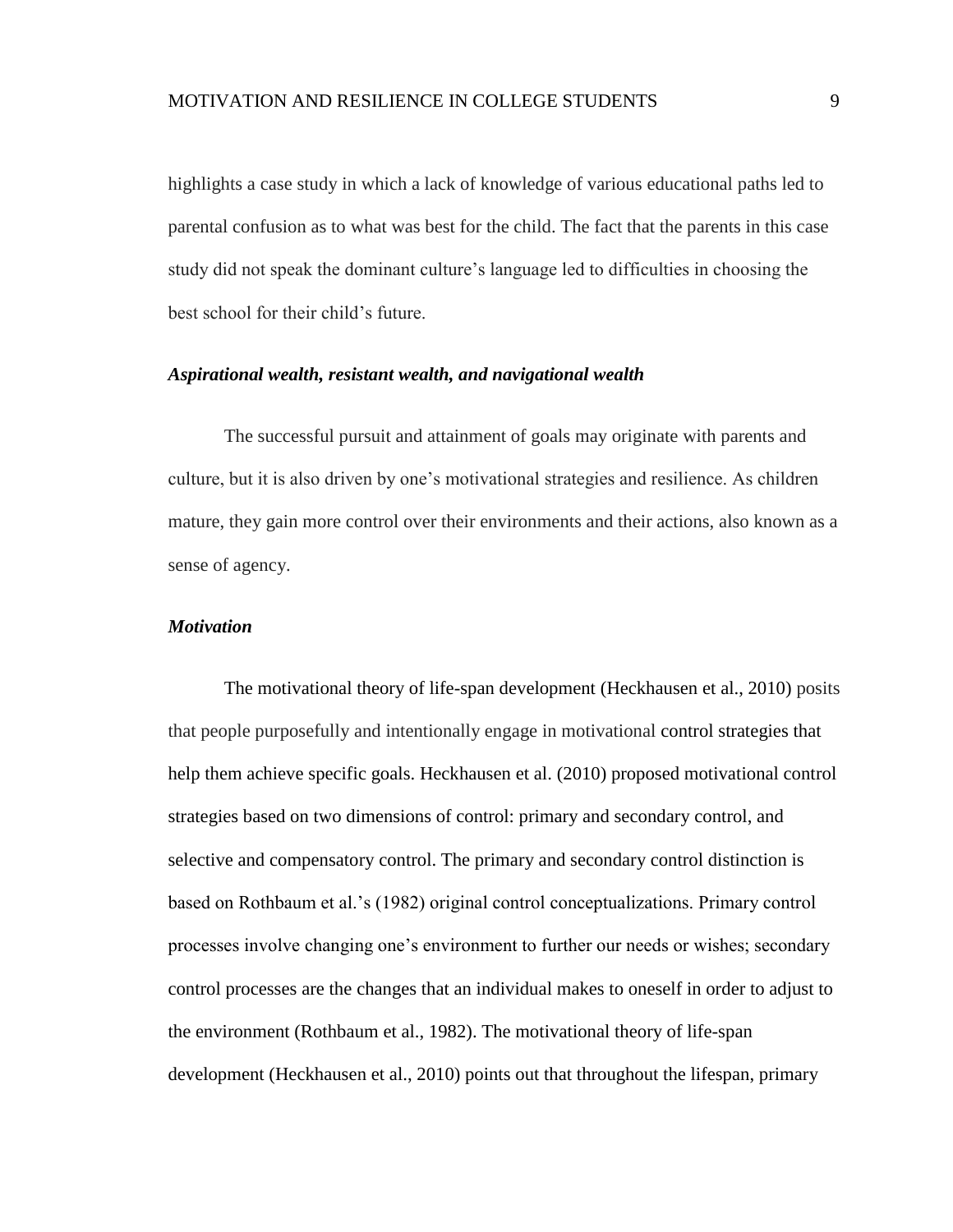highlights a case study in which a lack of knowledge of various educational paths led to parental confusion as to what was best for the child. The fact that the parents in this case study did not speak the dominant culture's language led to difficulties in choosing the best school for their child's future.

#### <span id="page-15-0"></span>*Aspirational wealth, resistant wealth, and navigational wealth*

The successful pursuit and attainment of goals may originate with parents and culture, but it is also driven by one's motivational strategies and resilience. As children mature, they gain more control over their environments and their actions, also known as a sense of agency.

#### <span id="page-15-1"></span>*Motivation*

The motivational theory of life-span development (Heckhausen et al., 2010) posits that people purposefully and intentionally engage in motivational control strategies that help them achieve specific goals. Heckhausen et al. (2010) proposed motivational control strategies based on two dimensions of control: primary and secondary control, and selective and compensatory control. The primary and secondary control distinction is based on Rothbaum et al.'s (1982) original control conceptualizations. Primary control processes involve changing one's environment to further our needs or wishes; secondary control processes are the changes that an individual makes to oneself in order to adjust to the environment (Rothbaum et al., 1982). The motivational theory of life-span development (Heckhausen et al., 2010) points out that throughout the lifespan, primary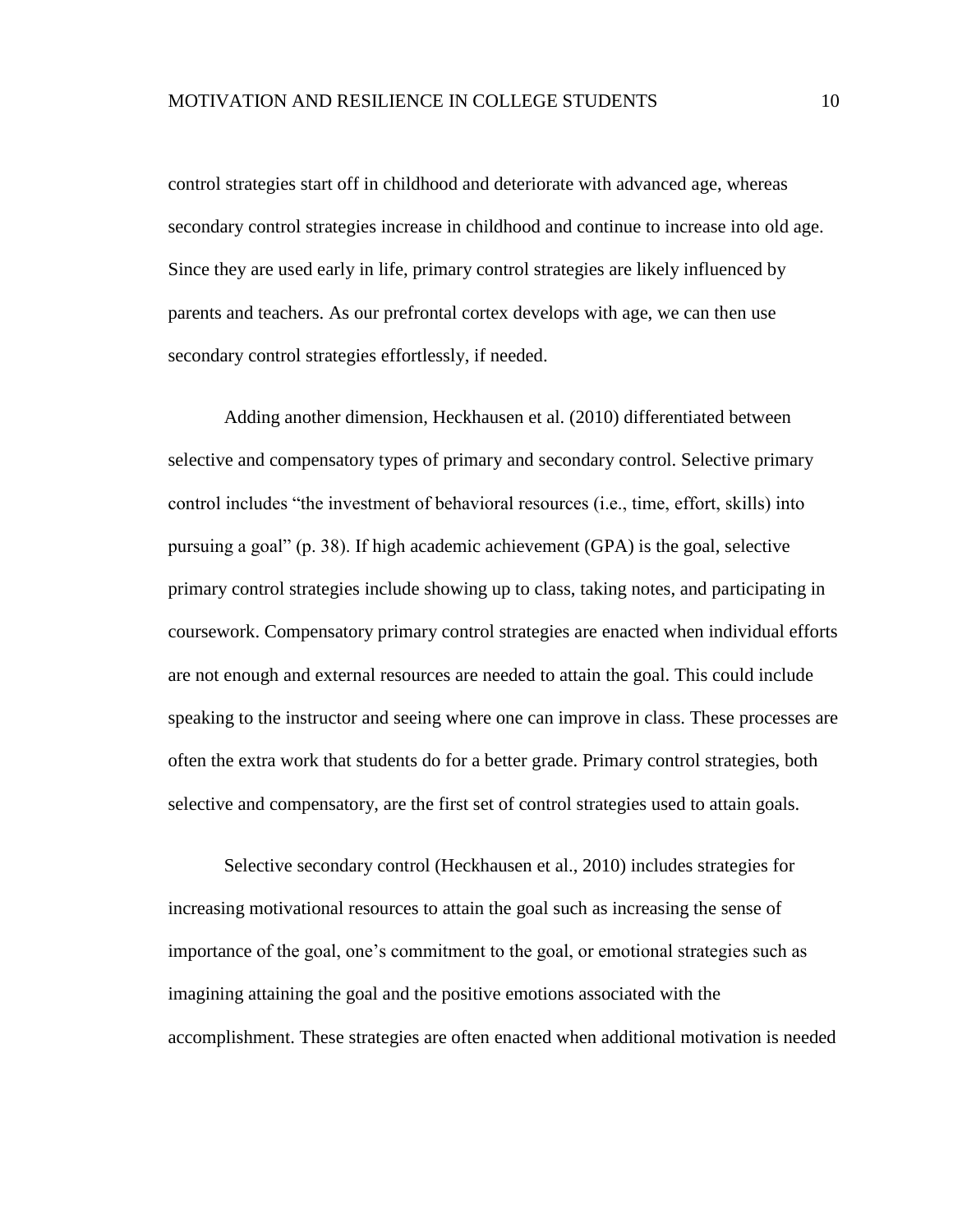control strategies start off in childhood and deteriorate with advanced age, whereas secondary control strategies increase in childhood and continue to increase into old age. Since they are used early in life, primary control strategies are likely influenced by parents and teachers. As our prefrontal cortex develops with age, we can then use secondary control strategies effortlessly, if needed.

Adding another dimension, Heckhausen et al. (2010) differentiated between selective and compensatory types of primary and secondary control. Selective primary control includes "the investment of behavioral resources (i.e., time, effort, skills) into pursuing a goal" (p. 38). If high academic achievement (GPA) is the goal, selective primary control strategies include showing up to class, taking notes, and participating in coursework. Compensatory primary control strategies are enacted when individual efforts are not enough and external resources are needed to attain the goal. This could include speaking to the instructor and seeing where one can improve in class. These processes are often the extra work that students do for a better grade. Primary control strategies, both selective and compensatory, are the first set of control strategies used to attain goals.

Selective secondary control (Heckhausen et al., 2010) includes strategies for increasing motivational resources to attain the goal such as increasing the sense of importance of the goal, one's commitment to the goal, or emotional strategies such as imagining attaining the goal and the positive emotions associated with the accomplishment. These strategies are often enacted when additional motivation is needed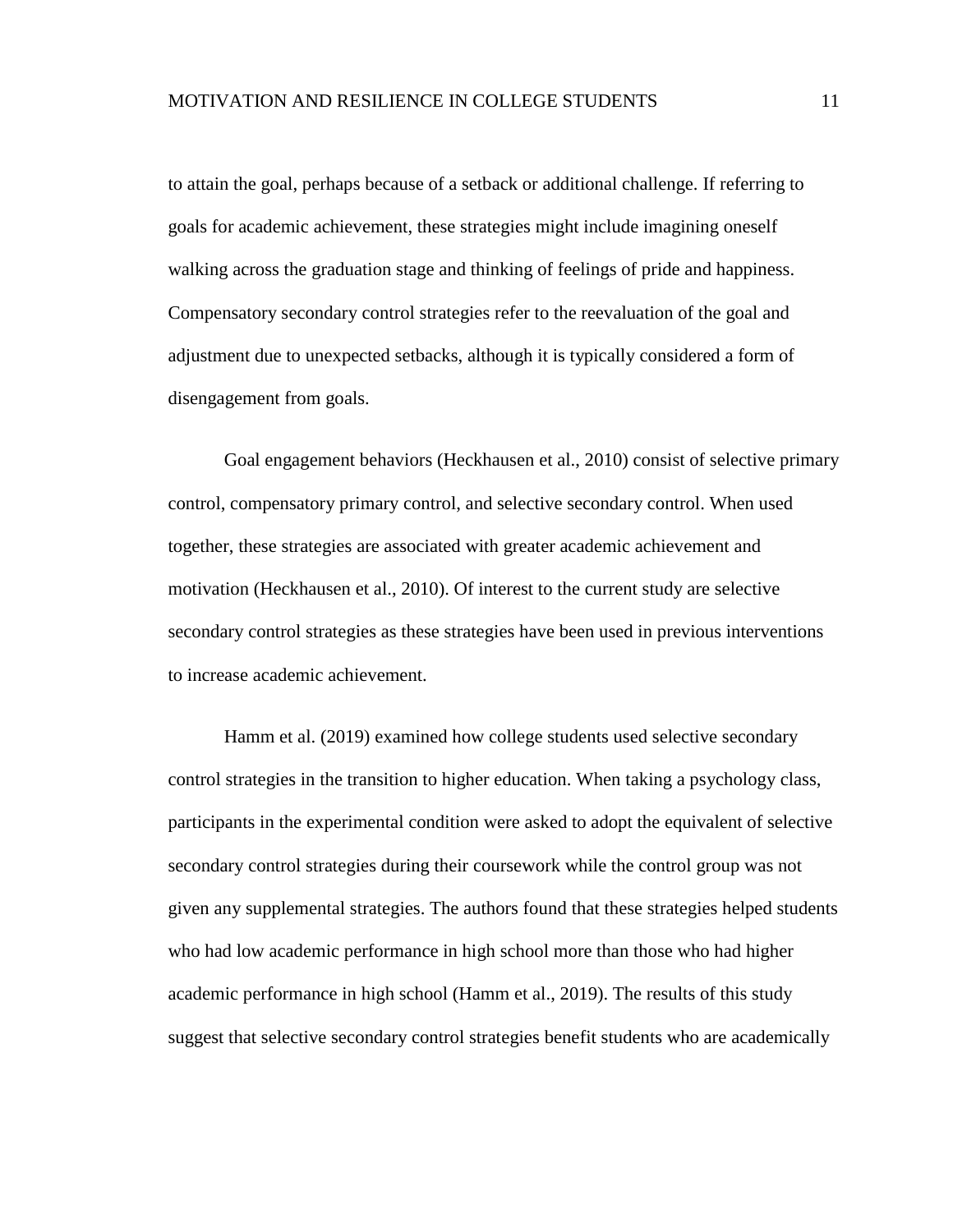to attain the goal, perhaps because of a setback or additional challenge. If referring to goals for academic achievement, these strategies might include imagining oneself walking across the graduation stage and thinking of feelings of pride and happiness. Compensatory secondary control strategies refer to the reevaluation of the goal and adjustment due to unexpected setbacks, although it is typically considered a form of disengagement from goals.

Goal engagement behaviors (Heckhausen et al., 2010) consist of selective primary control, compensatory primary control, and selective secondary control. When used together, these strategies are associated with greater academic achievement and motivation (Heckhausen et al., 2010). Of interest to the current study are selective secondary control strategies as these strategies have been used in previous interventions to increase academic achievement.

Hamm et al. (2019) examined how college students used selective secondary control strategies in the transition to higher education. When taking a psychology class, participants in the experimental condition were asked to adopt the equivalent of selective secondary control strategies during their coursework while the control group was not given any supplemental strategies. The authors found that these strategies helped students who had low academic performance in high school more than those who had higher academic performance in high school (Hamm et al., 2019). The results of this study suggest that selective secondary control strategies benefit students who are academically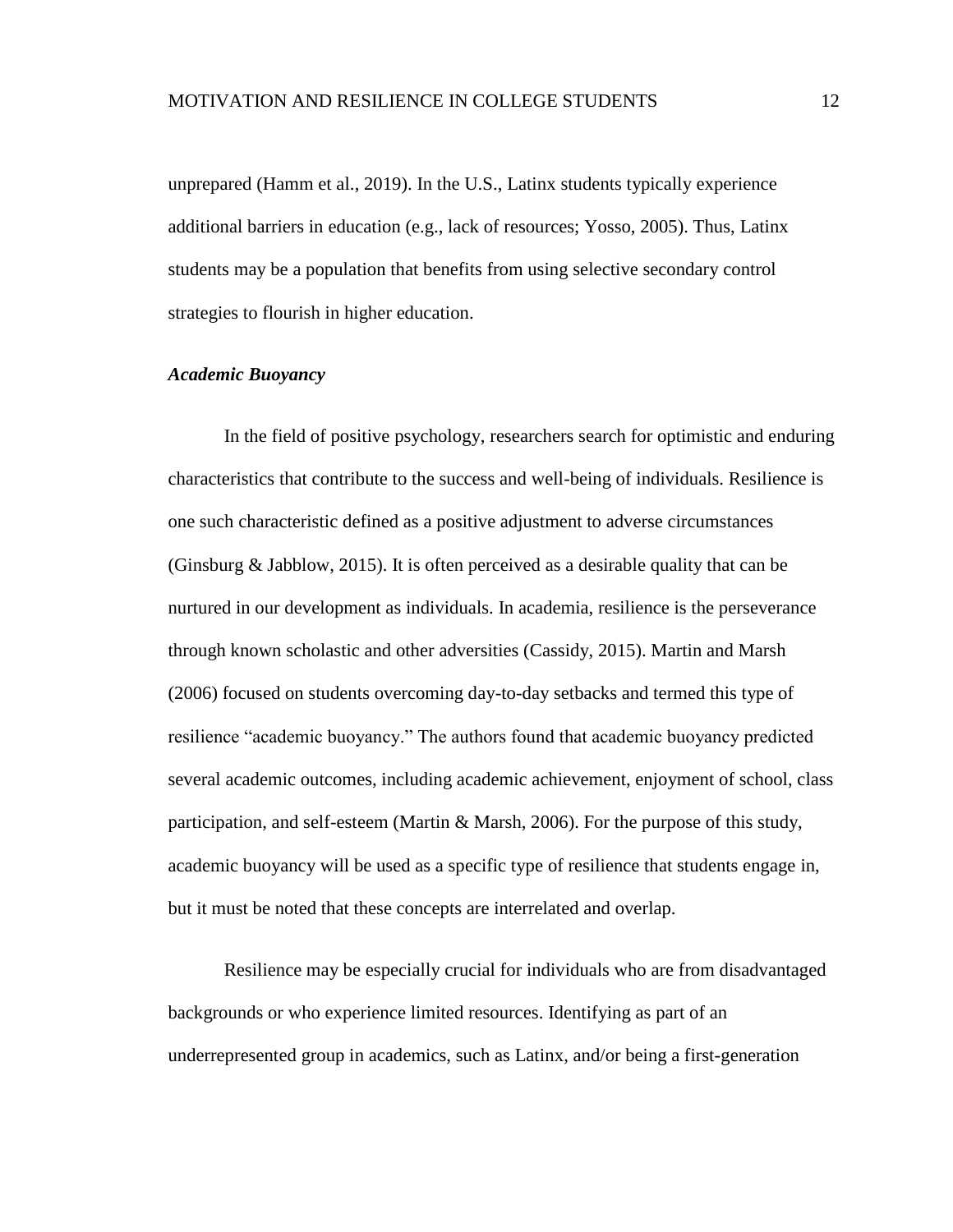unprepared (Hamm et al., 2019). In the U.S., Latinx students typically experience additional barriers in education (e.g., lack of resources; Yosso, 2005). Thus, Latinx students may be a population that benefits from using selective secondary control strategies to flourish in higher education.

#### <span id="page-18-0"></span>*Academic Buoyancy*

In the field of positive psychology, researchers search for optimistic and enduring characteristics that contribute to the success and well-being of individuals. Resilience is one such characteristic defined as a positive adjustment to adverse circumstances (Ginsburg & Jabblow, 2015). It is often perceived as a desirable quality that can be nurtured in our development as individuals. In academia, resilience is the perseverance through known scholastic and other adversities (Cassidy, 2015). Martin and Marsh (2006) focused on students overcoming day-to-day setbacks and termed this type of resilience "academic buoyancy." The authors found that academic buoyancy predicted several academic outcomes, including academic achievement, enjoyment of school, class participation, and self-esteem (Martin & Marsh, 2006). For the purpose of this study, academic buoyancy will be used as a specific type of resilience that students engage in, but it must be noted that these concepts are interrelated and overlap.

Resilience may be especially crucial for individuals who are from disadvantaged backgrounds or who experience limited resources. Identifying as part of an underrepresented group in academics, such as Latinx, and/or being a first-generation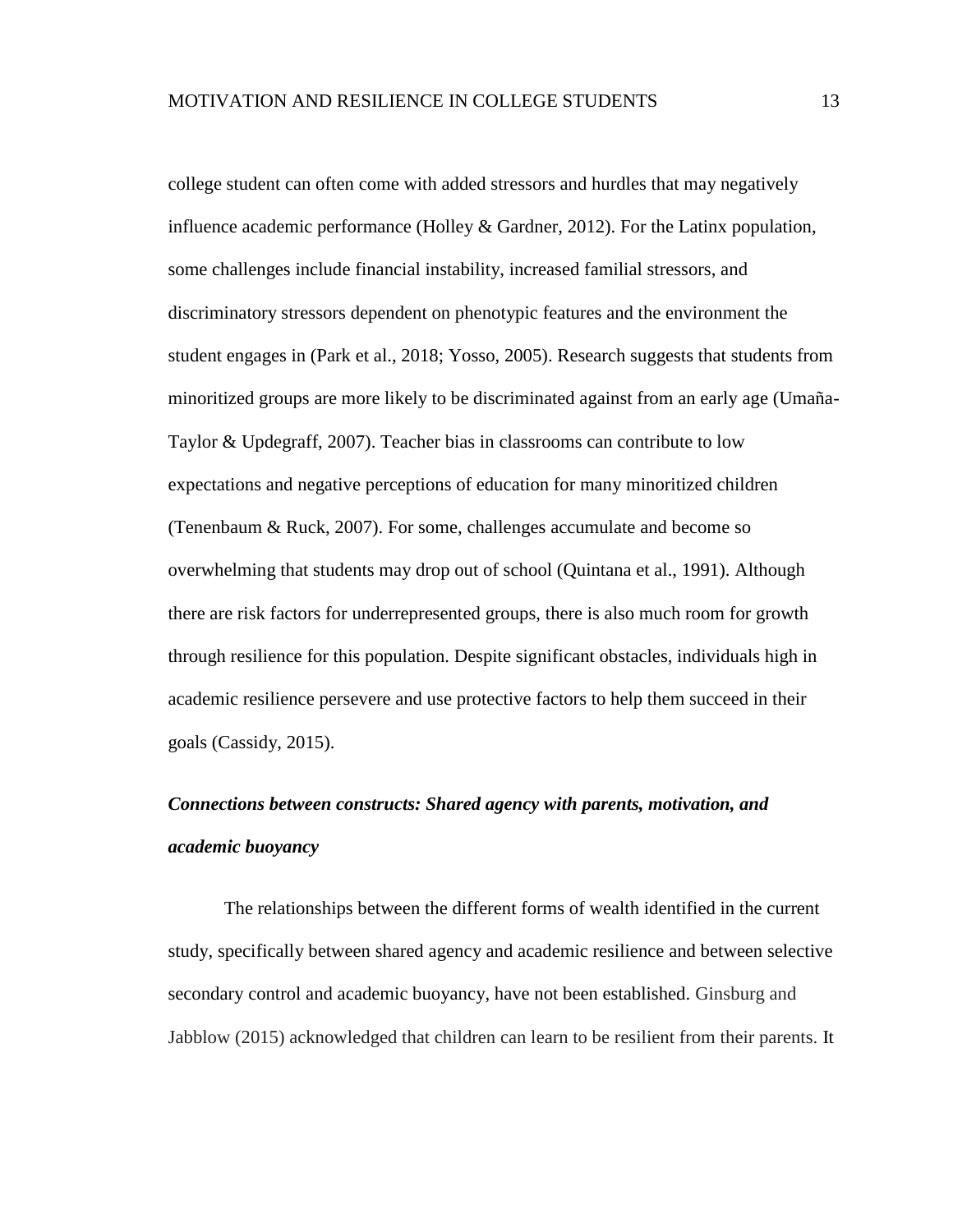college student can often come with added stressors and hurdles that may negatively influence academic performance (Holley & Gardner, 2012). For the Latinx population, some challenges include financial instability, increased familial stressors, and discriminatory stressors dependent on phenotypic features and the environment the student engages in (Park et al., 2018; Yosso, 2005). Research suggests that students from minoritized groups are more likely to be discriminated against from an early age (Umaña-Taylor & Updegraff, 2007). Teacher bias in classrooms can contribute to low expectations and negative perceptions of education for many minoritized children (Tenenbaum & Ruck, 2007). For some, challenges accumulate and become so overwhelming that students may drop out of school (Quintana et al., 1991). Although there are risk factors for underrepresented groups, there is also much room for growth through resilience for this population. Despite significant obstacles, individuals high in academic resilience persevere and use protective factors to help them succeed in their goals (Cassidy, 2015).

# <span id="page-19-0"></span>*Connections between constructs: Shared agency with parents, motivation, and academic buoyancy*

The relationships between the different forms of wealth identified in the current study, specifically between shared agency and academic resilience and between selective secondary control and academic buoyancy, have not been established. Ginsburg and Jabblow (2015) acknowledged that children can learn to be resilient from their parents. It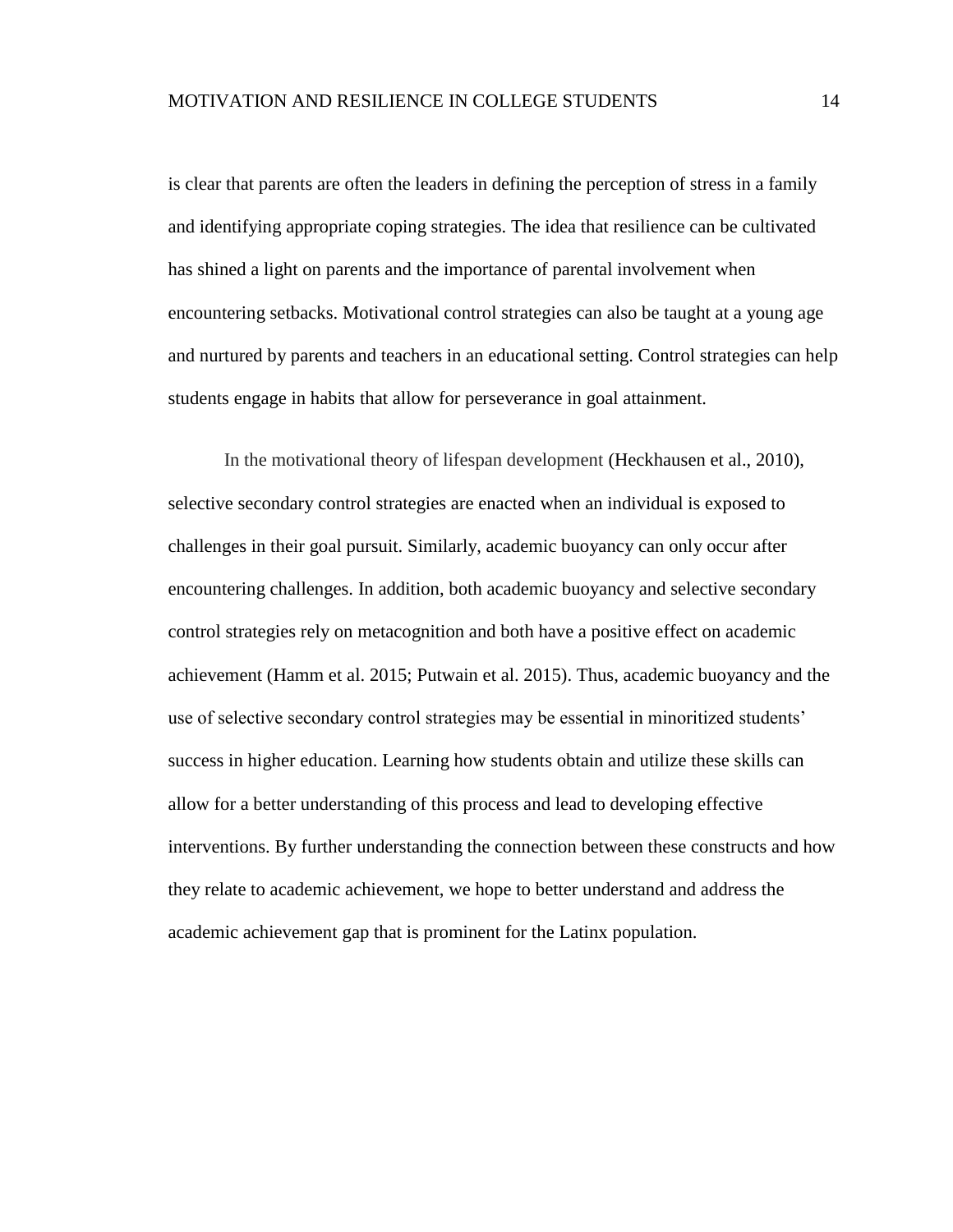is clear that parents are often the leaders in defining the perception of stress in a family and identifying appropriate coping strategies. The idea that resilience can be cultivated has shined a light on parents and the importance of parental involvement when encountering setbacks. Motivational control strategies can also be taught at a young age and nurtured by parents and teachers in an educational setting. Control strategies can help students engage in habits that allow for perseverance in goal attainment.

In the motivational theory of lifespan development (Heckhausen et al., 2010), selective secondary control strategies are enacted when an individual is exposed to challenges in their goal pursuit. Similarly, academic buoyancy can only occur after encountering challenges. In addition, both academic buoyancy and selective secondary control strategies rely on metacognition and both have a positive effect on academic achievement (Hamm et al. 2015; Putwain et al. 2015). Thus, academic buoyancy and the use of selective secondary control strategies may be essential in minoritized students' success in higher education. Learning how students obtain and utilize these skills can allow for a better understanding of this process and lead to developing effective interventions. By further understanding the connection between these constructs and how they relate to academic achievement, we hope to better understand and address the academic achievement gap that is prominent for the Latinx population.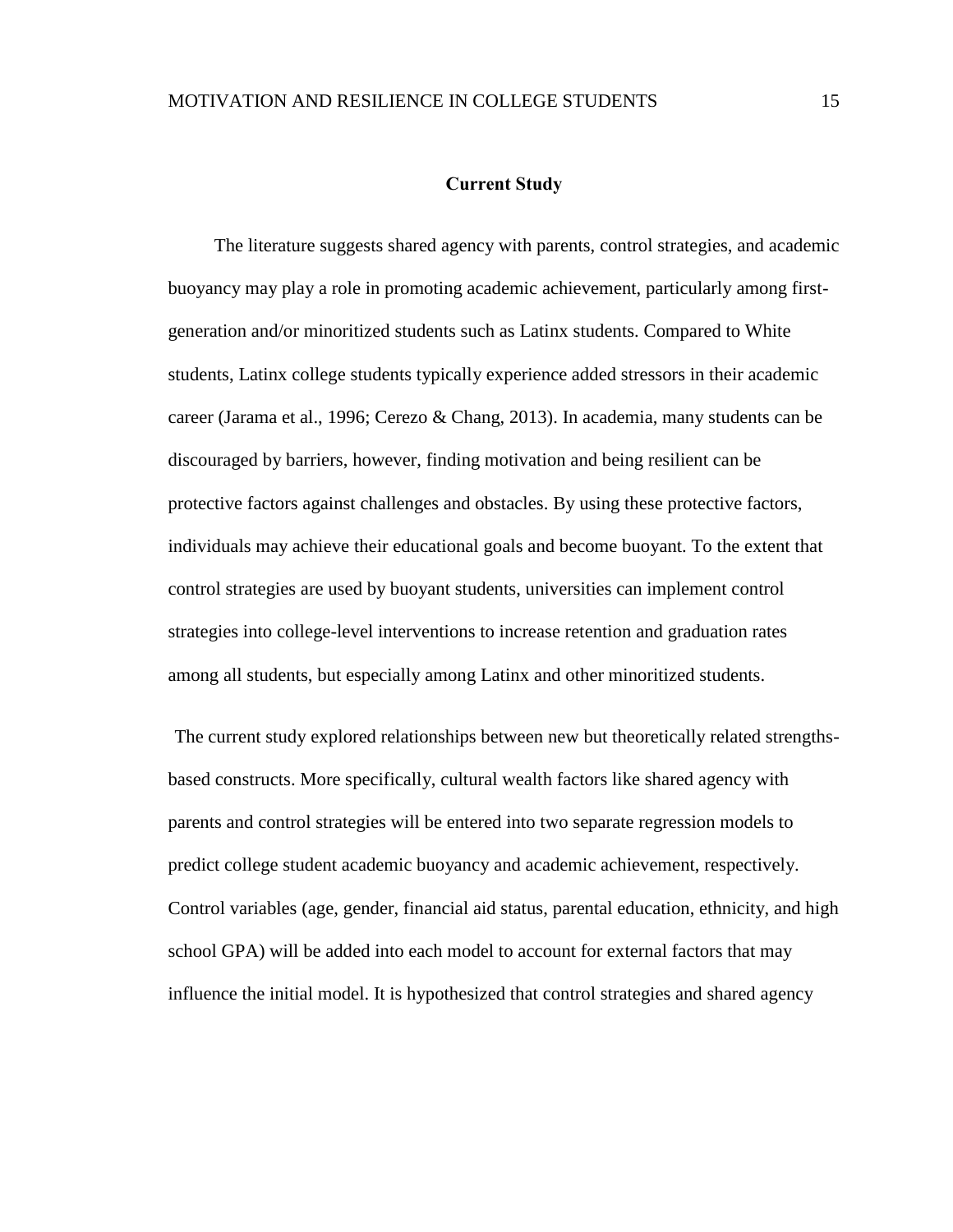#### **Current Study**

<span id="page-21-0"></span>The literature suggests shared agency with parents, control strategies, and academic buoyancy may play a role in promoting academic achievement, particularly among firstgeneration and/or minoritized students such as Latinx students. Compared to White students, Latinx college students typically experience added stressors in their academic career (Jarama et al., 1996; Cerezo & Chang, 2013). In academia, many students can be discouraged by barriers, however, finding motivation and being resilient can be protective factors against challenges and obstacles. By using these protective factors, individuals may achieve their educational goals and become buoyant. To the extent that control strategies are used by buoyant students, universities can implement control strategies into college-level interventions to increase retention and graduation rates among all students, but especially among Latinx and other minoritized students.

The current study explored relationships between new but theoretically related strengthsbased constructs. More specifically, cultural wealth factors like shared agency with parents and control strategies will be entered into two separate regression models to predict college student academic buoyancy and academic achievement, respectively. Control variables (age, gender, financial aid status, parental education, ethnicity, and high school GPA) will be added into each model to account for external factors that may influence the initial model. It is hypothesized that control strategies and shared agency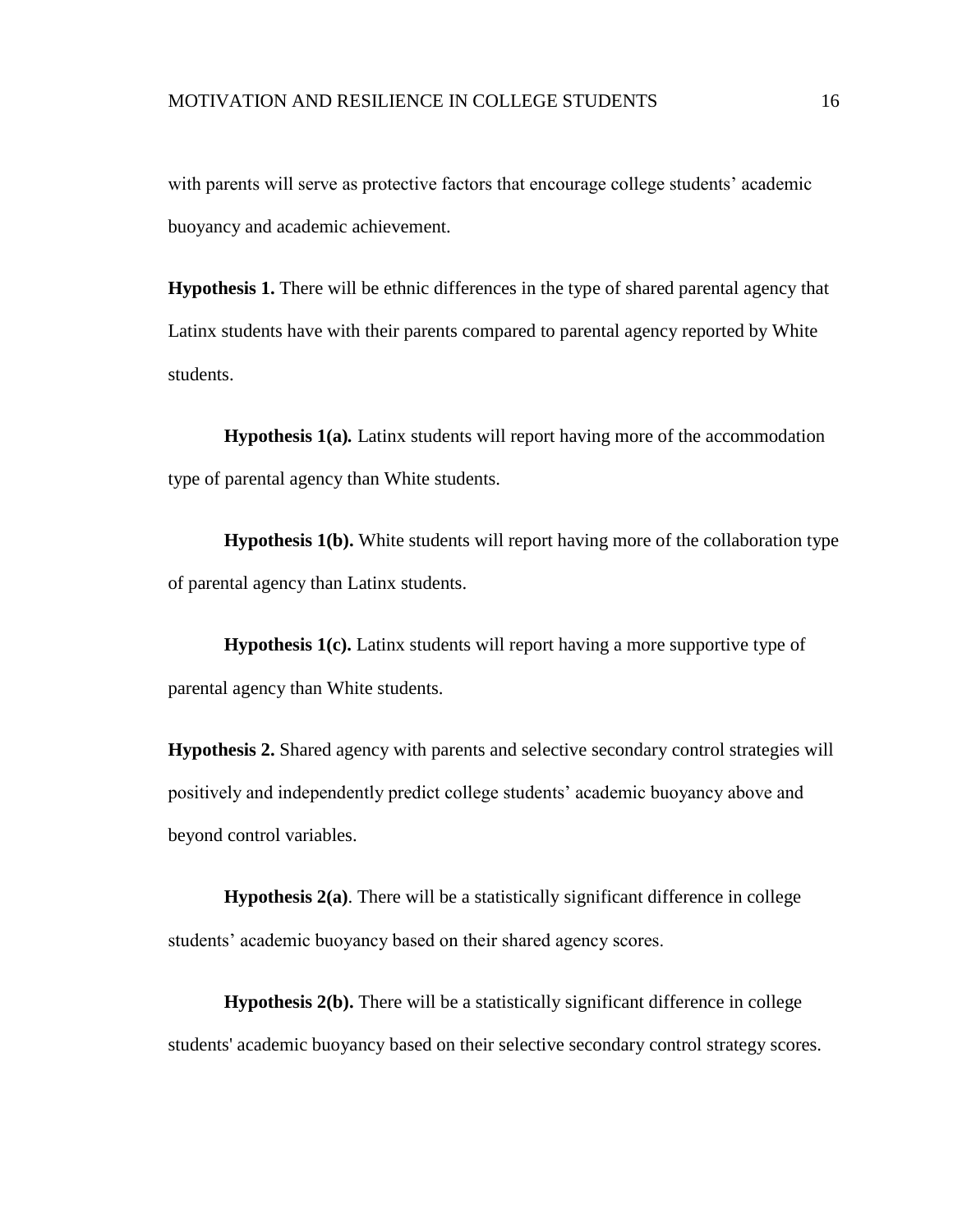with parents will serve as protective factors that encourage college students' academic buoyancy and academic achievement.

**Hypothesis 1.** There will be ethnic differences in the type of shared parental agency that Latinx students have with their parents compared to parental agency reported by White students.

**Hypothesis 1(a)***.* Latinx students will report having more of the accommodation type of parental agency than White students.

**Hypothesis 1(b).** White students will report having more of the collaboration type of parental agency than Latinx students.

**Hypothesis 1(c).** Latinx students will report having a more supportive type of parental agency than White students.

**Hypothesis 2.** Shared agency with parents and selective secondary control strategies will positively and independently predict college students' academic buoyancy above and beyond control variables.

**Hypothesis 2(a)**. There will be a statistically significant difference in college students' academic buoyancy based on their shared agency scores.

**Hypothesis 2(b).** There will be a statistically significant difference in college students' academic buoyancy based on their selective secondary control strategy scores.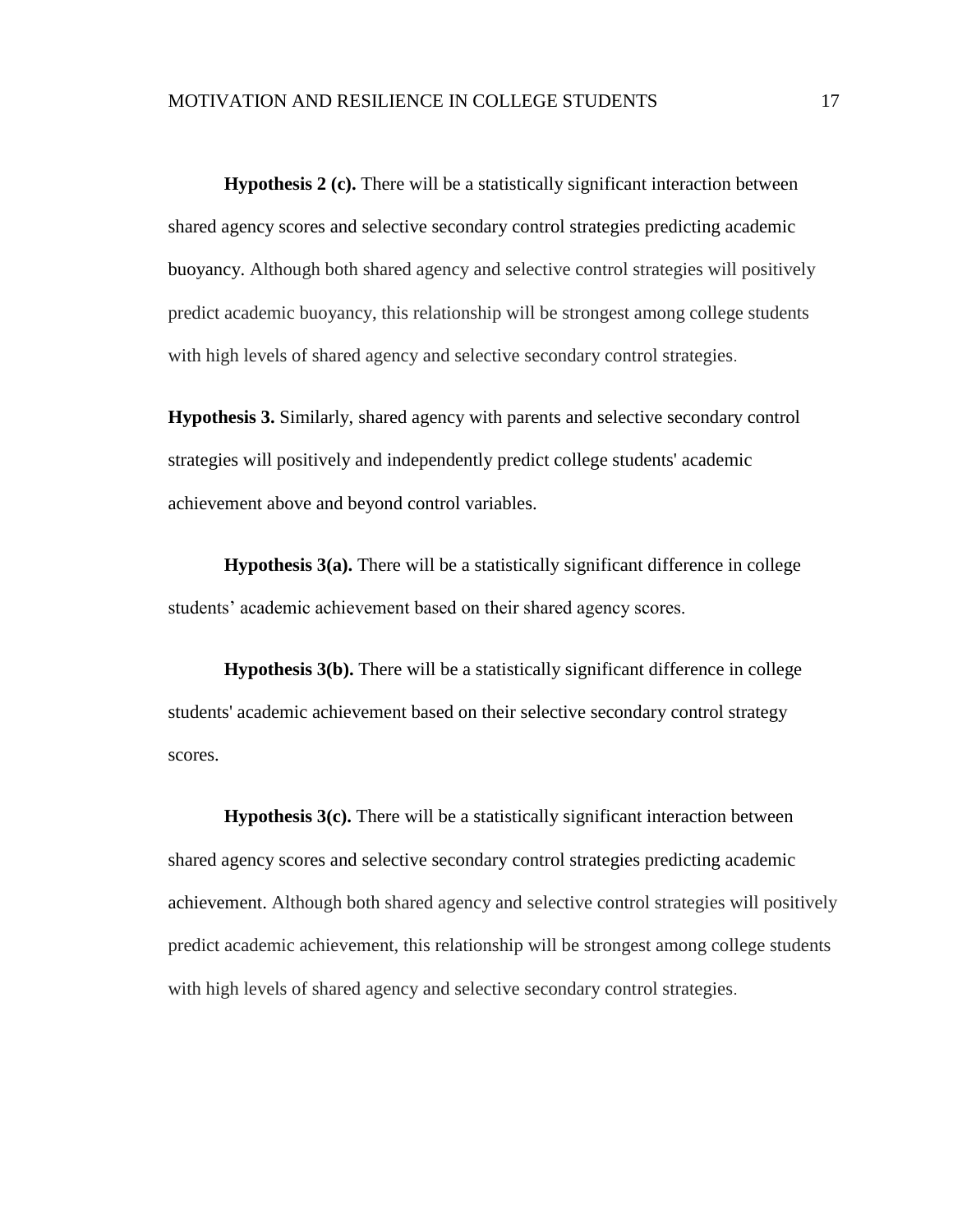**Hypothesis 2 (c).** There will be a statistically significant interaction between shared agency scores and selective secondary control strategies predicting academic buoyancy. Although both shared agency and selective control strategies will positively predict academic buoyancy, this relationship will be strongest among college students with high levels of shared agency and selective secondary control strategies.

**Hypothesis 3.** Similarly, shared agency with parents and selective secondary control strategies will positively and independently predict college students' academic achievement above and beyond control variables.

**Hypothesis 3(a).** There will be a statistically significant difference in college students' academic achievement based on their shared agency scores.

**Hypothesis 3(b).** There will be a statistically significant difference in college students' academic achievement based on their selective secondary control strategy scores.

**Hypothesis 3(c).** There will be a statistically significant interaction between shared agency scores and selective secondary control strategies predicting academic achievement. Although both shared agency and selective control strategies will positively predict academic achievement, this relationship will be strongest among college students with high levels of shared agency and selective secondary control strategies.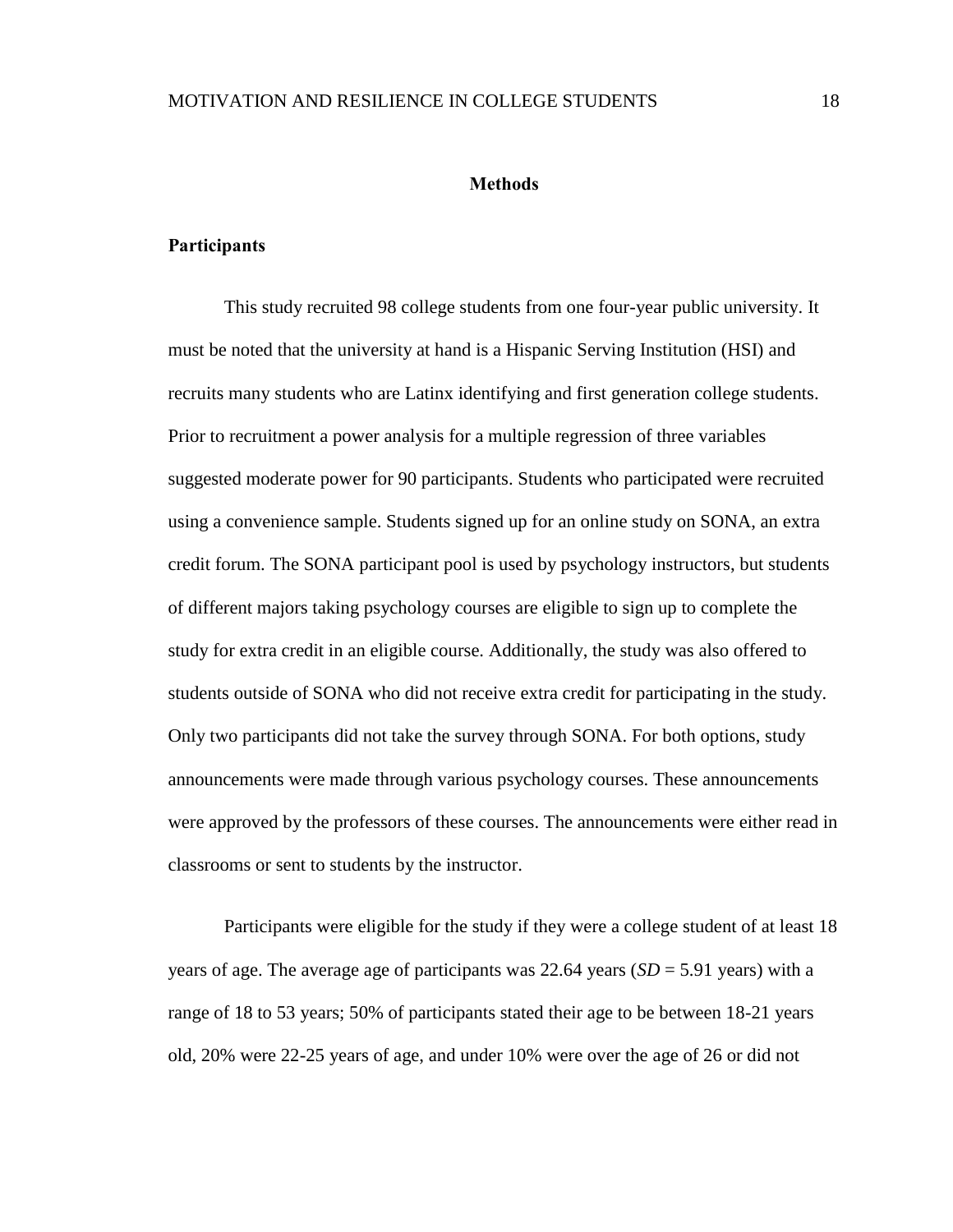#### **Methods**

#### <span id="page-24-1"></span><span id="page-24-0"></span>**Participants**

This study recruited 98 college students from one four-year public university. It must be noted that the university at hand is a Hispanic Serving Institution (HSI) and recruits many students who are Latinx identifying and first generation college students. Prior to recruitment a power analysis for a multiple regression of three variables suggested moderate power for 90 participants. Students who participated were recruited using a convenience sample. Students signed up for an online study on SONA, an extra credit forum. The SONA participant pool is used by psychology instructors, but students of different majors taking psychology courses are eligible to sign up to complete the study for extra credit in an eligible course. Additionally, the study was also offered to students outside of SONA who did not receive extra credit for participating in the study. Only two participants did not take the survey through SONA. For both options, study announcements were made through various psychology courses. These announcements were approved by the professors of these courses. The announcements were either read in classrooms or sent to students by the instructor.

Participants were eligible for the study if they were a college student of at least 18 years of age. The average age of participants was 22.64 years (*SD* = 5.91 years) with a range of 18 to 53 years; 50% of participants stated their age to be between 18-21 years old, 20% were 22-25 years of age, and under 10% were over the age of 26 or did not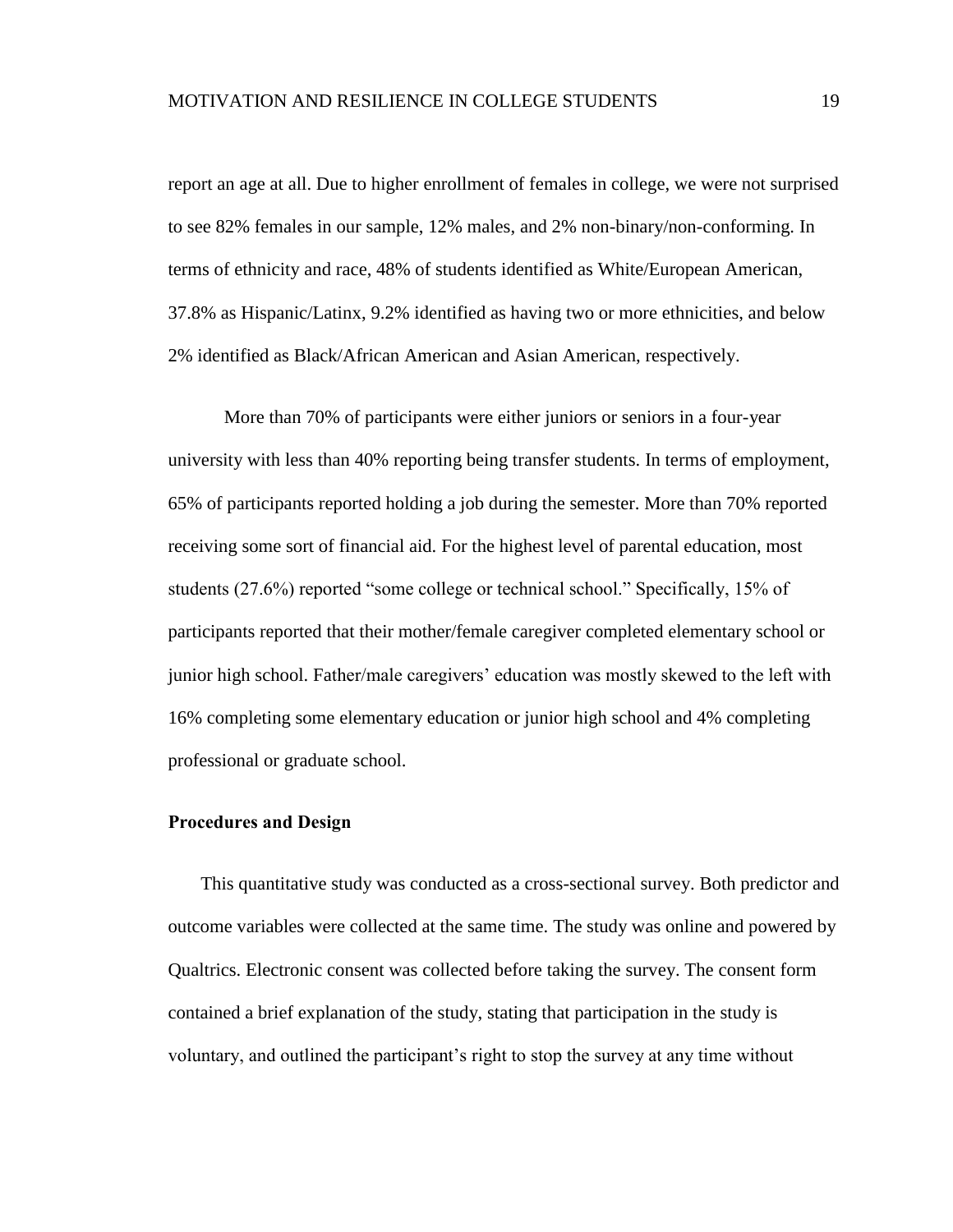report an age at all. Due to higher enrollment of females in college, we were not surprised to see 82% females in our sample, 12% males, and 2% non-binary/non-conforming. In terms of ethnicity and race, 48% of students identified as White/European American, 37.8% as Hispanic/Latinx, 9.2% identified as having two or more ethnicities, and below 2% identified as Black/African American and Asian American, respectively.

More than 70% of participants were either juniors or seniors in a four-year university with less than 40% reporting being transfer students. In terms of employment, 65% of participants reported holding a job during the semester. More than 70% reported receiving some sort of financial aid. For the highest level of parental education, most students (27.6%) reported "some college or technical school." Specifically, 15% of participants reported that their mother/female caregiver completed elementary school or junior high school. Father/male caregivers' education was mostly skewed to the left with 16% completing some elementary education or junior high school and 4% completing professional or graduate school.

#### <span id="page-25-0"></span>**Procedures and Design**

This quantitative study was conducted as a cross-sectional survey. Both predictor and outcome variables were collected at the same time. The study was online and powered by Qualtrics. Electronic consent was collected before taking the survey. The consent form contained a brief explanation of the study, stating that participation in the study is voluntary, and outlined the participant's right to stop the survey at any time without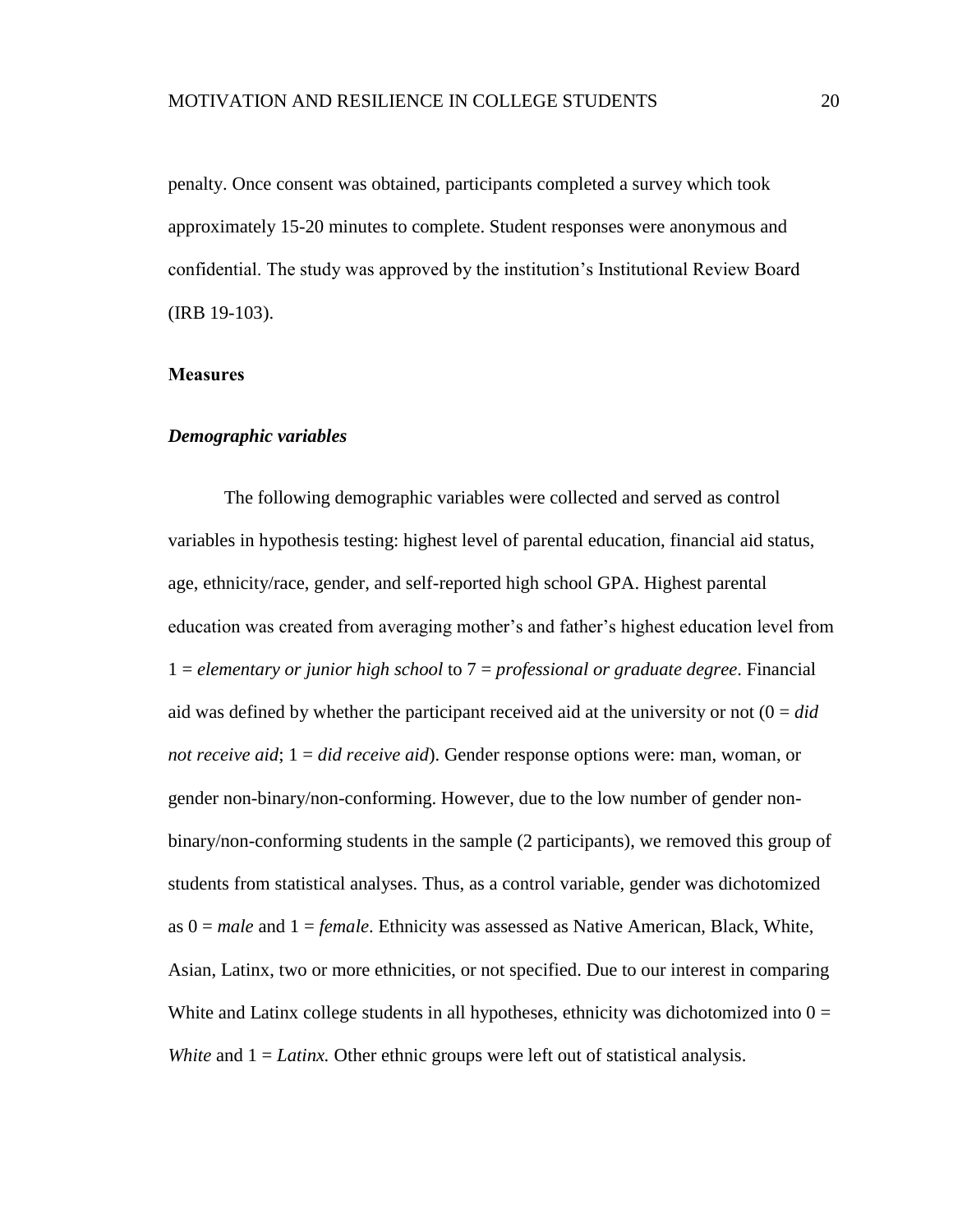penalty. Once consent was obtained, participants completed a survey which took approximately 15-20 minutes to complete. Student responses were anonymous and confidential. The study was approved by the institution's Institutional Review Board (IRB 19-103).

#### <span id="page-26-0"></span>**Measures**

#### <span id="page-26-1"></span>*Demographic variables*

The following demographic variables were collected and served as control variables in hypothesis testing: highest level of parental education, financial aid status, age, ethnicity/race, gender, and self-reported high school GPA. Highest parental education was created from averaging mother's and father's highest education level from 1 = *elementary or junior high school* to 7 = *professional or graduate degree*. Financial aid was defined by whether the participant received aid at the university or not  $(0 = did)$ *not receive aid*;  $1 = did receive aid$ . Gender response options were: man, woman, or gender non-binary/non-conforming. However, due to the low number of gender nonbinary/non-conforming students in the sample (2 participants), we removed this group of students from statistical analyses. Thus, as a control variable, gender was dichotomized as 0 = *male* and 1 = *female*. Ethnicity was assessed as Native American, Black, White, Asian, Latinx, two or more ethnicities, or not specified. Due to our interest in comparing White and Latinx college students in all hypotheses, ethnicity was dichotomized into  $0 =$ *White* and  $1 = Latinx$ . Other ethnic groups were left out of statistical analysis.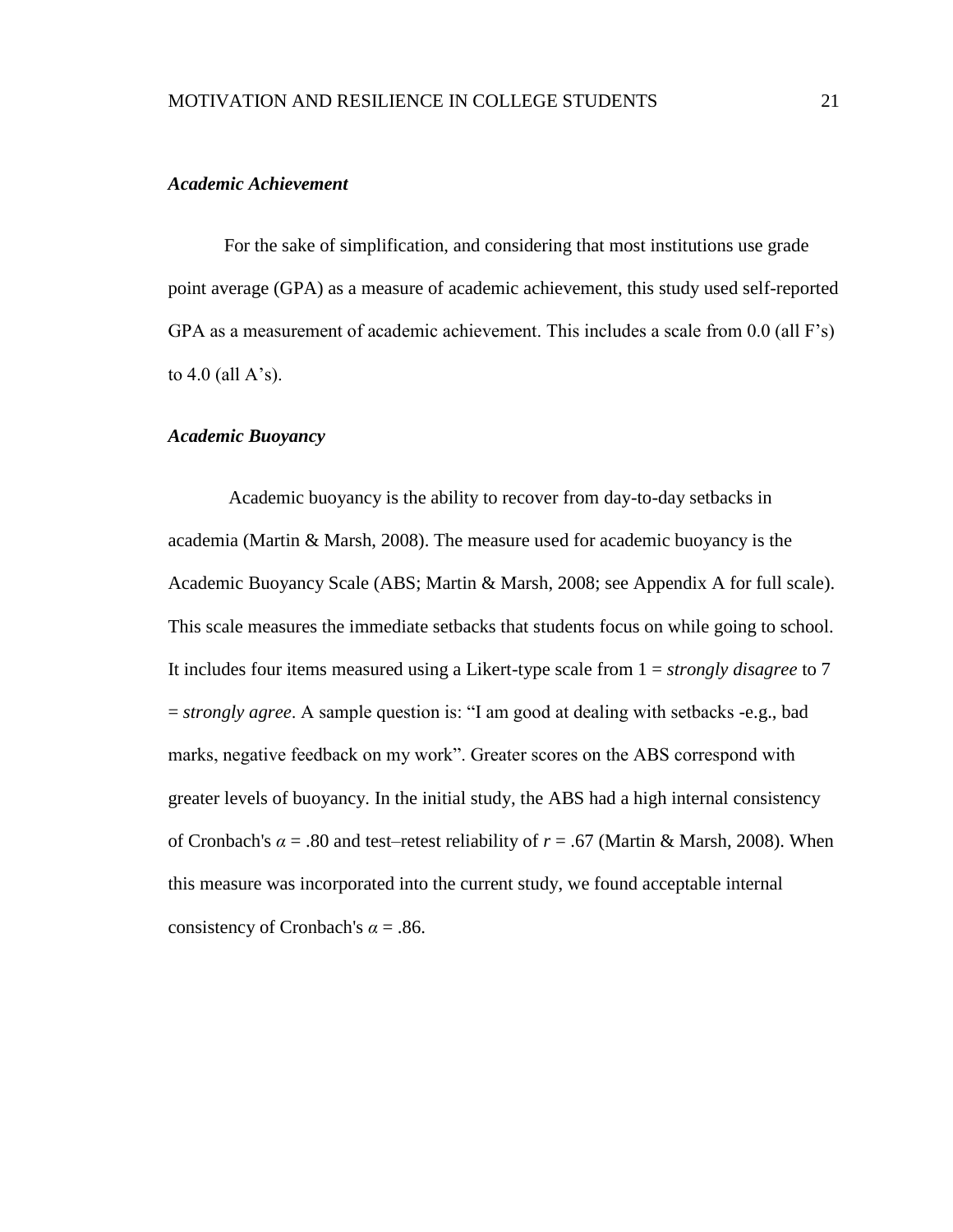#### <span id="page-27-0"></span>*Academic Achievement*

For the sake of simplification, and considering that most institutions use grade point average (GPA) as a measure of academic achievement, this study used self-reported GPA as a measurement of academic achievement. This includes a scale from 0.0 (all F's) to 4.0 (all  $A$ 's).

#### <span id="page-27-1"></span>*Academic Buoyancy*

Academic buoyancy is the ability to recover from day-to-day setbacks in academia (Martin & Marsh, 2008). The measure used for academic buoyancy is the Academic Buoyancy Scale (ABS; Martin & Marsh, 2008; see Appendix A for full scale). This scale measures the immediate setbacks that students focus on while going to school. It includes four items measured using a Likert-type scale from 1 = *strongly disagree* to 7 = *strongly agree*. A sample question is: "I am good at dealing with setbacks -e.g., bad marks, negative feedback on my work". Greater scores on the ABS correspond with greater levels of buoyancy. In the initial study, the ABS had a high internal consistency of Cronbach's  $\alpha$  = .80 and test–retest reliability of  $r = .67$  (Martin & Marsh, 2008). When this measure was incorporated into the current study, we found acceptable internal consistency of Cronbach's *α* = .86.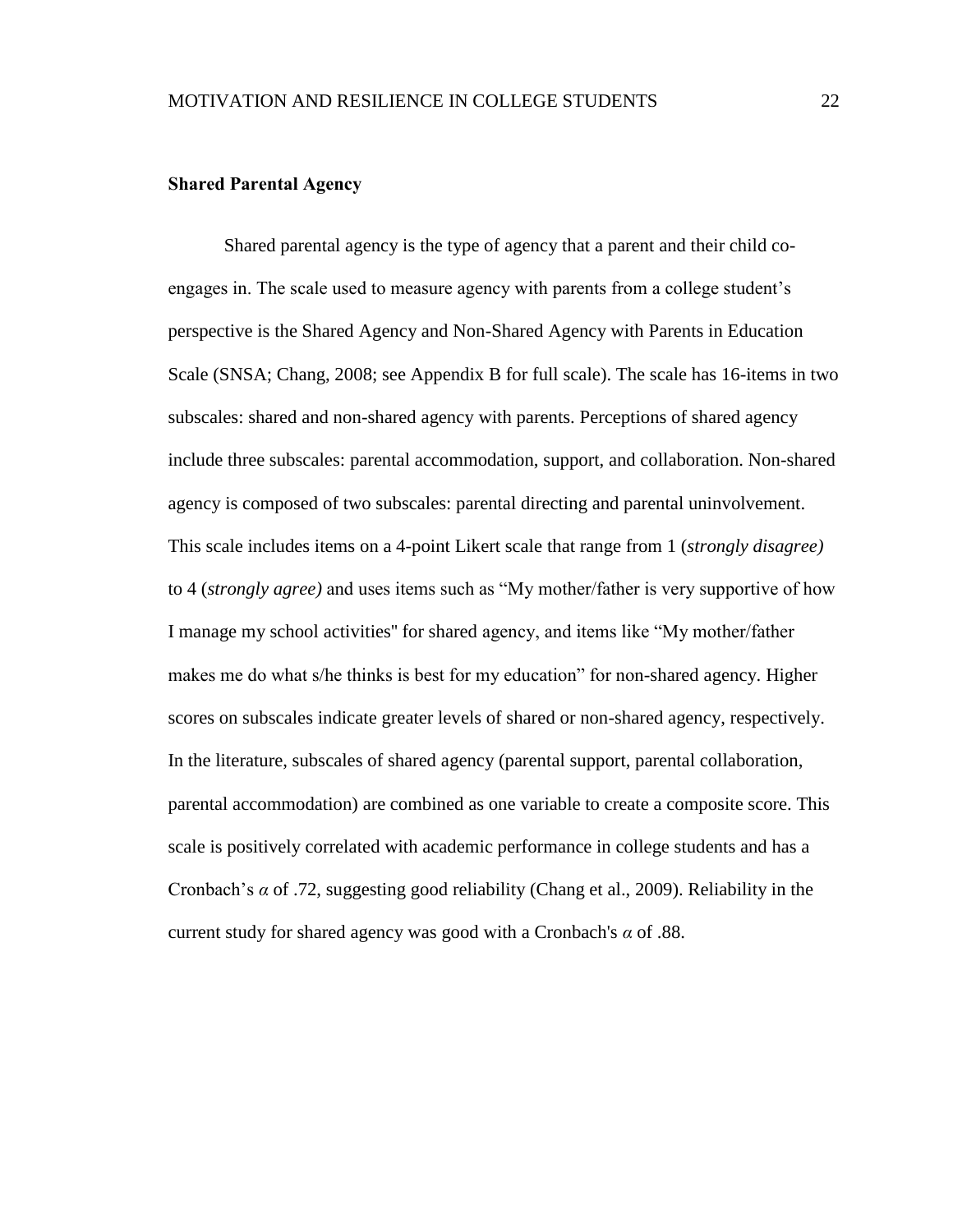#### <span id="page-28-0"></span>**Shared Parental Agency**

Shared parental agency is the type of agency that a parent and their child coengages in. The scale used to measure agency with parents from a college student's perspective is the Shared Agency and Non-Shared Agency with Parents in Education Scale (SNSA; Chang, 2008; see Appendix B for full scale). The scale has 16-items in two subscales: shared and non-shared agency with parents. Perceptions of shared agency include three subscales: parental accommodation, support, and collaboration. Non-shared agency is composed of two subscales: parental directing and parental uninvolvement. This scale includes items on a 4-point Likert scale that range from 1 (*strongly disagree)* to 4 (*strongly agree)* and uses items such as "My mother/father is very supportive of how I manage my school activities'' for shared agency, and items like "My mother/father makes me do what s/he thinks is best for my education" for non-shared agency. Higher scores on subscales indicate greater levels of shared or non-shared agency, respectively. In the literature, subscales of shared agency (parental support, parental collaboration, parental accommodation) are combined as one variable to create a composite score. This scale is positively correlated with academic performance in college students and has a Cronbach's *α* of .72, suggesting good reliability (Chang et al., 2009). Reliability in the current study for shared agency was good with a Cronbach's *α* of .88.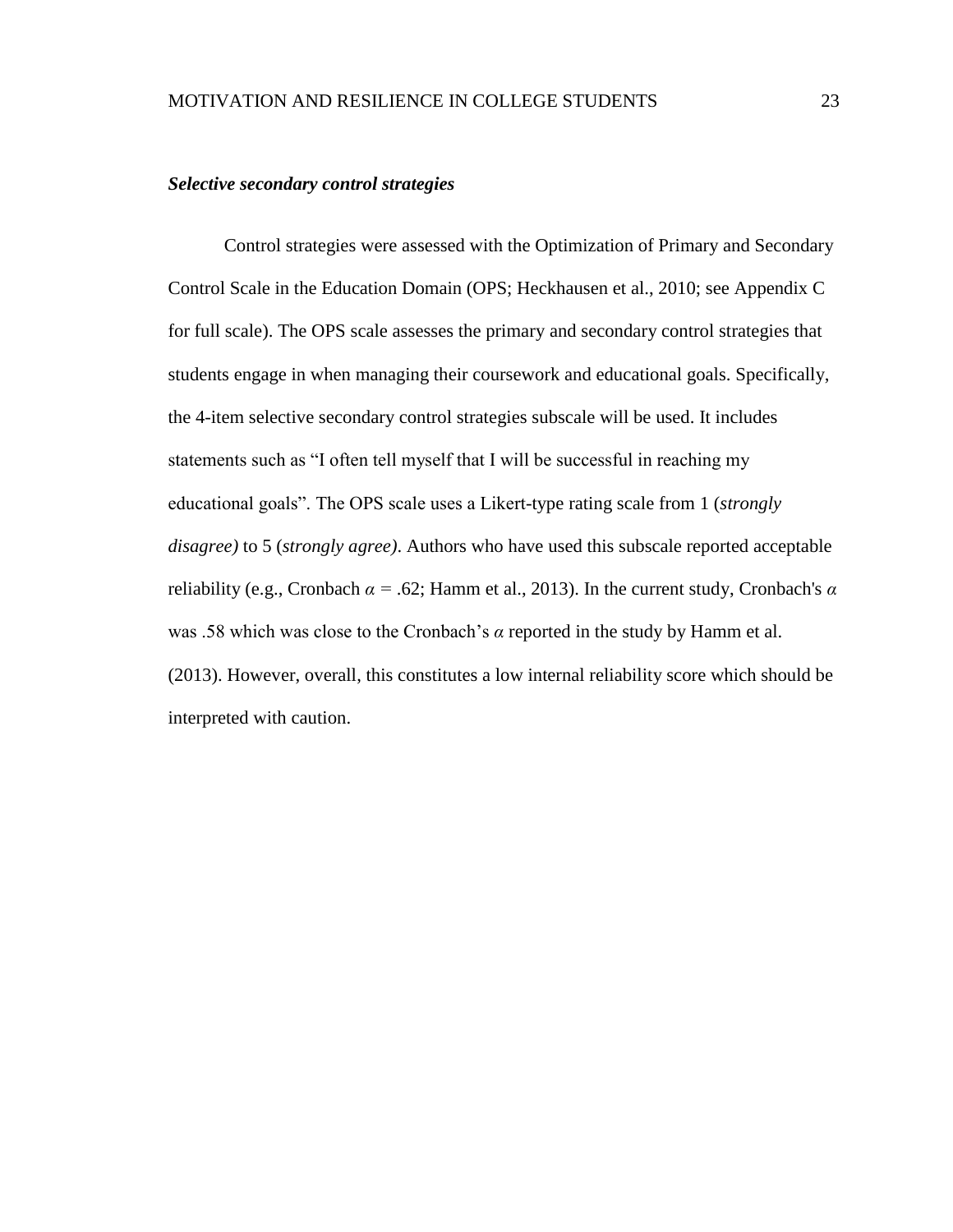#### <span id="page-29-0"></span>*Selective secondary control strategies*

Control strategies were assessed with the Optimization of Primary and Secondary Control Scale in the Education Domain (OPS; Heckhausen et al., 2010; see Appendix C for full scale). The OPS scale assesses the primary and secondary control strategies that students engage in when managing their coursework and educational goals. Specifically, the 4-item selective secondary control strategies subscale will be used. It includes statements such as "I often tell myself that I will be successful in reaching my educational goals". The OPS scale uses a Likert-type rating scale from 1 (*strongly disagree)* to 5 (*strongly agree)*. Authors who have used this subscale reported acceptable reliability (e.g., Cronbach  $\alpha = .62$ ; Hamm et al., 2013). In the current study, Cronbach's  $\alpha$ was .58 which was close to the Cronbach's *α* reported in the study by Hamm et al. (2013). However, overall, this constitutes a low internal reliability score which should be interpreted with caution.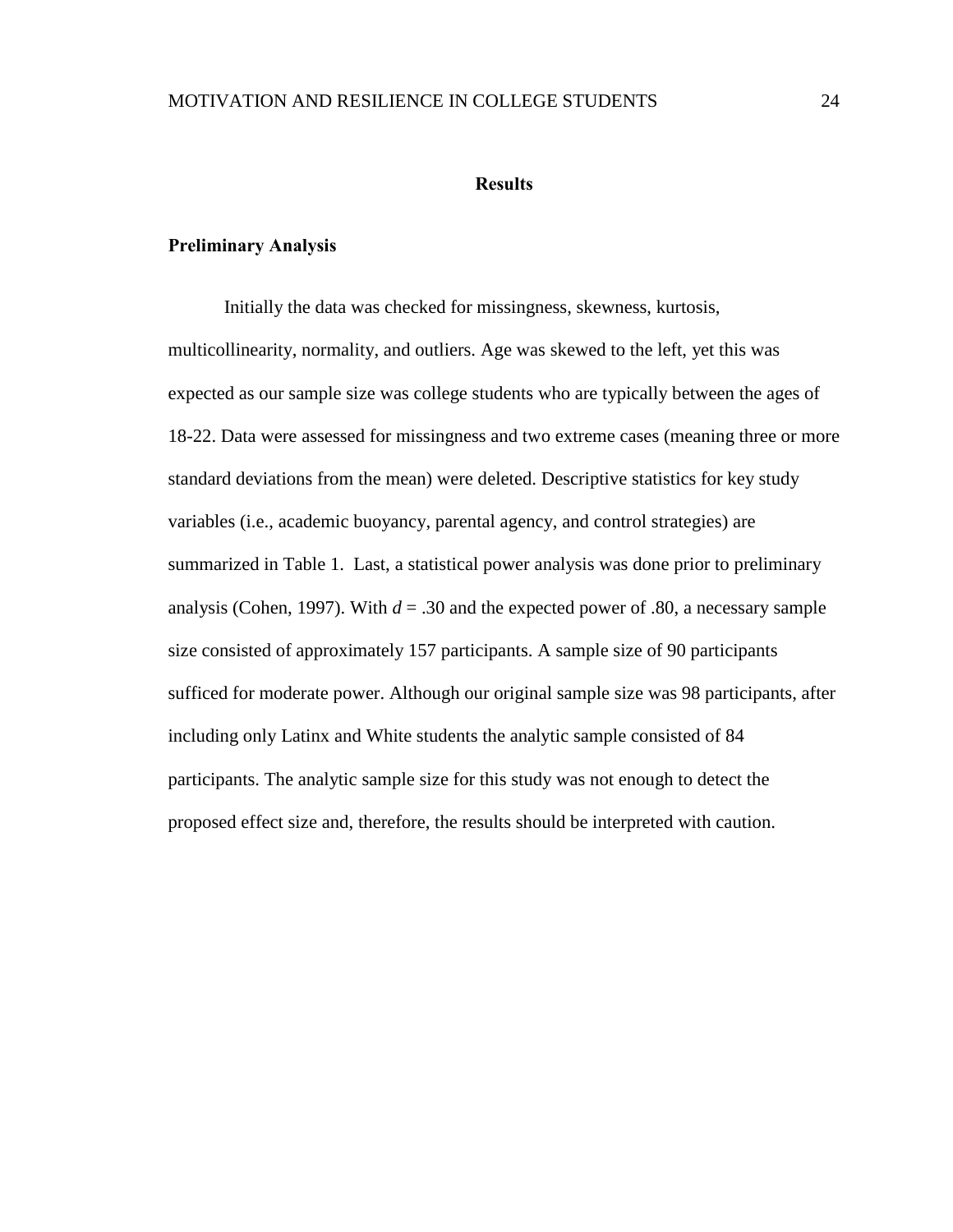#### **Results**

#### <span id="page-30-1"></span><span id="page-30-0"></span>**Preliminary Analysis**

Initially the data was checked for missingness, skewness, kurtosis, multicollinearity, normality, and outliers. Age was skewed to the left, yet this was expected as our sample size was college students who are typically between the ages of 18-22. Data were assessed for missingness and two extreme cases (meaning three or more standard deviations from the mean) were deleted. Descriptive statistics for key study variables (i.e., academic buoyancy, parental agency, and control strategies) are summarized in Table 1. Last, a statistical power analysis was done prior to preliminary analysis (Cohen, 1997). With  $d = .30$  and the expected power of .80, a necessary sample size consisted of approximately 157 participants. A sample size of 90 participants sufficed for moderate power. Although our original sample size was 98 participants, after including only Latinx and White students the analytic sample consisted of 84 participants. The analytic sample size for this study was not enough to detect the proposed effect size and, therefore, the results should be interpreted with caution.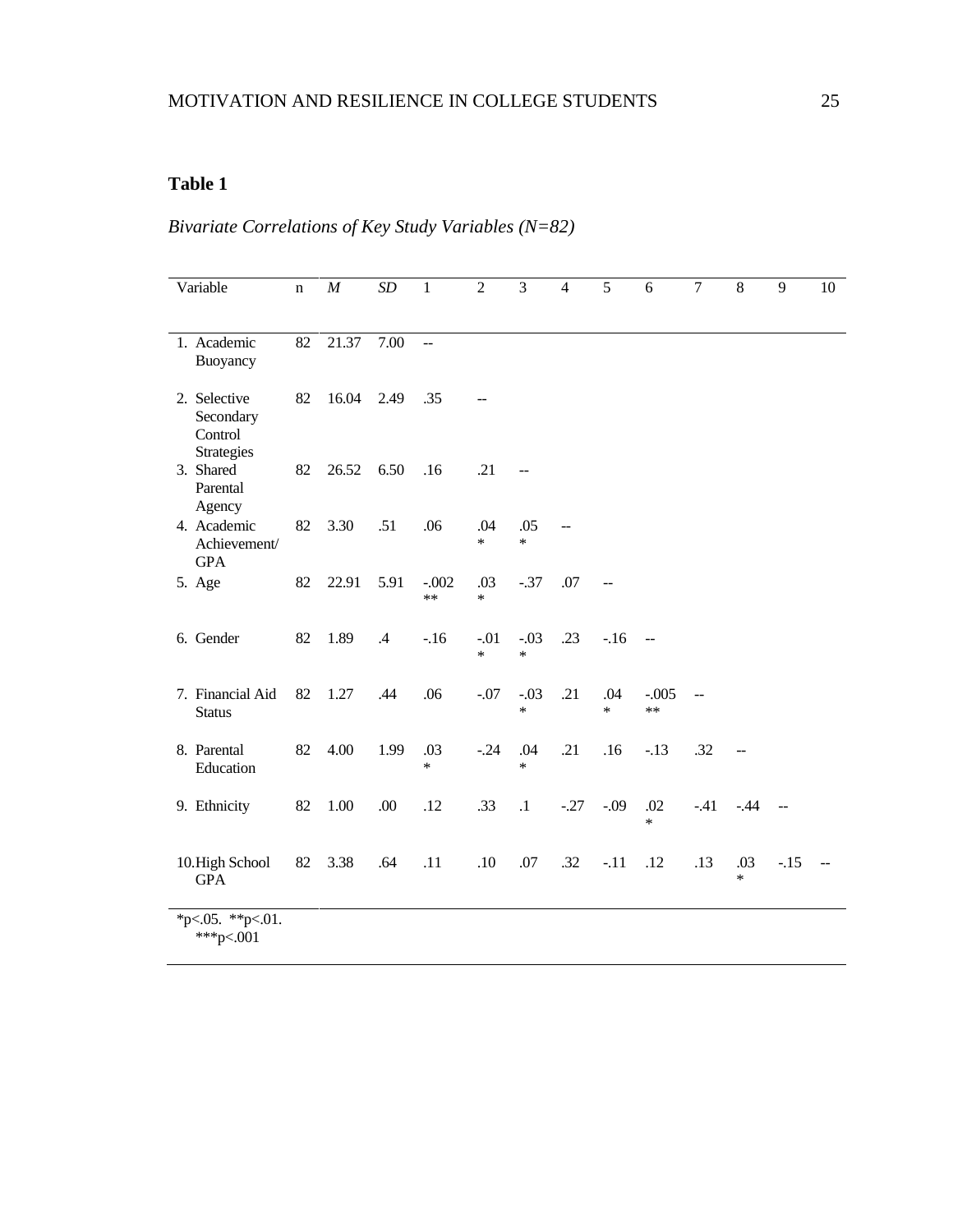## **Table 1**

## *Bivariate Correlations of Key Study Variables (N=82)*

| Variable                                           | $\mathbf n$ | $\cal M$   | SD   | $\mathbf{1}$        | $\overline{2}$   | $\overline{3}$           | $\overline{4}$ | 5                        | 6             | $\tau$         | 8             | 9      | 10             |
|----------------------------------------------------|-------------|------------|------|---------------------|------------------|--------------------------|----------------|--------------------------|---------------|----------------|---------------|--------|----------------|
|                                                    |             |            |      |                     |                  |                          |                |                          |               |                |               |        |                |
| 1. Academic<br>Buoyancy                            | 82          | 21.37      | 7.00 | $\bar{\phantom{a}}$ |                  |                          |                |                          |               |                |               |        |                |
| 2. Selective<br>Secondary<br>Control<br>Strategies | 82          | 16.04 2.49 |      | .35                 |                  |                          |                |                          |               |                |               |        |                |
| 3. Shared<br>Parental<br>Agency                    | 82          | 26.52 6.50 |      | .16                 | .21              | $\overline{\phantom{a}}$ |                |                          |               |                |               |        |                |
| 4. Academic<br>Achievement/<br><b>GPA</b>          | 82          | 3.30       | .51  | .06                 | .04<br>$*$       | .05<br>$\ast$            | $-$            |                          |               |                |               |        |                |
| 5. Age                                             | 82          | 22.91      | 5.91 | $-.002$<br>$**$     | .03<br>$\ast$    | $-37$                    | .07            | $\overline{\phantom{a}}$ |               |                |               |        |                |
| 6. Gender                                          | 82          | 1.89       | .4   | $-16$               | $-.01$<br>$\ast$ | $-.03$<br>$\ast$         | .23            | $-16$                    | $\sim$ $\sim$ |                |               |        |                |
| 7. Financial Aid<br><b>Status</b>                  | 82          | 1.27       | .44  | .06                 | $-.07$           | $-.03$<br>$\ast$         | .21            | .04<br>$\ast$            | $-.005$<br>** | $\overline{a}$ |               |        |                |
| 8. Parental<br>Education                           | 82          | 4.00       | 1.99 | .03<br>$\ast$       | $-.24$           | .04<br>$\ast$            | .21            | .16                      | $-13$         | .32            | $-$           |        |                |
| 9. Ethnicity                                       | 82          | 1.00       | .00  | .12                 | .33              | $\cdot$                  | $-.27$         | $-.09$                   | .02<br>$\ast$ | $-.41$         | $-.44$        | $\sim$ |                |
| 10. High School<br><b>GPA</b>                      | 82          | 3.38       | .64  | .11                 | .10              | .07                      | .32            | $-.11$                   | .12           | .13            | .03<br>$\ast$ | $-.15$ | $\overline{a}$ |
| *p<.05. **p<.01.<br>***p<.001                      |             |            |      |                     |                  |                          |                |                          |               |                |               |        |                |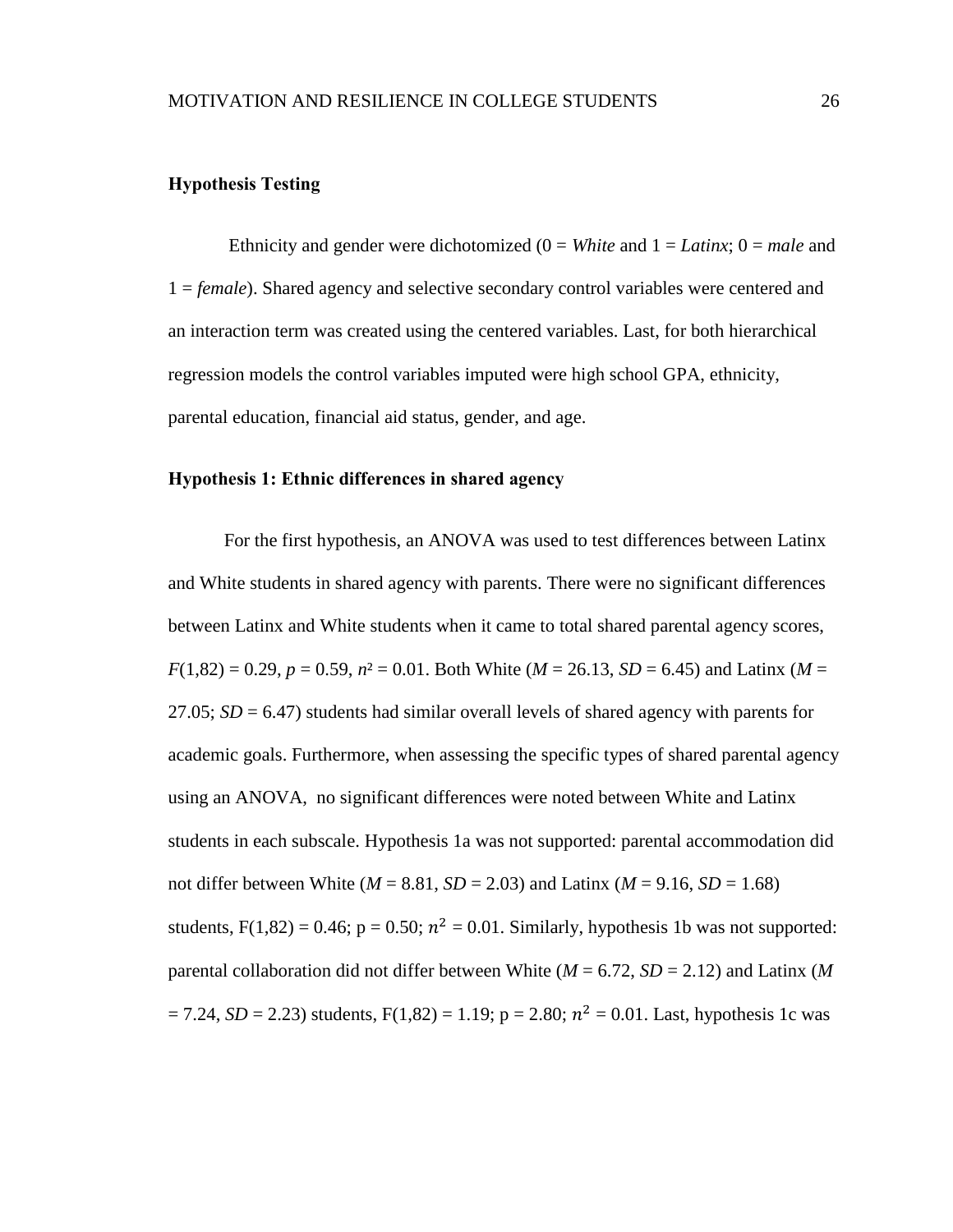#### <span id="page-32-0"></span>**Hypothesis Testing**

Ethnicity and gender were dichotomized (0 = *White* and 1 = *Latinx*; 0 = *male* and 1 = *female*). Shared agency and selective secondary control variables were centered and an interaction term was created using the centered variables. Last, for both hierarchical regression models the control variables imputed were high school GPA, ethnicity, parental education, financial aid status, gender, and age.

#### <span id="page-32-1"></span>**Hypothesis 1: Ethnic differences in shared agency**

For the first hypothesis, an ANOVA was used to test differences between Latinx and White students in shared agency with parents. There were no significant differences between Latinx and White students when it came to total shared parental agency scores,  $F(1,82) = 0.29$ ,  $p = 0.59$ ,  $n^2 = 0.01$ . Both White ( $M = 26.13$ ,  $SD = 6.45$ ) and Latinx ( $M =$  $27.05$ ;  $SD = 6.47$ ) students had similar overall levels of shared agency with parents for academic goals. Furthermore, when assessing the specific types of shared parental agency using an ANOVA, no significant differences were noted between White and Latinx students in each subscale. Hypothesis 1a was not supported: parental accommodation did not differ between White ( $M = 8.81$ ,  $SD = 2.03$ ) and Latinx ( $M = 9.16$ ,  $SD = 1.68$ ) students,  $F(1,82) = 0.46$ ;  $p = 0.50$ ;  $n^2 = 0.01$ . Similarly, hypothesis 1b was not supported: parental collaboration did not differ between White (*M* = 6.72, *SD* = 2.12) and Latinx (*M*  $= 7.24$ , *SD* = 2.23) students, F(1,82) = 1.19; p = 2.80;  $n^2 = 0.01$ . Last, hypothesis 1c was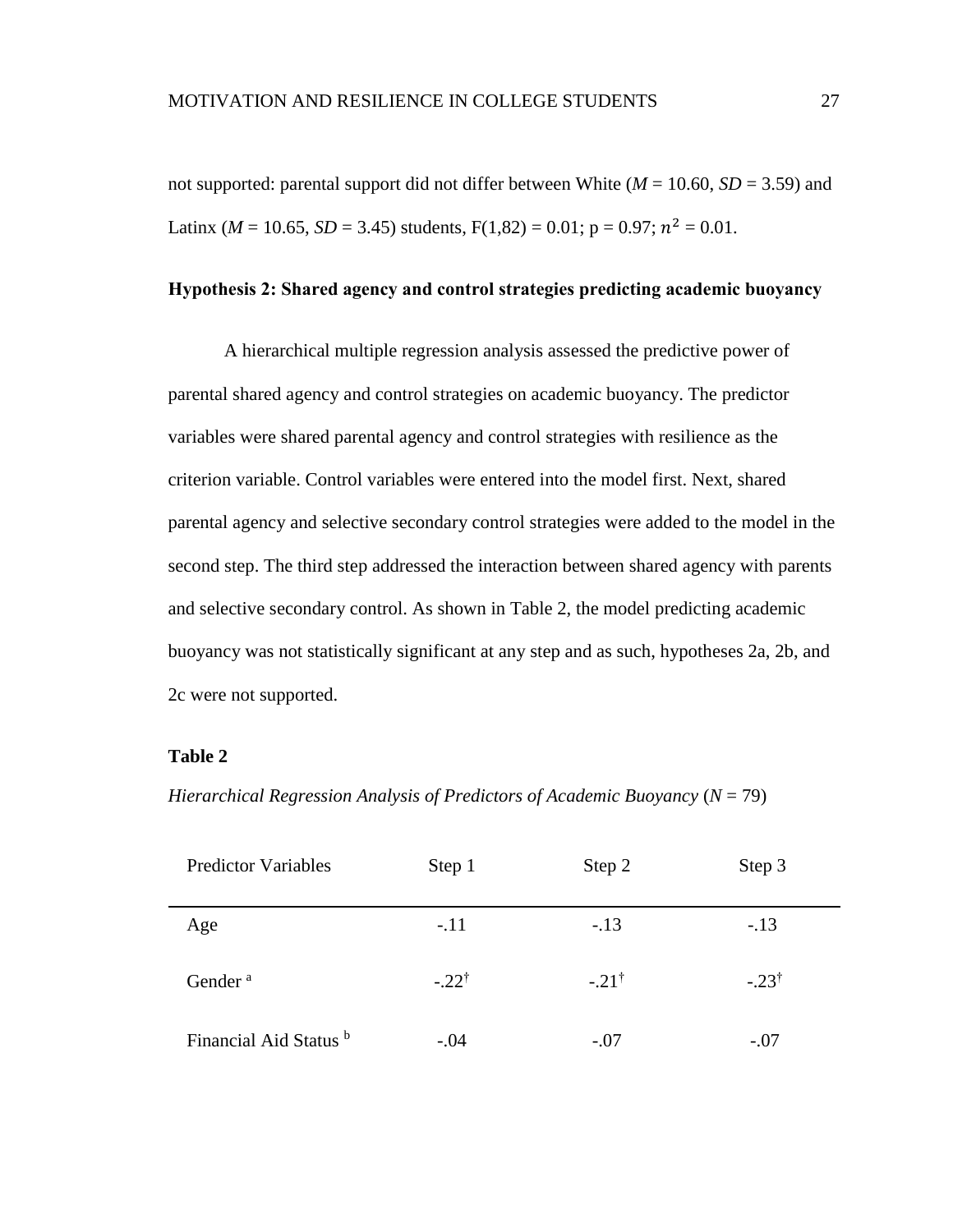not supported: parental support did not differ between White  $(M = 10.60, SD = 3.59)$  and Latinx ( $M = 10.65$ ,  $SD = 3.45$ ) students,  $F(1,82) = 0.01$ ;  $p = 0.97$ ;  $n^2 = 0.01$ .

#### <span id="page-33-0"></span>**Hypothesis 2: Shared agency and control strategies predicting academic buoyancy**

A hierarchical multiple regression analysis assessed the predictive power of parental shared agency and control strategies on academic buoyancy. The predictor variables were shared parental agency and control strategies with resilience as the criterion variable. Control variables were entered into the model first. Next, shared parental agency and selective secondary control strategies were added to the model in the second step. The third step addressed the interaction between shared agency with parents and selective secondary control. As shown in Table 2, the model predicting academic buoyancy was not statistically significant at any step and as such, hypotheses 2a, 2b, and 2c were not supported.

#### <span id="page-33-1"></span>**Table 2**

*Hierarchical Regression Analysis of Predictors of Academic Buoyancy* (*N* = 79)

| <b>Predictor Variables</b>        | Step 1           | Step 2           | Step 3           |  |
|-----------------------------------|------------------|------------------|------------------|--|
| Age                               | $-.11$           | $-.13$           | $-.13$           |  |
| Gender <sup>a</sup>               | $-.22^{\dagger}$ | $-.21^{\dagger}$ | $-.23^{\dagger}$ |  |
| Financial Aid Status <sup>b</sup> | $-.04$           | $-.07$           | $-.07$           |  |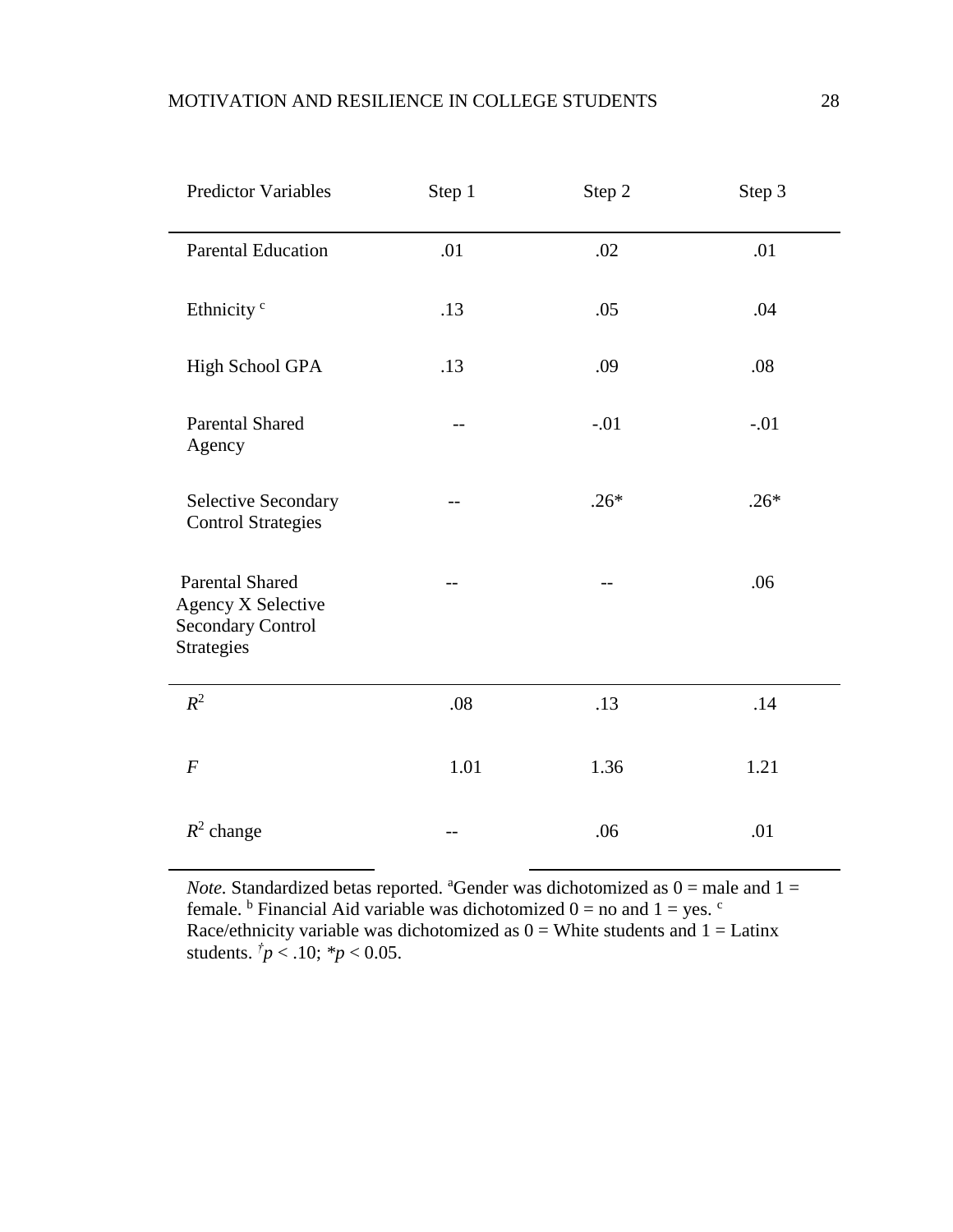| <b>Predictor Variables</b>                                                                    | Step 1  | Step 2 | Step 3 |
|-----------------------------------------------------------------------------------------------|---------|--------|--------|
| <b>Parental Education</b>                                                                     | .01     | .02    | .01    |
| Ethnicity <sup>c</sup>                                                                        | .13     | .05    | .04    |
| High School GPA                                                                               | .13     | .09    | .08    |
| <b>Parental Shared</b><br>Agency                                                              | --      | $-.01$ | $-.01$ |
| Selective Secondary<br><b>Control Strategies</b>                                              |         | $.26*$ | $.26*$ |
| <b>Parental Shared</b><br><b>Agency X Selective</b><br><b>Secondary Control</b><br>Strategies |         |        | .06    |
| $R^2$                                                                                         | $.08\,$ | .13    | .14    |
| $\boldsymbol{F}$                                                                              | 1.01    | 1.36   | 1.21   |
| $R^2$ change                                                                                  |         | .06    | .01    |

*Note.* Standardized betas reported. <sup>a</sup>Gender was dichotomized as  $0 =$  male and  $1 =$ female. <sup>b</sup> Financial Aid variable was dichotomized  $0 =$  no and  $1 =$  yes. <sup>c</sup> Race/ethnicity variable was dichotomized as  $0 =$  White students and  $1 =$  Latinx students.  $\dot{p}$  < .10;  $\dot{p}$  < 0.05.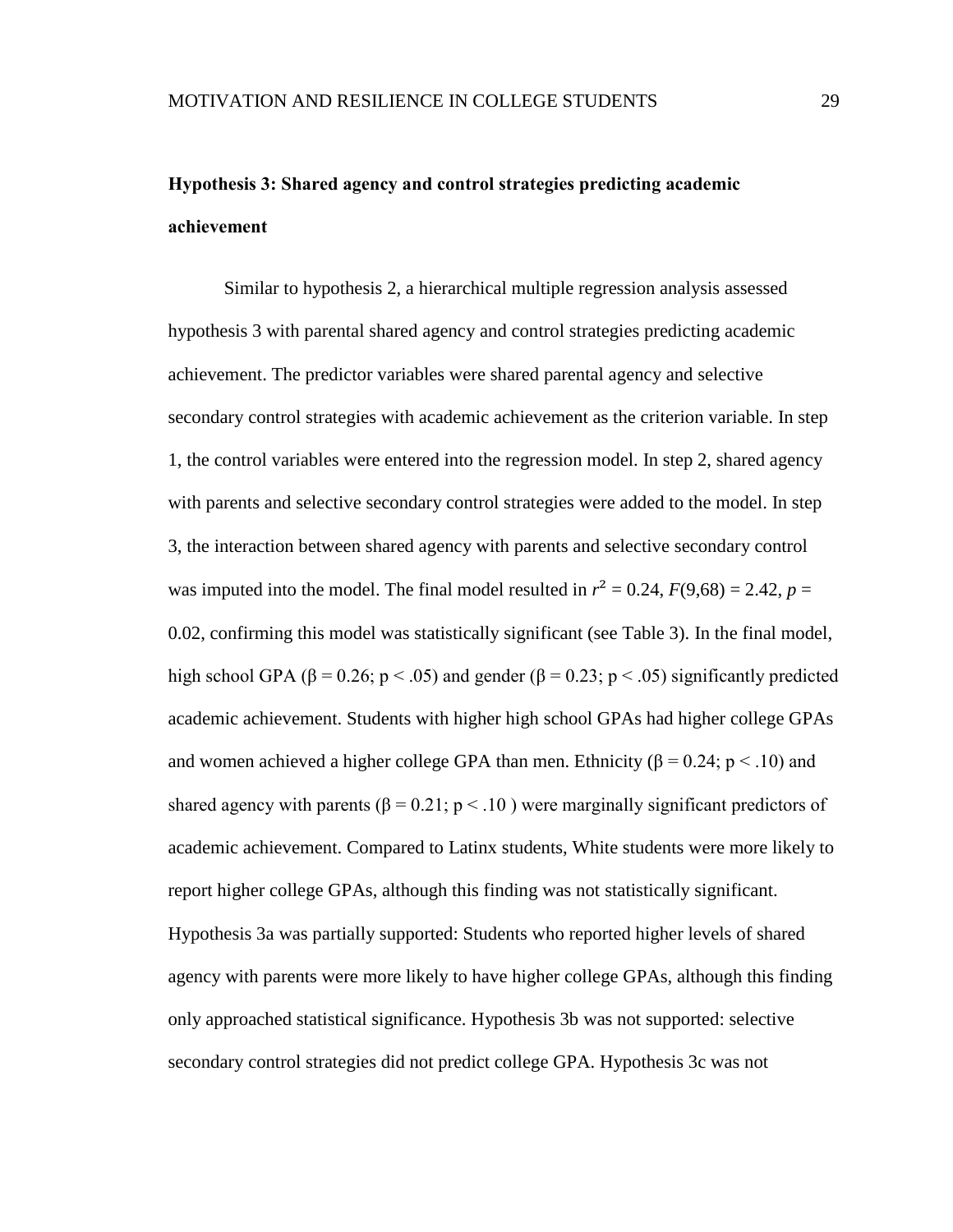# <span id="page-35-0"></span>**Hypothesis 3: Shared agency and control strategies predicting academic achievement**

Similar to hypothesis 2, a hierarchical multiple regression analysis assessed hypothesis 3 with parental shared agency and control strategies predicting academic achievement. The predictor variables were shared parental agency and selective secondary control strategies with academic achievement as the criterion variable. In step 1, the control variables were entered into the regression model. In step 2, shared agency with parents and selective secondary control strategies were added to the model. In step 3, the interaction between shared agency with parents and selective secondary control was imputed into the model. The final model resulted in  $r^2 = 0.24$ ,  $F(9,68) = 2.42$ ,  $p =$ 0.02, confirming this model was statistically significant (see Table 3). In the final model, high school GPA ( $\beta$  = 0.26; p < .05) and gender ( $\beta$  = 0.23; p < .05) significantly predicted academic achievement. Students with higher high school GPAs had higher college GPAs and women achieved a higher college GPA than men. Ethnicity ( $\beta = 0.24$ ; p < .10) and shared agency with parents ( $\beta = 0.21$ ;  $p < 0.10$ ) were marginally significant predictors of academic achievement. Compared to Latinx students, White students were more likely to report higher college GPAs, although this finding was not statistically significant. Hypothesis 3a was partially supported: Students who reported higher levels of shared agency with parents were more likely to have higher college GPAs, although this finding only approached statistical significance. Hypothesis 3b was not supported: selective secondary control strategies did not predict college GPA. Hypothesis 3c was not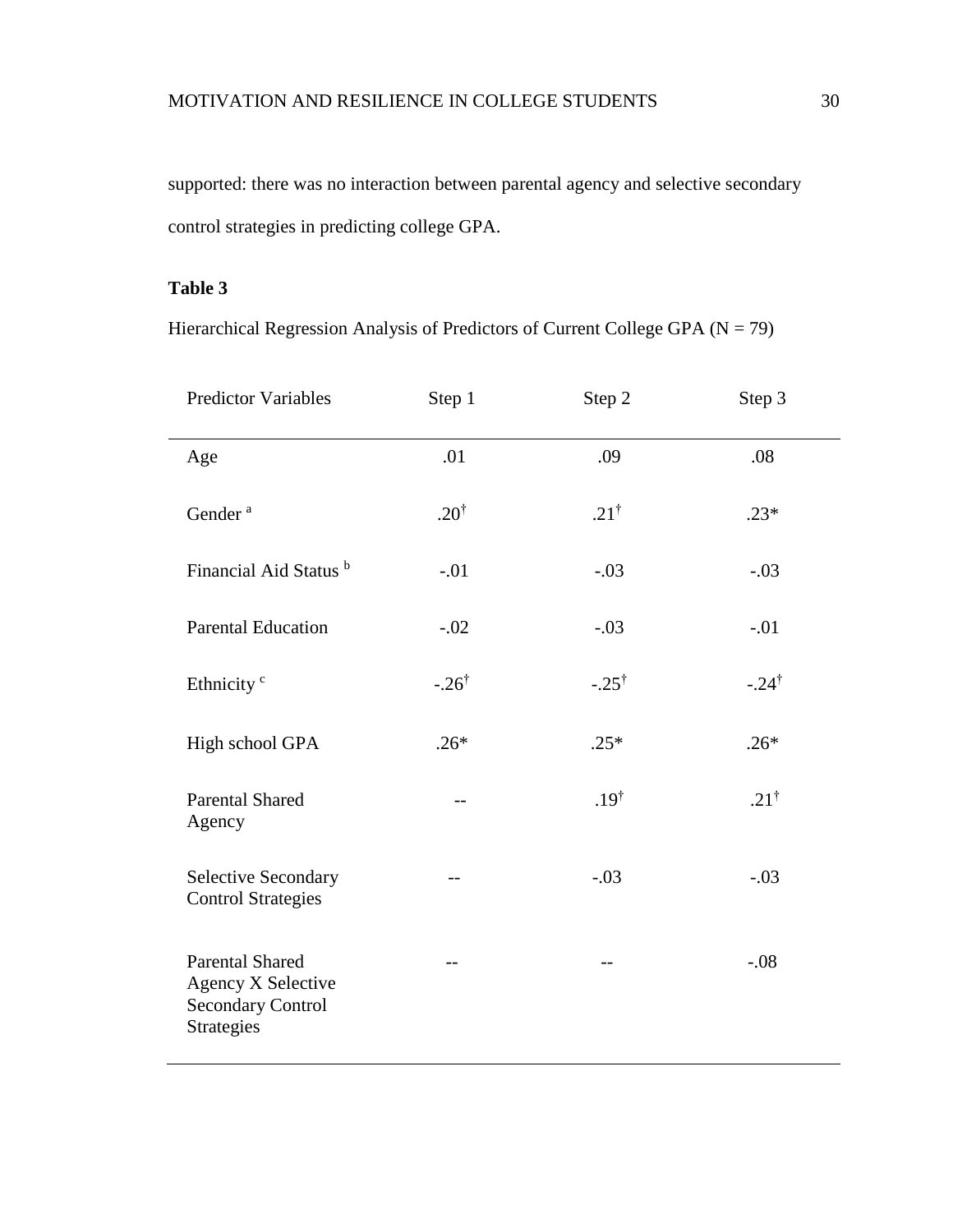supported: there was no interaction between parental agency and selective secondary control strategies in predicting college GPA.

## <span id="page-36-0"></span>**Table 3**

Hierarchical Regression Analysis of Predictors of Current College GPA ( $N = 79$ )

| <b>Predictor Variables</b>                                                                    | Step 1           | Step 2           | Step 3            |
|-----------------------------------------------------------------------------------------------|------------------|------------------|-------------------|
| Age                                                                                           | .01              | .09              | $.08\,$           |
| Gender <sup>a</sup>                                                                           | $.20^{\dagger}$  | $.21^{\dagger}$  | $.23*$            |
| Financial Aid Status <sup>b</sup>                                                             | $-.01$           | $-.03$           | $-.03$            |
| <b>Parental Education</b>                                                                     | $-.02$           | $-.03$           | $-.01$            |
| Ethnicity <sup>c</sup>                                                                        | $-.26^{\dagger}$ | $-.25^{\dagger}$ | $-0.24^{\dagger}$ |
| High school GPA                                                                               | $.26*$           | $.25*$           | $.26*$            |
| <b>Parental Shared</b><br>Agency                                                              | $-$              | $.19^{\dagger}$  | $.21^{\dagger}$   |
| Selective Secondary<br><b>Control Strategies</b>                                              | $-$              | $-.03$           | $-.03$            |
| <b>Parental Shared</b><br><b>Agency X Selective</b><br><b>Secondary Control</b><br>Strategies | --               | --               | $-.08$            |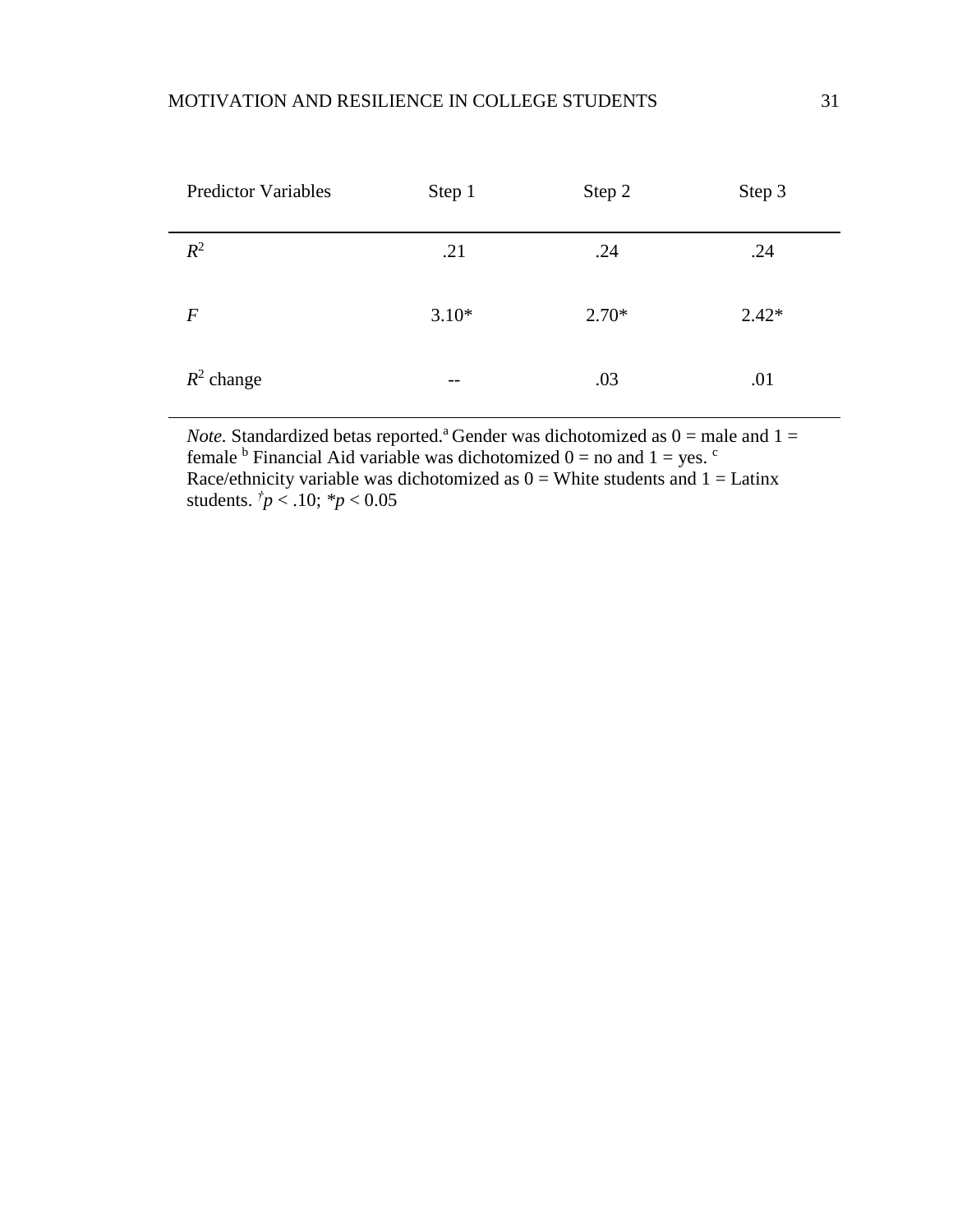| <b>Predictor Variables</b> | Step 1  | Step 2  | Step 3  |
|----------------------------|---------|---------|---------|
| $R^2$                      | .21     | .24     | .24     |
| $\boldsymbol{F}$           | $3.10*$ | $2.70*$ | $2.42*$ |
| $R^2$ change               | $- -$   | .03     | .01     |

*Note.* Standardized betas reported.<sup>a</sup> Gender was dichotomized as  $0 =$  male and  $1 =$ female <sup>b</sup> Financial Aid variable was dichotomized  $0 =$  no and  $1 =$  yes. <sup>c</sup> Race/ethnicity variable was dichotomized as  $0 =$  White students and  $1 =$  Latinx students.  $\frac{t}{p}$  < .10;  $\frac{k}{p}$  < 0.05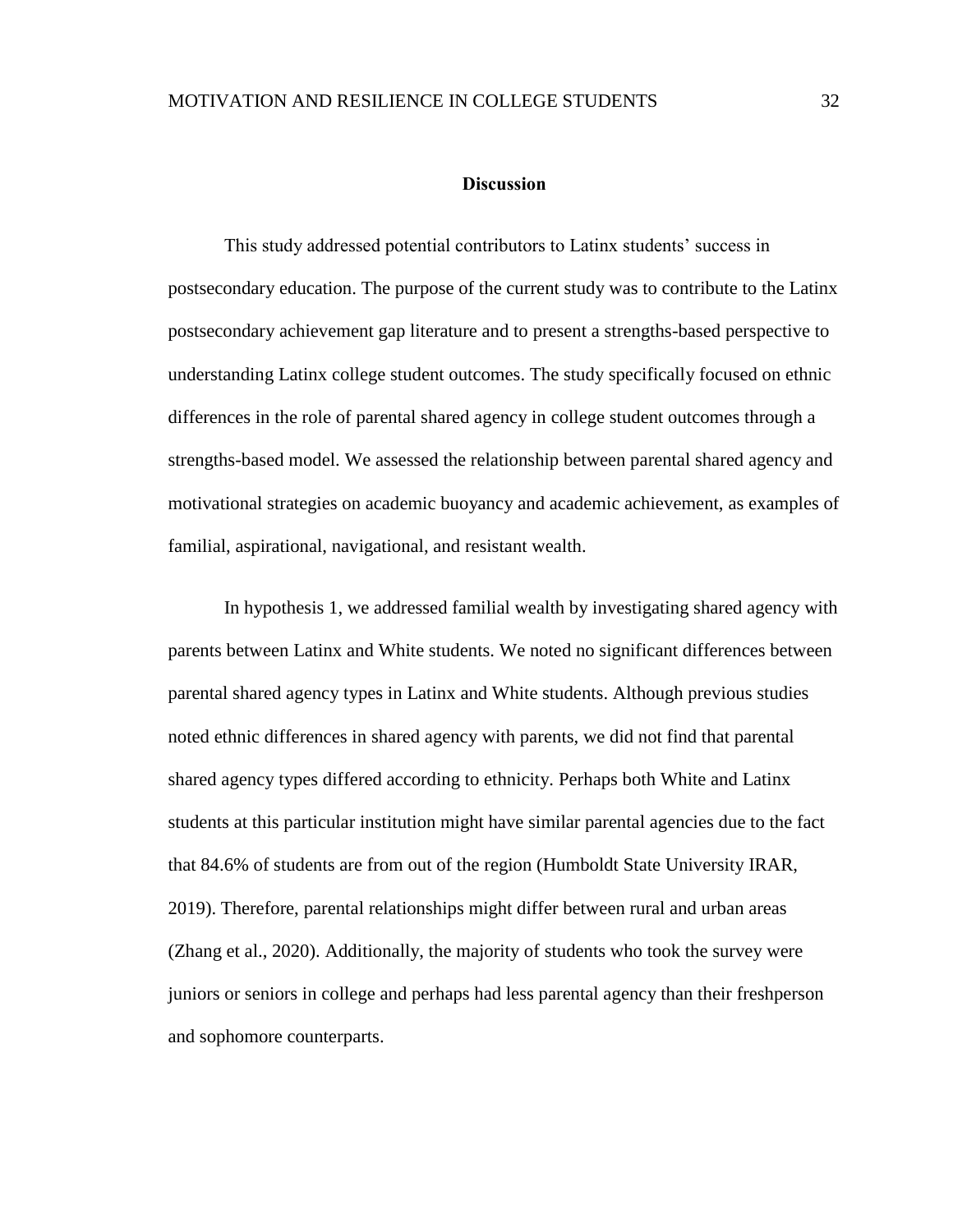#### **Discussion**

<span id="page-38-0"></span>This study addressed potential contributors to Latinx students' success in postsecondary education. The purpose of the current study was to contribute to the Latinx postsecondary achievement gap literature and to present a strengths-based perspective to understanding Latinx college student outcomes. The study specifically focused on ethnic differences in the role of parental shared agency in college student outcomes through a strengths-based model. We assessed the relationship between parental shared agency and motivational strategies on academic buoyancy and academic achievement, as examples of familial, aspirational, navigational, and resistant wealth.

In hypothesis 1, we addressed familial wealth by investigating shared agency with parents between Latinx and White students. We noted no significant differences between parental shared agency types in Latinx and White students. Although previous studies noted ethnic differences in shared agency with parents, we did not find that parental shared agency types differed according to ethnicity. Perhaps both White and Latinx students at this particular institution might have similar parental agencies due to the fact that 84.6% of students are from out of the region (Humboldt State University IRAR, 2019). Therefore, parental relationships might differ between rural and urban areas (Zhang et al., 2020). Additionally, the majority of students who took the survey were juniors or seniors in college and perhaps had less parental agency than their freshperson and sophomore counterparts.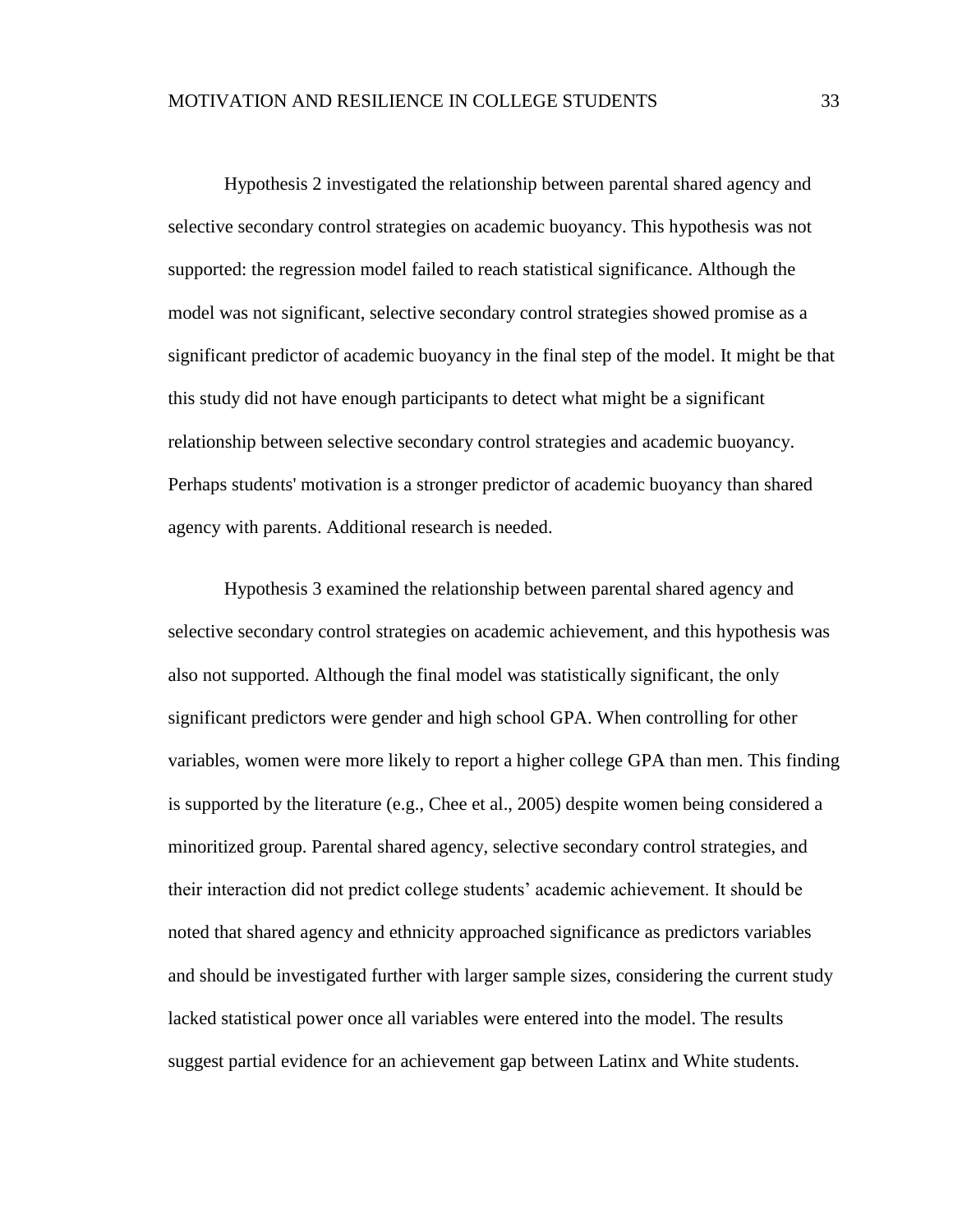Hypothesis 2 investigated the relationship between parental shared agency and selective secondary control strategies on academic buoyancy. This hypothesis was not supported: the regression model failed to reach statistical significance. Although the model was not significant, selective secondary control strategies showed promise as a significant predictor of academic buoyancy in the final step of the model. It might be that this study did not have enough participants to detect what might be a significant relationship between selective secondary control strategies and academic buoyancy. Perhaps students' motivation is a stronger predictor of academic buoyancy than shared agency with parents. Additional research is needed.

Hypothesis 3 examined the relationship between parental shared agency and selective secondary control strategies on academic achievement, and this hypothesis was also not supported. Although the final model was statistically significant, the only significant predictors were gender and high school GPA. When controlling for other variables, women were more likely to report a higher college GPA than men. This finding is supported by the literature (e.g., Chee et al., 2005) despite women being considered a minoritized group. Parental shared agency, selective secondary control strategies, and their interaction did not predict college students' academic achievement. It should be noted that shared agency and ethnicity approached significance as predictors variables and should be investigated further with larger sample sizes, considering the current study lacked statistical power once all variables were entered into the model. The results suggest partial evidence for an achievement gap between Latinx and White students.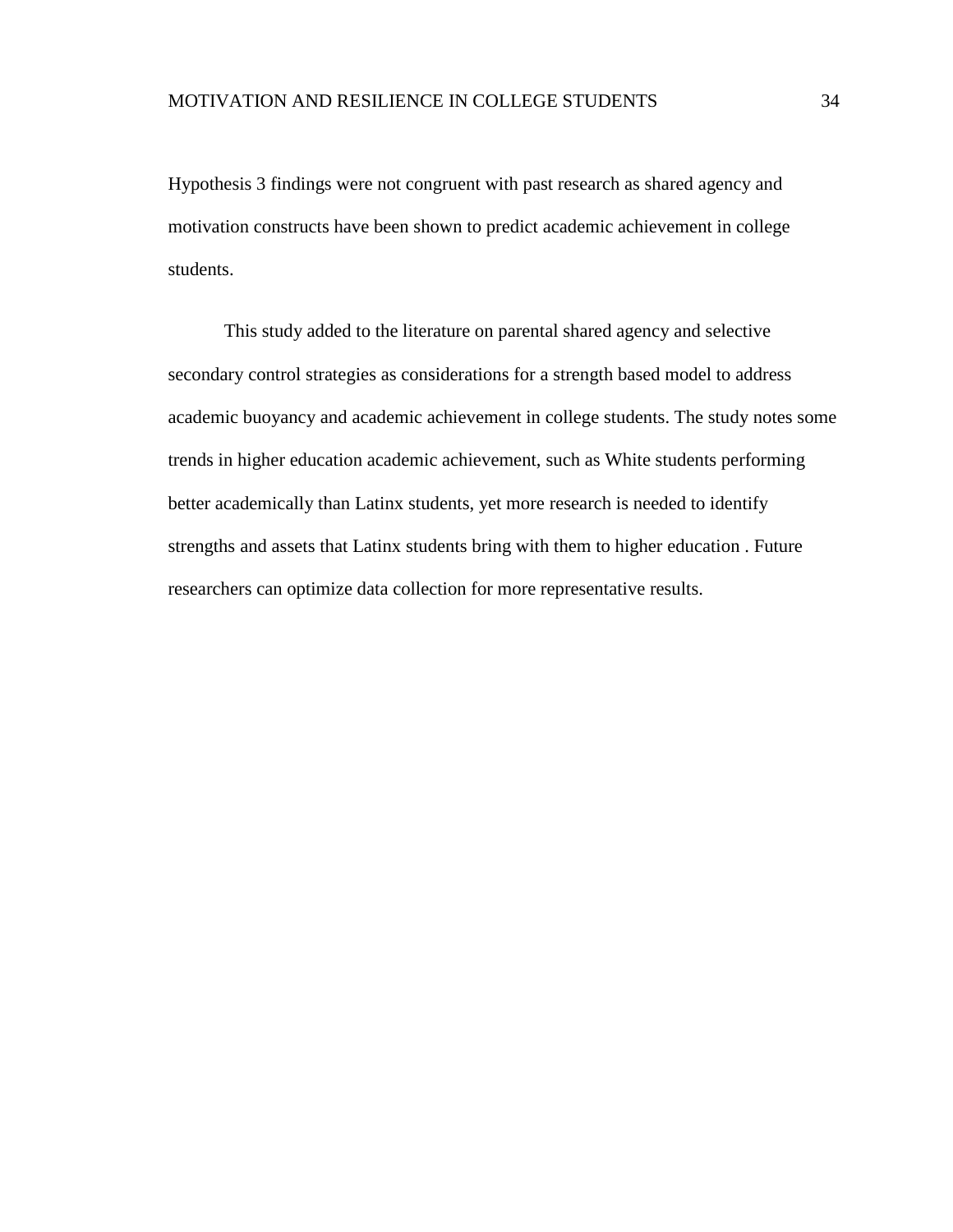Hypothesis 3 findings were not congruent with past research as shared agency and motivation constructs have been shown to predict academic achievement in college students.

This study added to the literature on parental shared agency and selective secondary control strategies as considerations for a strength based model to address academic buoyancy and academic achievement in college students. The study notes some trends in higher education academic achievement, such as White students performing better academically than Latinx students, yet more research is needed to identify strengths and assets that Latinx students bring with them to higher education . Future researchers can optimize data collection for more representative results.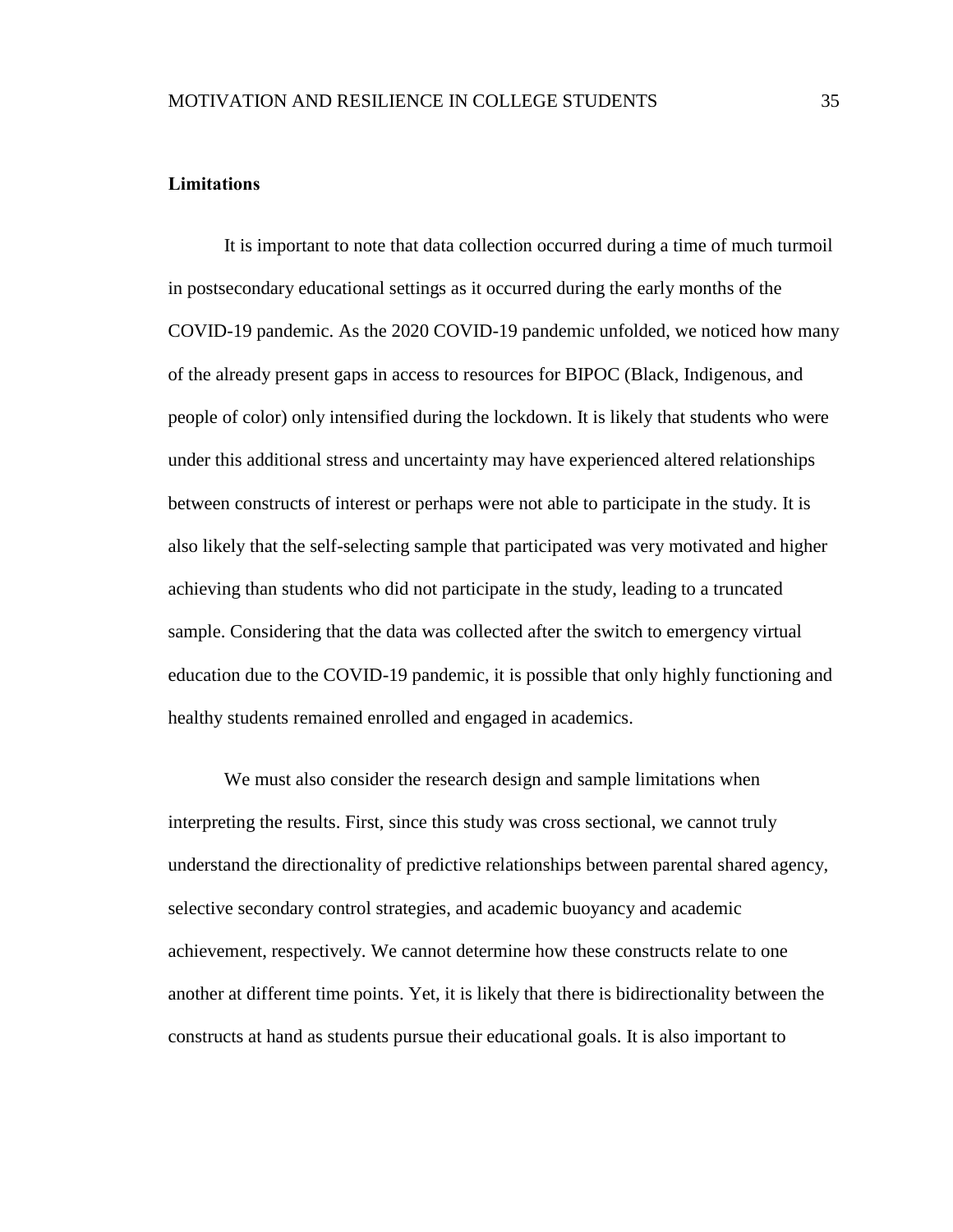#### <span id="page-41-0"></span>**Limitations**

It is important to note that data collection occurred during a time of much turmoil in postsecondary educational settings as it occurred during the early months of the COVID-19 pandemic. As the 2020 COVID-19 pandemic unfolded, we noticed how many of the already present gaps in access to resources for BIPOC (Black, Indigenous, and people of color) only intensified during the lockdown. It is likely that students who were under this additional stress and uncertainty may have experienced altered relationships between constructs of interest or perhaps were not able to participate in the study. It is also likely that the self-selecting sample that participated was very motivated and higher achieving than students who did not participate in the study, leading to a truncated sample. Considering that the data was collected after the switch to emergency virtual education due to the COVID-19 pandemic, it is possible that only highly functioning and healthy students remained enrolled and engaged in academics.

We must also consider the research design and sample limitations when interpreting the results. First, since this study was cross sectional, we cannot truly understand the directionality of predictive relationships between parental shared agency, selective secondary control strategies, and academic buoyancy and academic achievement, respectively. We cannot determine how these constructs relate to one another at different time points. Yet, it is likely that there is bidirectionality between the constructs at hand as students pursue their educational goals. It is also important to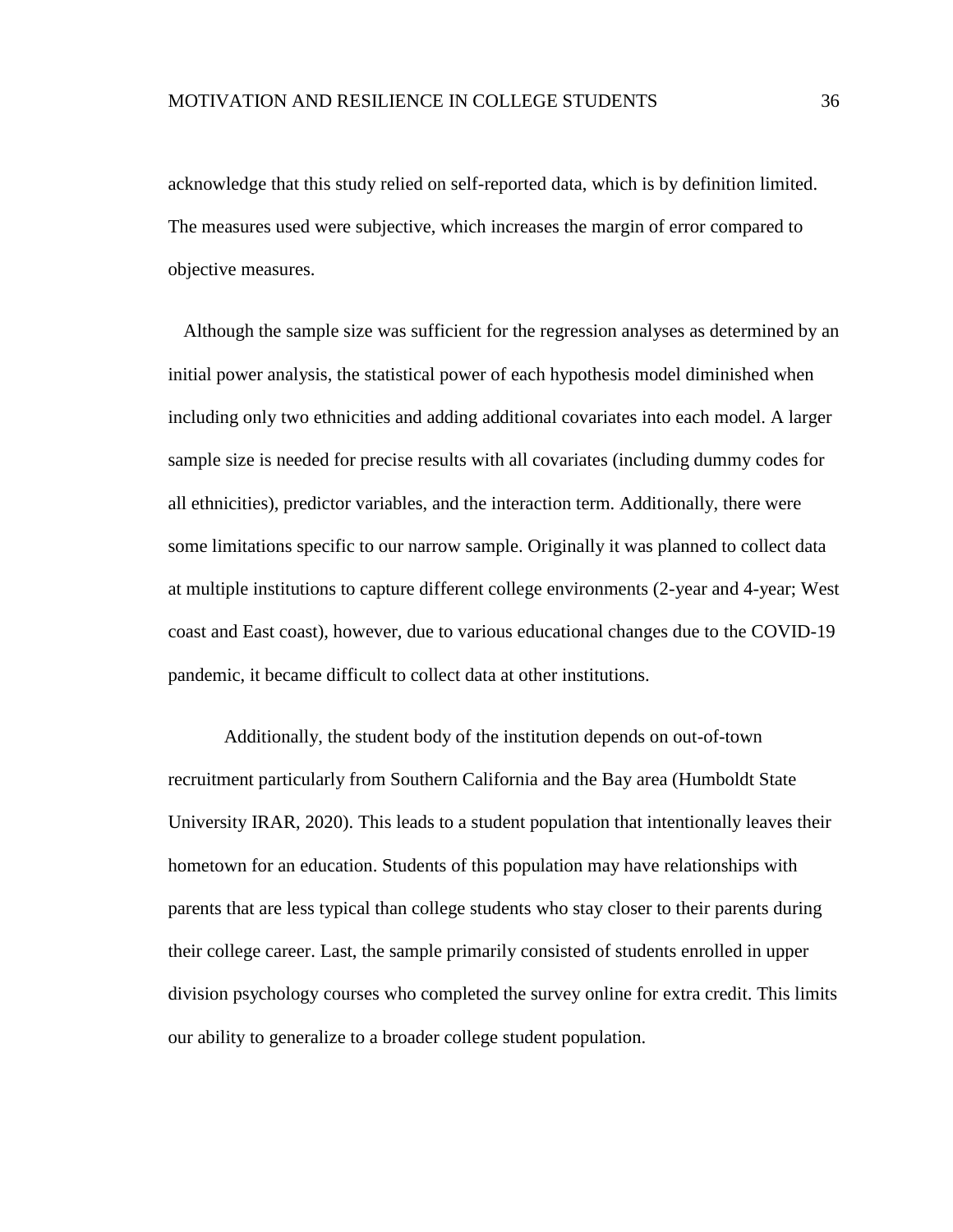acknowledge that this study relied on self-reported data, which is by definition limited. The measures used were subjective, which increases the margin of error compared to objective measures.

Although the sample size was sufficient for the regression analyses as determined by an initial power analysis, the statistical power of each hypothesis model diminished when including only two ethnicities and adding additional covariates into each model. A larger sample size is needed for precise results with all covariates (including dummy codes for all ethnicities), predictor variables, and the interaction term. Additionally, there were some limitations specific to our narrow sample. Originally it was planned to collect data at multiple institutions to capture different college environments (2-year and 4-year; West coast and East coast), however, due to various educational changes due to the COVID-19 pandemic, it became difficult to collect data at other institutions.

Additionally, the student body of the institution depends on out-of-town recruitment particularly from Southern California and the Bay area (Humboldt State University IRAR, 2020). This leads to a student population that intentionally leaves their hometown for an education. Students of this population may have relationships with parents that are less typical than college students who stay closer to their parents during their college career. Last, the sample primarily consisted of students enrolled in upper division psychology courses who completed the survey online for extra credit. This limits our ability to generalize to a broader college student population.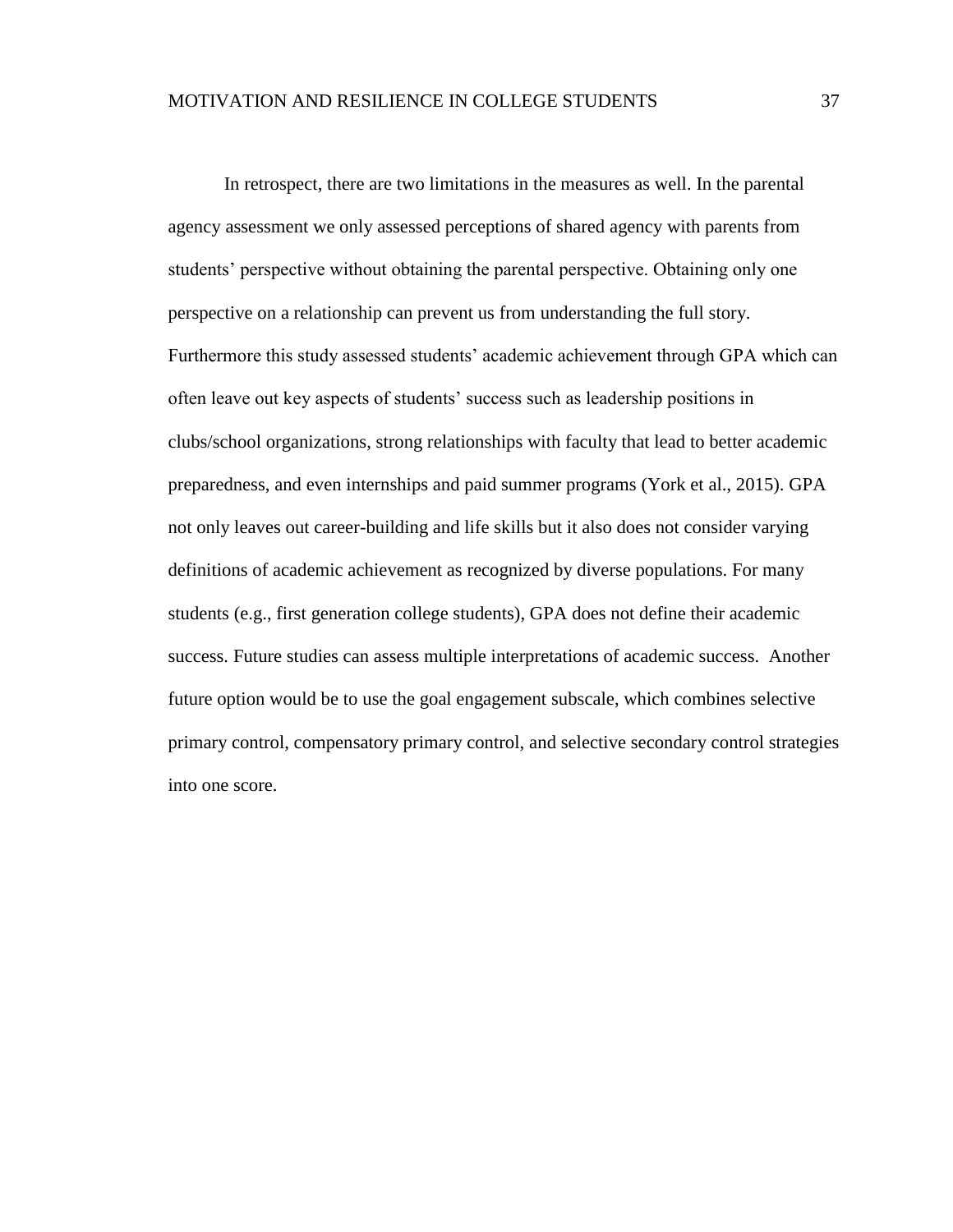In retrospect, there are two limitations in the measures as well. In the parental agency assessment we only assessed perceptions of shared agency with parents from students' perspective without obtaining the parental perspective. Obtaining only one perspective on a relationship can prevent us from understanding the full story. Furthermore this study assessed students' academic achievement through GPA which can often leave out key aspects of students' success such as leadership positions in clubs/school organizations, strong relationships with faculty that lead to better academic preparedness, and even internships and paid summer programs (York et al., 2015). GPA not only leaves out career-building and life skills but it also does not consider varying definitions of academic achievement as recognized by diverse populations. For many students (e.g., first generation college students), GPA does not define their academic success. Future studies can assess multiple interpretations of academic success. Another future option would be to use the goal engagement subscale, which combines selective primary control, compensatory primary control, and selective secondary control strategies into one score.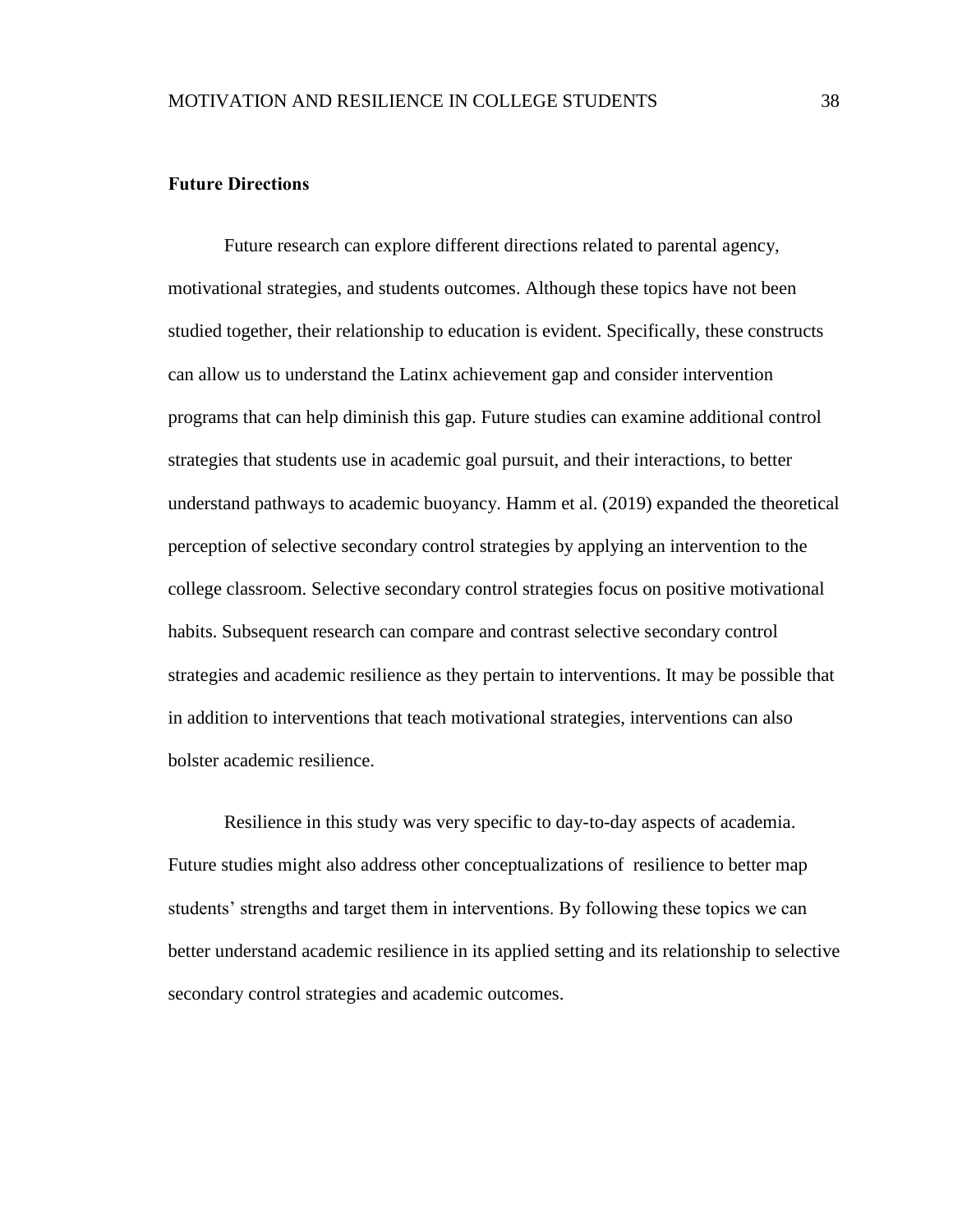#### <span id="page-44-0"></span>**Future Directions**

Future research can explore different directions related to parental agency, motivational strategies, and students outcomes. Although these topics have not been studied together, their relationship to education is evident. Specifically, these constructs can allow us to understand the Latinx achievement gap and consider intervention programs that can help diminish this gap. Future studies can examine additional control strategies that students use in academic goal pursuit, and their interactions, to better understand pathways to academic buoyancy. Hamm et al. (2019) expanded the theoretical perception of selective secondary control strategies by applying an intervention to the college classroom. Selective secondary control strategies focus on positive motivational habits. Subsequent research can compare and contrast selective secondary control strategies and academic resilience as they pertain to interventions. It may be possible that in addition to interventions that teach motivational strategies, interventions can also bolster academic resilience.

Resilience in this study was very specific to day-to-day aspects of academia. Future studies might also address other conceptualizations of resilience to better map students' strengths and target them in interventions. By following these topics we can better understand academic resilience in its applied setting and its relationship to selective secondary control strategies and academic outcomes.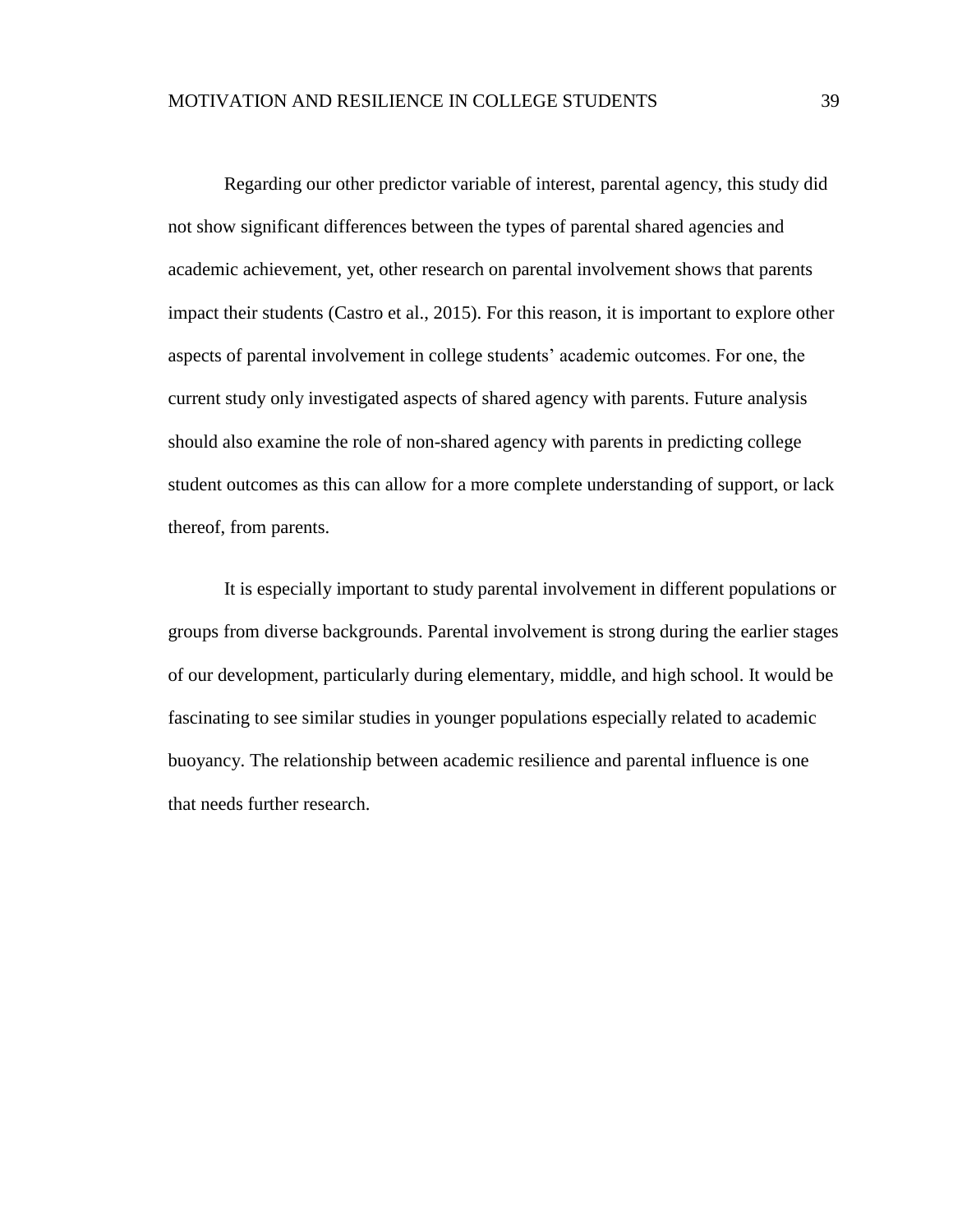Regarding our other predictor variable of interest, parental agency, this study did not show significant differences between the types of parental shared agencies and academic achievement, yet, other research on parental involvement shows that parents impact their students (Castro et al., 2015). For this reason, it is important to explore other aspects of parental involvement in college students' academic outcomes. For one, the current study only investigated aspects of shared agency with parents. Future analysis should also examine the role of non-shared agency with parents in predicting college student outcomes as this can allow for a more complete understanding of support, or lack thereof, from parents.

It is especially important to study parental involvement in different populations or groups from diverse backgrounds. Parental involvement is strong during the earlier stages of our development, particularly during elementary, middle, and high school. It would be fascinating to see similar studies in younger populations especially related to academic buoyancy. The relationship between academic resilience and parental influence is one that needs further research.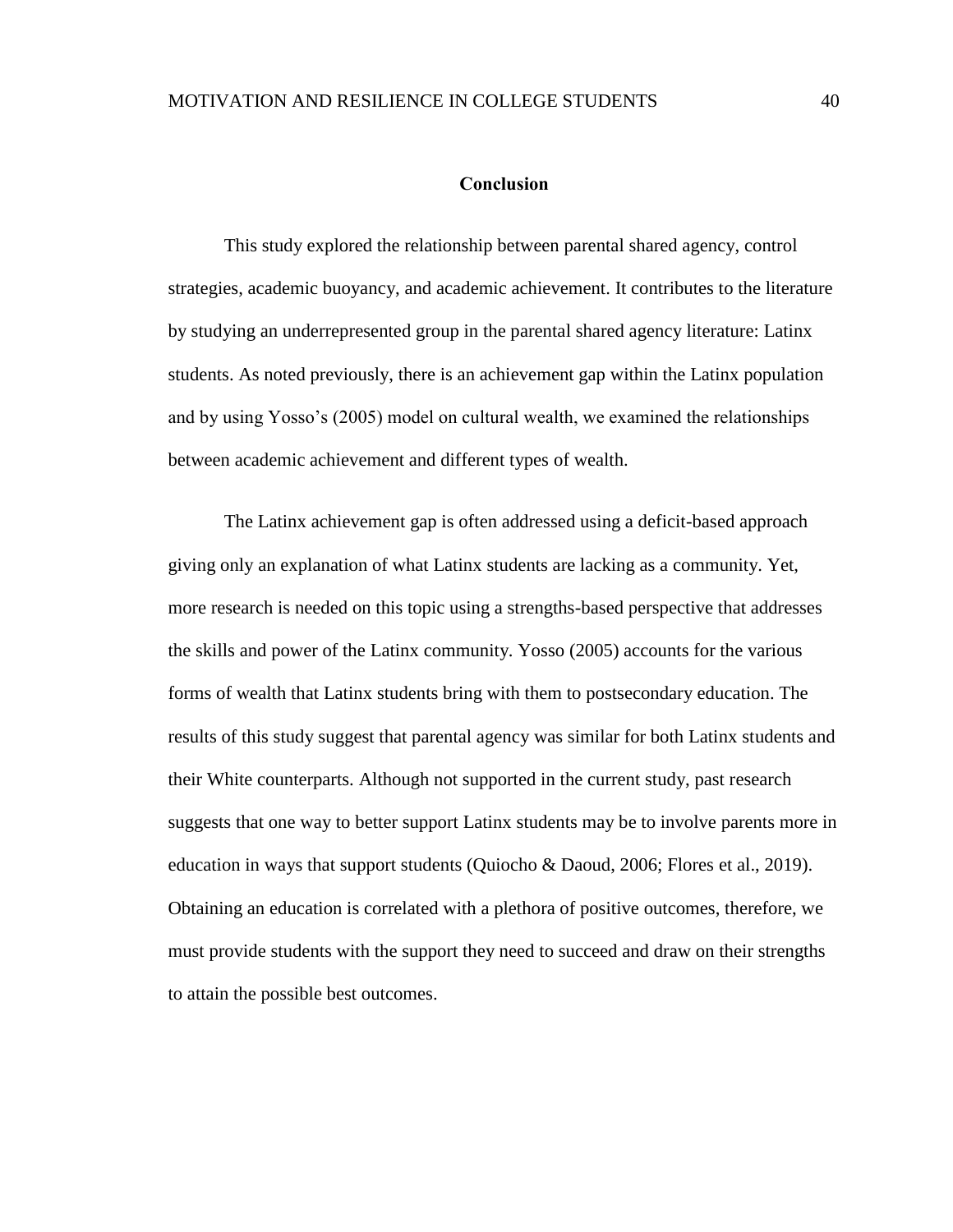#### **Conclusion**

<span id="page-46-0"></span>This study explored the relationship between parental shared agency, control strategies, academic buoyancy, and academic achievement. It contributes to the literature by studying an underrepresented group in the parental shared agency literature: Latinx students. As noted previously, there is an achievement gap within the Latinx population and by using Yosso's (2005) model on cultural wealth, we examined the relationships between academic achievement and different types of wealth.

The Latinx achievement gap is often addressed using a deficit-based approach giving only an explanation of what Latinx students are lacking as a community. Yet, more research is needed on this topic using a strengths-based perspective that addresses the skills and power of the Latinx community. Yosso (2005) accounts for the various forms of wealth that Latinx students bring with them to postsecondary education. The results of this study suggest that parental agency was similar for both Latinx students and their White counterparts. Although not supported in the current study, past research suggests that one way to better support Latinx students may be to involve parents more in education in ways that support students (Quiocho & Daoud, 2006; Flores et al., 2019). Obtaining an education is correlated with a plethora of positive outcomes, therefore, we must provide students with the support they need to succeed and draw on their strengths to attain the possible best outcomes.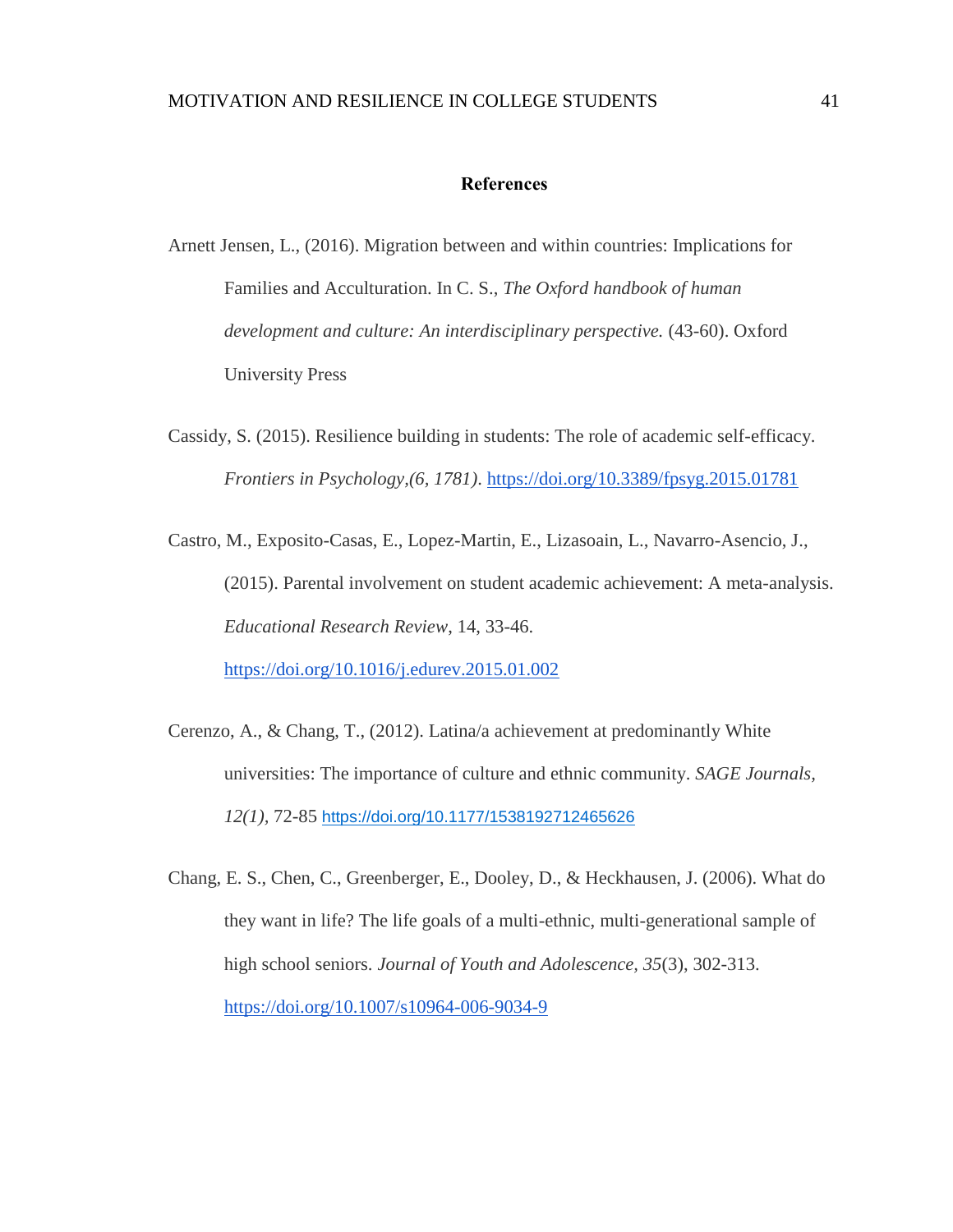#### **References**

- <span id="page-47-0"></span>Arnett Jensen, L., (2016). Migration between and within countries: Implications for Families and Acculturation. In C. S., *The Oxford handbook of human development and culture: An interdisciplinary perspective.* (43-60). Oxford University Press
- Cassidy, S. (2015). Resilience building in students: The role of academic self-efficacy. *Frontiers in Psychology,(6, 1781)*.<https://doi.org/10.3389/fpsyg.2015.01781>

Castro, M., Exposito-Casas, E., Lopez-Martin, E., Lizasoain, L., Navarro-Asencio, J., (2015). Parental involvement on student academic achievement: A meta-analysis. *Educational Research Review*, 14, 33-46. [https://doi.org/10.1016/j.edurev.2015.01.002](https://doi.org/10.1016/j.edurev.2015.01.002.)

- Cerenzo, A., & Chang, T., (2012). Latina/a achievement at predominantly White universities: The importance of culture and ethnic community. *SAGE Journals, 12(1),* 72-85 [https://doi.org/10.1177/1538192712465626](https://doi.org/10.1177%2F1538192712465626)
- Chang, E. S., Chen, C., Greenberger, E., Dooley, D., & Heckhausen, J. (2006). What do they want in life? The life goals of a multi-ethnic, multi-generational sample of high school seniors. *Journal of Youth and Adolescence, 35*(3), 302-313. <https://doi.org/10.1007/s10964-006-9034-9>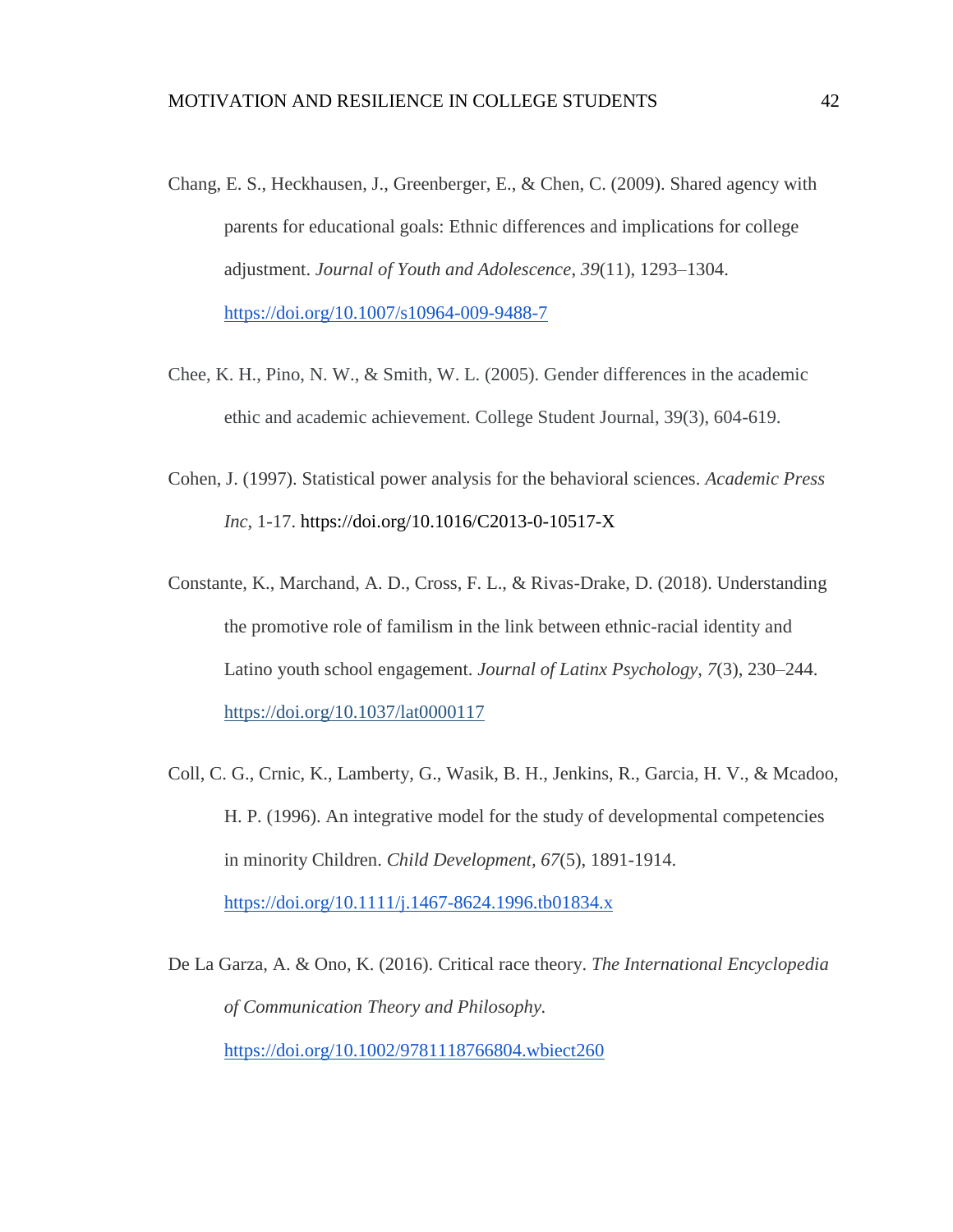- Chang, E. S., Heckhausen, J., Greenberger, E., & Chen, C. (2009). Shared agency with parents for educational goals: Ethnic differences and implications for college adjustment. *Journal of Youth and Adolescence*, *39*(11), 1293–1304. <https://doi.org/10.1007/s10964-009-9488-7>
- Chee, K. H., Pino, N. W., & Smith, W. L. (2005). Gender differences in the academic ethic and academic achievement. College Student Journal, 39(3), 604-619.
- Cohen, J. (1997). Statistical power analysis for the behavioral sciences. *Academic Press Inc*, 1-17. <https://doi.org/10.1016/C2013-0-10517-X>
- Constante, K., Marchand, A. D., Cross, F. L., & Rivas-Drake, D. (2018). Understanding the promotive role of familism in the link between ethnic-racial identity and Latino youth school engagement. *Journal of Latinx Psychology*, *7*(3), 230–244. [https://doi.org/10.1037/lat0000117](https://psycnet.apa.org/doi/10.1037/lat0000117)
- Coll, C. G., Crnic, K., Lamberty, G., Wasik, B. H., Jenkins, R., Garcia, H. V., & Mcadoo, H. P. (1996). An integrative model for the study of developmental competencies in minority Children. *Child Development, 67*(5), 1891-1914. <https://doi.org/10.1111/j.1467-8624.1996.tb01834.x>

De La Garza, A. & Ono, K. (2016). Critical race theory. *The International Encyclopedia of Communication Theory and Philosophy.*  <https://doi.org/10.1002/9781118766804.wbiect260>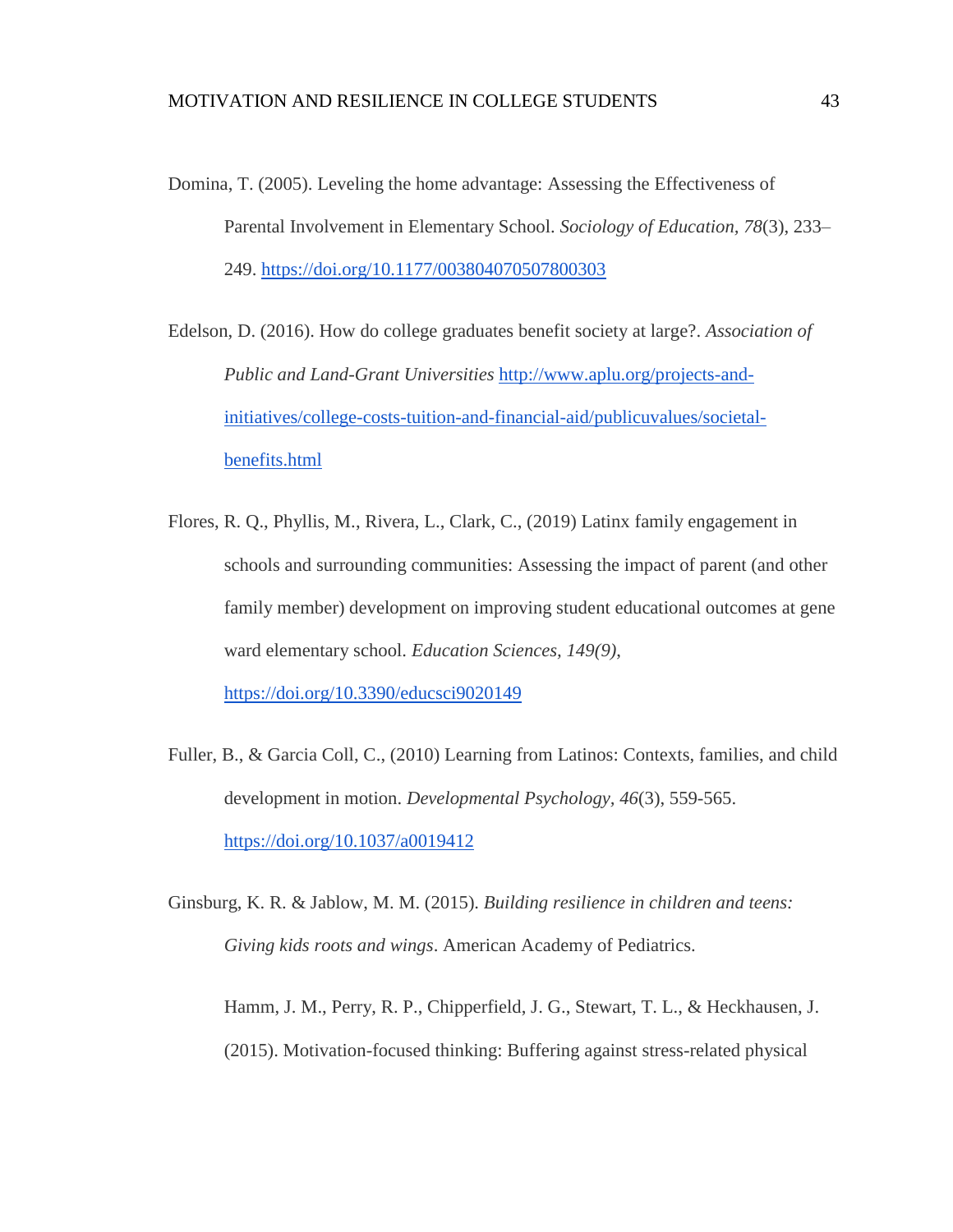Domina, T. (2005). Leveling the home advantage: Assessing the Effectiveness of Parental Involvement in Elementary School. *Sociology of Education, 78*(3), 233– 249.<https://doi.org/10.1177/003804070507800303>

Edelson, D. (2016). How do college graduates benefit society at large?. *Association of Public and Land-Grant Universities* [http://www.aplu.org/projects-and](http://www.aplu.org/projects-and-initiatives/college-costs-tuition-and-financial-aid/publicuvalues/societal-benefits.html)[initiatives/college-costs-tuition-and-financial-aid/publicuvalues/societal](http://www.aplu.org/projects-and-initiatives/college-costs-tuition-and-financial-aid/publicuvalues/societal-benefits.html)[benefits.html](http://www.aplu.org/projects-and-initiatives/college-costs-tuition-and-financial-aid/publicuvalues/societal-benefits.html)

Flores, R. Q., Phyllis, M., Rivera, L., Clark, C., (2019) Latinx family engagement in schools and surrounding communities: Assessing the impact of parent (and other family member) development on improving student educational outcomes at gene ward elementary school. *Education Sciences, 149(9)*,

<https://doi.org/10.3390/educsci9020149>

Fuller, B., & Garcia Coll, C., (2010) Learning from Latinos: Contexts, families, and child development in motion. *Developmental Psychology, 46*(3), 559-565. <https://doi.org/10.1037/a0019412>

Ginsburg, K. R. & Jablow, M. M. (2015). *Building resilience in children and teens: Giving kids roots and wings*. American Academy of Pediatrics.

Hamm, J. M., Perry, R. P., Chipperfield, J. G., Stewart, T. L., & Heckhausen, J. (2015). Motivation-focused thinking: Buffering against stress-related physical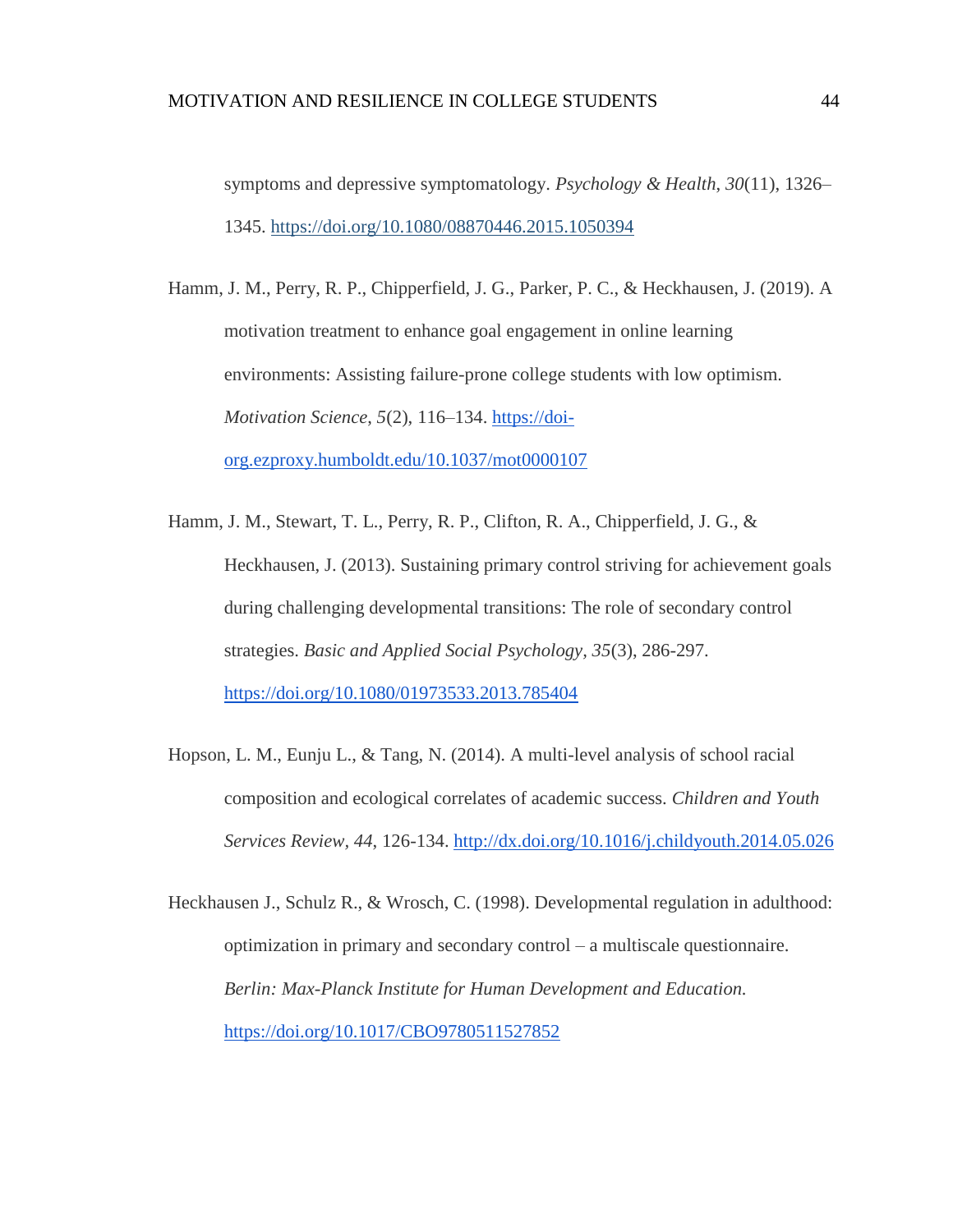symptoms and depressive symptomatology. *Psychology & Health*, *30*(11), 1326– 1345. [https://doi.org/10.1080/08870446.2015.1050394](https://psycnet.apa.org/doi/10.1080/08870446.2015.1050394)

Hamm, J. M., Perry, R. P., Chipperfield, J. G., Parker, P. C., & Heckhausen, J. (2019). A motivation treatment to enhance goal engagement in online learning environments: Assisting failure-prone college students with low optimism. *Motivation Science*, *5*(2), 116–134. [https://doi](https://doi-org.ezproxy.humboldt.edu/10.1037/mot0000107)[org.ezproxy.humboldt.edu/10.1037/mot0000107](https://doi-org.ezproxy.humboldt.edu/10.1037/mot0000107)

Hamm, J. M., Stewart, T. L., Perry, R. P., Clifton, R. A., Chipperfield, J. G., & Heckhausen, J. (2013). Sustaining primary control striving for achievement goals during challenging developmental transitions: The role of secondary control strategies. *Basic and Applied Social Psychology, 35*(3), 286-297. <https://doi.org/10.1080/01973533.2013.785404>

Hopson, L. M., Eunju L., & Tang, N. (2014). A multi-level analysis of school racial composition and ecological correlates of academic success. *Children and Youth Services Review, 44*, 126-134.<http://dx.doi.org/10.1016/j.childyouth.2014.05.026>

Heckhausen J., Schulz R., & Wrosch, C. (1998). Developmental regulation in adulthood: optimization in primary and secondary control – a multiscale questionnaire. *Berlin: Max-Planck Institute for Human Development and Education.* <https://doi.org/10.1017/CBO9780511527852>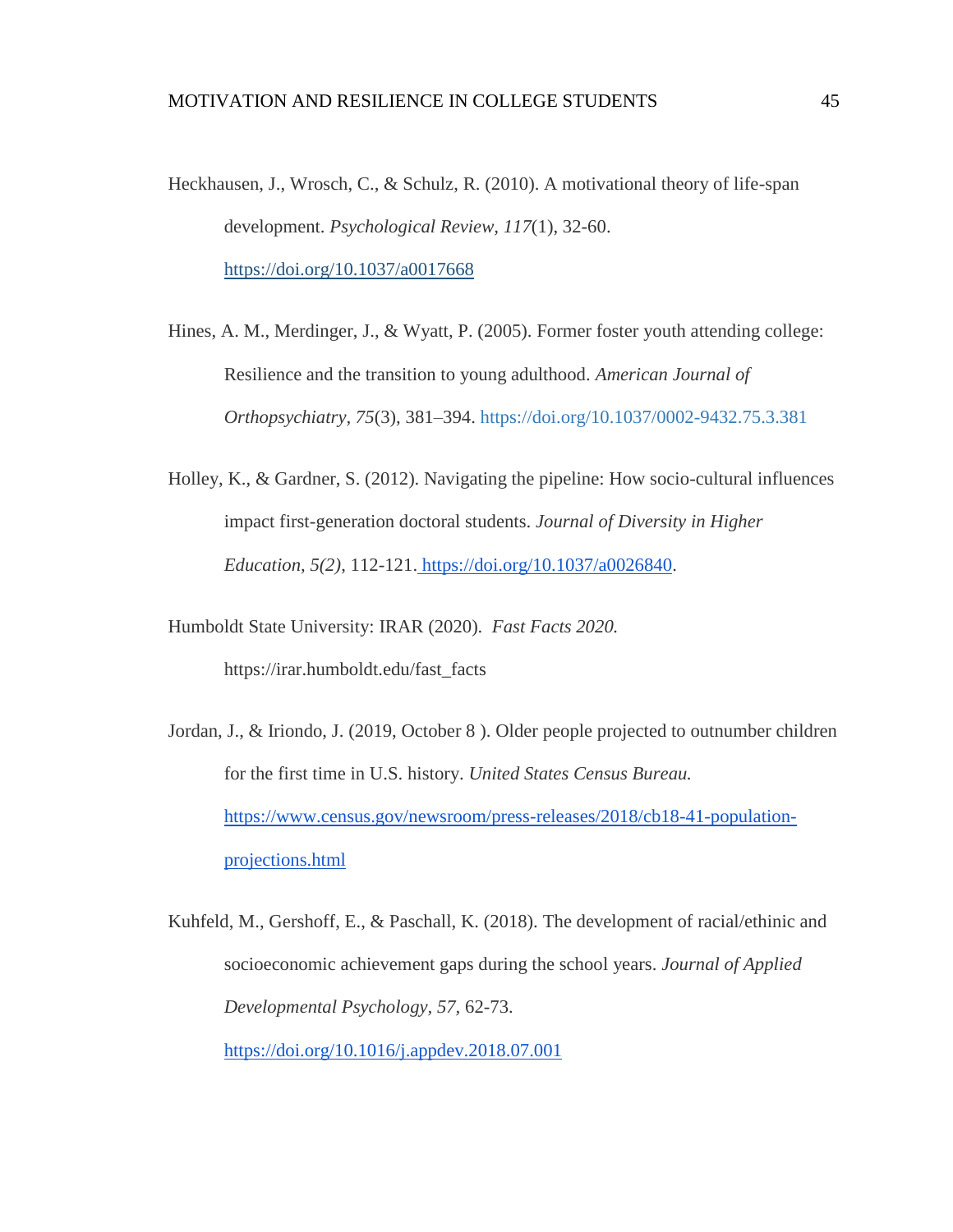- Heckhausen, J., Wrosch, C., & Schulz, R. (2010). A motivational theory of life-span development. *Psychological Review, 117*(1), 32-60. [https://doi.org/10.1037/a0017668](https://psycnet.apa.org/doi/10.1037/a0017668)
- Hines, A. M., Merdinger, J., & Wyatt, P. (2005). Former foster youth attending college: Resilience and the transition to young adulthood. *American Journal of Orthopsychiatry, 75*(3), 381–394. [https://doi.org/10.1037/0002-9432.75.3.381](https://psycnet.apa.org/doi/10.1037/0002-9432.75.3.381)
- Holley, K., & Gardner, S. (2012). Navigating the pipeline: How socio-cultural influences impact first-generation doctoral students. *Journal of Diversity in Higher Education, 5(2)*, 112-121. [https://doi.org/10.1037/a0026840.](https://doi.org/10.1037/a0026840)
- Humboldt State University: IRAR (2020). *Fast Facts 2020.* https://irar.humboldt.edu/fast\_facts
- Jordan, J., & Iriondo, J. (2019, October 8 ). Older people projected to outnumber children for the first time in U.S. history. *United States Census Bureau.*  [https://www.census.gov/newsroom/press-releases/2018/cb18-41-population](https://www.census.gov/newsroom/press-releases/2018/cb18-41-population-projections.html)[projections.html](https://www.census.gov/newsroom/press-releases/2018/cb18-41-population-projections.html)
- Kuhfeld, M., Gershoff, E., & Paschall, K. (2018). The development of racial/ethinic and socioeconomic achievement gaps during the school years. *Journal of Applied Developmental Psychology, 57,* 62-73. <https://doi.org/10.1016/j.appdev.2018.07.001>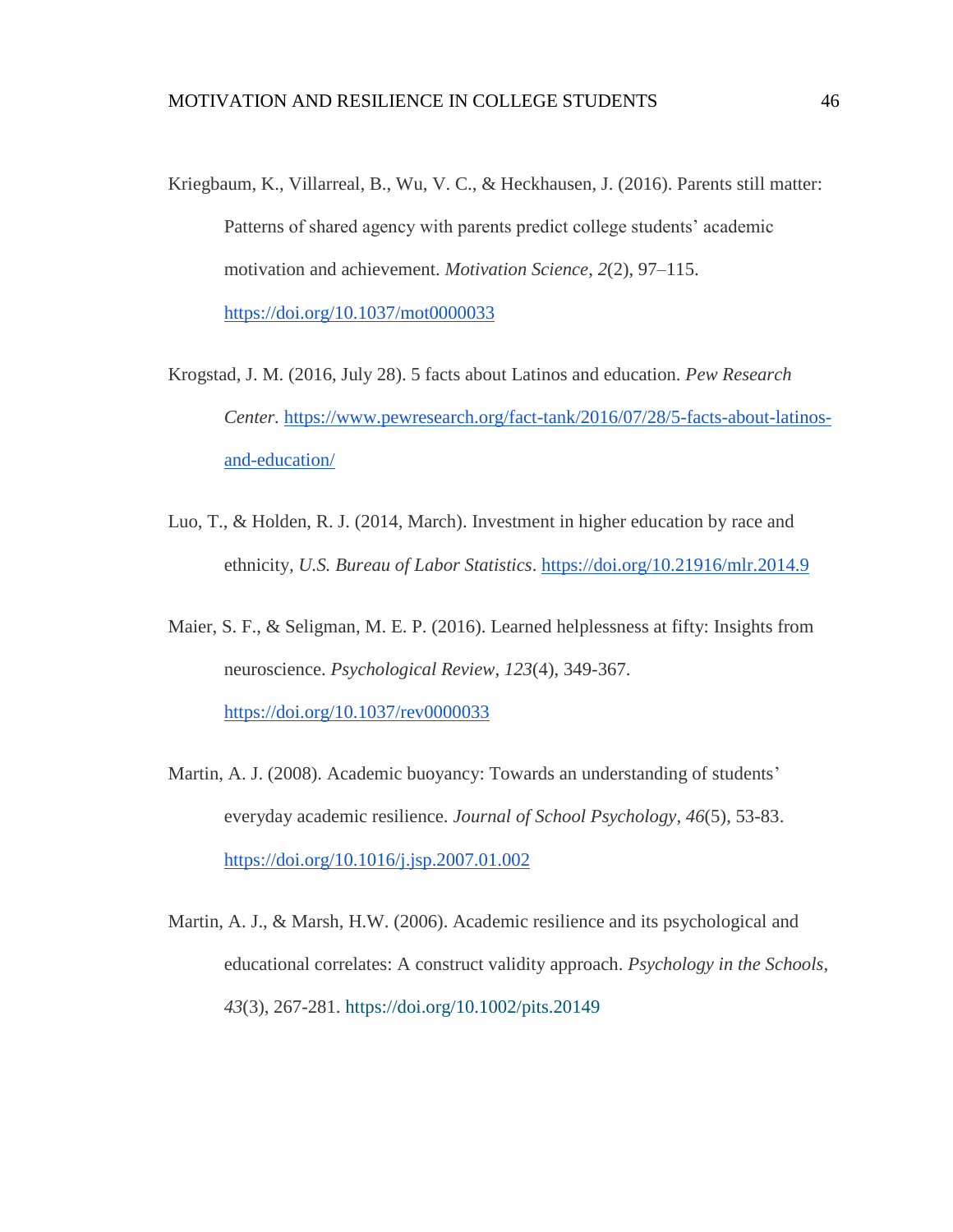- Kriegbaum, K., Villarreal, B., Wu, V. C., & Heckhausen, J. (2016). Parents still matter: Patterns of shared agency with parents predict college students' academic motivation and achievement. *Motivation Science*, *2*(2), 97–115. <https://doi.org/10.1037/mot0000033>
- Krogstad, J. M. (2016, July 28). 5 facts about Latinos and education. *Pew Research Center.* [https://www.pewresearch.org/fact-tank/2016/07/28/5-facts-about-latinos](https://www.pewresearch.org/fact-tank/2016/07/28/5-facts-about-latinos-and-education/)[and-education/](https://www.pewresearch.org/fact-tank/2016/07/28/5-facts-about-latinos-and-education/)
- Luo, T., & Holden, R. J. (2014, March). Investment in higher education by race and ethnicity*, U.S. Bureau of Labor Statistics*.<https://doi.org/10.21916/mlr.2014.9>
- Maier, S. F., & Seligman, M. E. P. (2016). Learned helplessness at fifty: Insights from neuroscience. *Psychological Review*, *123*(4), 349-367. <https://doi.org/10.1037/rev0000033>
- Martin, A. J. (2008). Academic buoyancy: Towards an understanding of students' everyday academic resilience. *Journal of School Psychology, 46*(5), 53-83[.](https://doi.org/10.1177/0143034312472759) [https://doi.org/10.1016/j.jsp.2007.01.002](https://doi.org/10.1177/0143034312472759)
- Martin, A. J., & Marsh, H.W. (2006). Academic resilience and its psychological and educational correlates: A construct validity approach. *Psychology in the Schools*, *43*(3), 267-281.<https://doi.org/10.1002/pits.20149>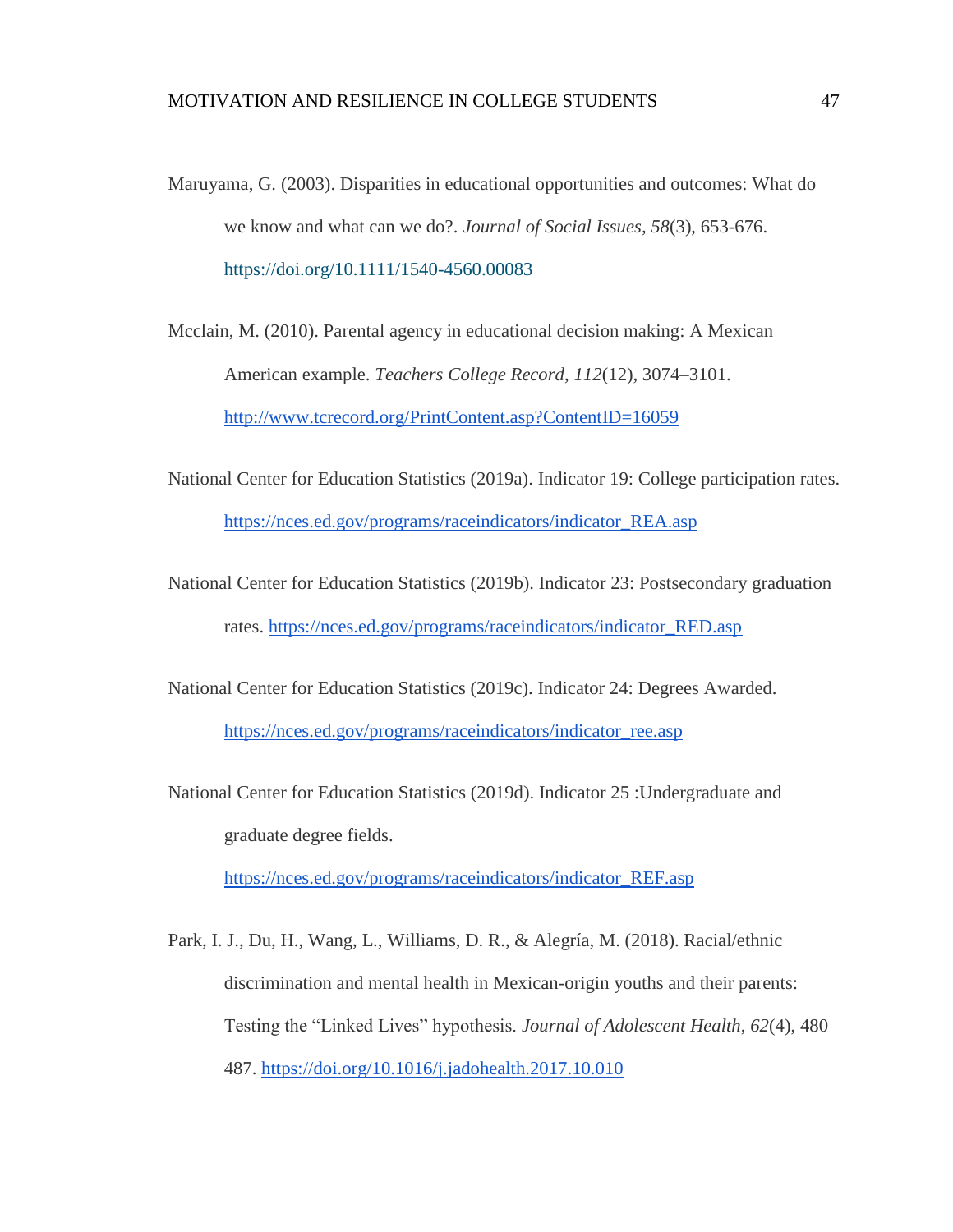Maruyama, G. (2003). Disparities in educational opportunities and outcomes: What do we know and what can we do?. *Journal of Social Issues, 58*(3), 653-676. <https://doi.org/10.1111/1540-4560.00083>

Mcclain, M. (2010). Parental agency in educational decision making: A Mexican American example. *Teachers College Record*, *112*(12), 3074–3101. <http://www.tcrecord.org/PrintContent.asp?ContentID=16059>

- National Center for Education Statistics (2019a). Indicator 19: College participation rates. [https://nces.ed.gov/programs/raceindicators/indicator\\_REA.asp](https://nces.ed.gov/programs/raceindicators/indicator_REA.asp)
- National Center for Education Statistics (2019b). Indicator 23: Postsecondary graduation rates. [https://nces.ed.gov/programs/raceindicators/indicator\\_RED.asp](https://nces.ed.gov/programs/raceindicators/indicator_RED.asp)
- National Center for Education Statistics (2019c). Indicator 24: Degrees Awarded. [https://nces.ed.gov/programs/raceindicators/indicator\\_ree.asp](https://nces.ed.gov/programs/raceindicators/indicator_ree.asp#:~:text=At%20the%20bachelor)
- National Center for Education Statistics (2019d). Indicator 25 :Undergraduate and graduate degree fields.

[https://nces.ed.gov/programs/raceindicators/indicator\\_REF.asp](https://nces.ed.gov/programs/raceindicators/indicator_REF.asp)

Park, I. J., Du, H., Wang, L., Williams, D. R., & Alegría, M. (2018). Racial/ethnic discrimination and mental health in Mexican-origin youths and their parents: Testing the "Linked Lives" hypothesis. *Journal of Adolescent Health*, *62*(4), 480– 487. [https://doi.org/10.1016/j.jadohealth.2017.10.010](https://dx.doi.org/10.1016%2Fj.jadohealth.2017.10.010)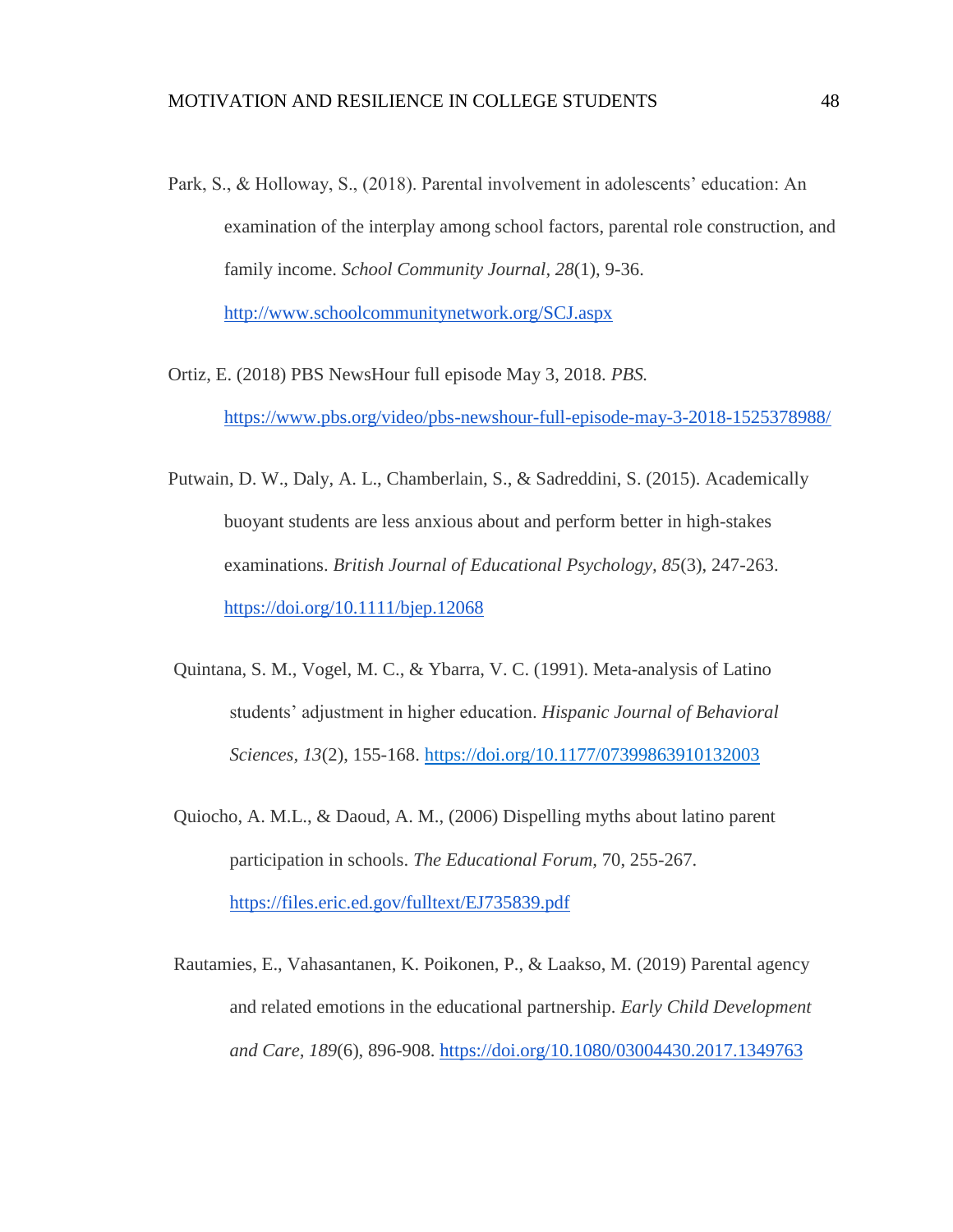- Park, S., & Holloway, S., (2018). Parental involvement in adolescents' education: An examination of the interplay among school factors, parental role construction, and family income. *School Community Journal, 28*(1), 9-36. <http://www.schoolcommunitynetwork.org/SCJ.aspx>
- Ortiz, E. (2018) PBS NewsHour full episode May 3, 2018. *PBS.* <https://www.pbs.org/video/pbs-newshour-full-episode-may-3-2018-1525378988/>
- Putwain, D. W., Daly, A. L., Chamberlain, S., & Sadreddini, S. (2015). Academically buoyant students are less anxious about and perform better in high-stakes examinations. *British Journal of Educational Psychology, 85*(3), 247-263. <https://doi.org/10.1111/bjep.12068>
- Quintana, S. M., Vogel, M. C., & Ybarra, V. C. (1991). Meta-analysis of Latino students' adjustment in higher education. *Hispanic Journal of Behavioral Sciences, 13*(2), 155-168. [https://doi.org/10.1177/07399863910132003](https://doi.org/10.1177%2F07399863910132003)
- Quiocho, A. M.L., & Daoud, A. M., (2006) Dispelling myths about latino parent participation in schools. *The Educational Forum,* 70, 255-267. <https://files.eric.ed.gov/fulltext/EJ735839.pdf>
- Rautamies, E., Vahasantanen, K. Poikonen, P., & Laakso, M. (2019) Parental agency and related emotions in the educational partnership. *Early Child Development and Care, 189*(6), 896-908.<https://doi.org/10.1080/03004430.2017.1349763>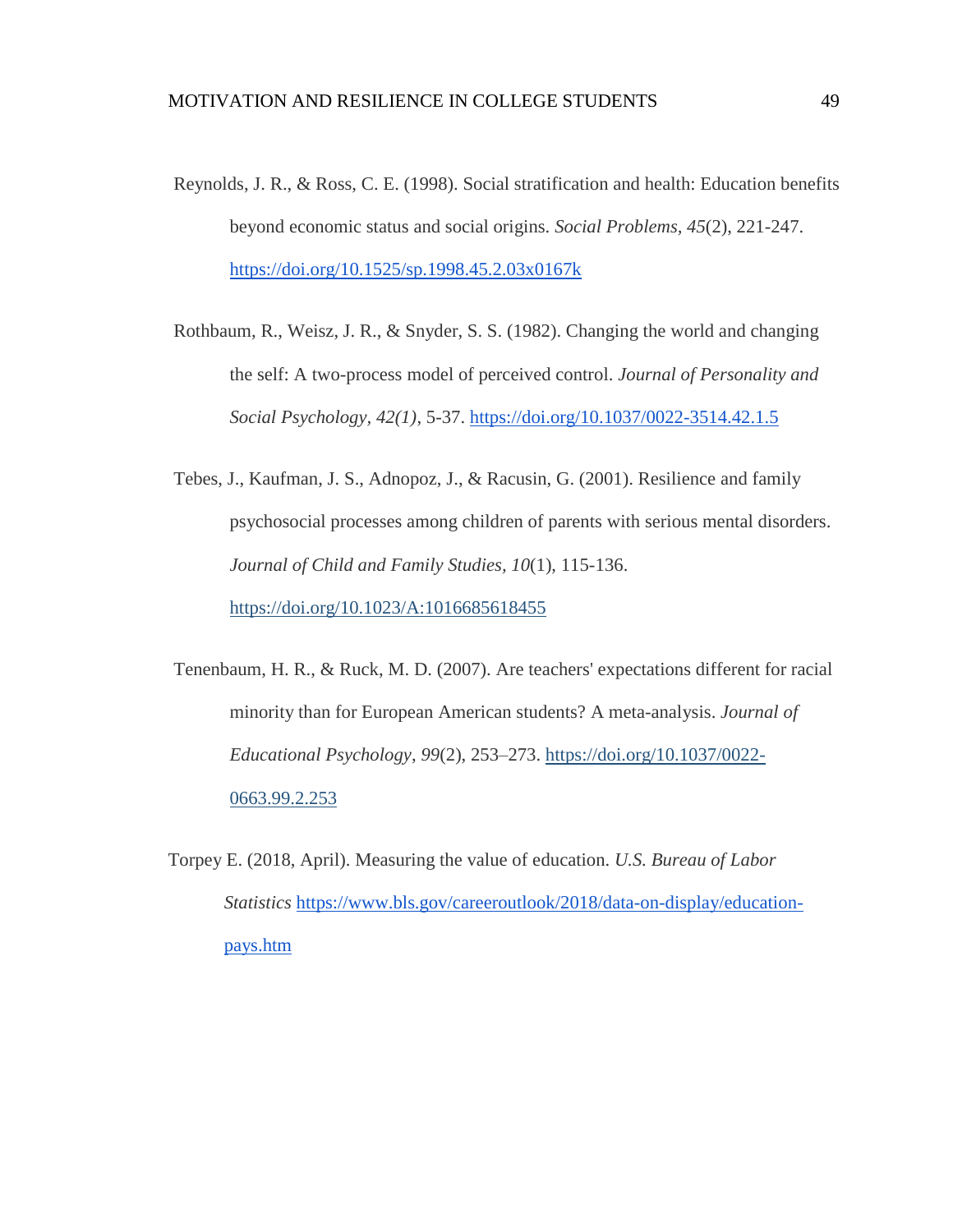- Reynolds, J. R., & Ross, C. E. (1998). Social stratification and health: Education benefits beyond economic status and social origins. *Social Problems, 45*(2), 221-247. <https://doi.org/10.1525/sp.1998.45.2.03x0167k>
- Rothbaum, R., Weisz, J. R., & Snyder, S. S. (1982). Changing the world and changing the self: A two-process model of perceived control. *Journal of Personality and Social Psychology, 42(1)*, 5-37.<https://doi.org/10.1037/0022-3514.42.1.5>
- Tebes, J., Kaufman, J. S., Adnopoz, J., & Racusin, G. (2001). Resilience and family psychosocial processes among children of parents with serious mental disorders. *Journal of Child and Family Studies, 10*(1), 115-136. [https://doi.org/10.1023/A:1016685618455](https://psycnet.apa.org/doi/10.1023/A:1016685618455)
- Tenenbaum, H. R., & Ruck, M. D. (2007). Are teachers' expectations different for racial minority than for European American students? A meta-analysis. *Journal of Educational Psychology*, *99*(2), 253–273. [https://doi.org/10.1037/0022-](https://psycnet.apa.org/doi/10.1037/0022-0663.99.2.253) [0663.99.2.253](https://psycnet.apa.org/doi/10.1037/0022-0663.99.2.253)
- Torpey E. (2018, April). Measuring the value of education. *U.S. Bureau of Labor Statistics* [https://www.bls.gov/careeroutlook/2018/data-on-display/education](https://www.bls.gov/careeroutlook/2018/data-on-display/education-pays.htm)[pays.htm](https://www.bls.gov/careeroutlook/2018/data-on-display/education-pays.htm)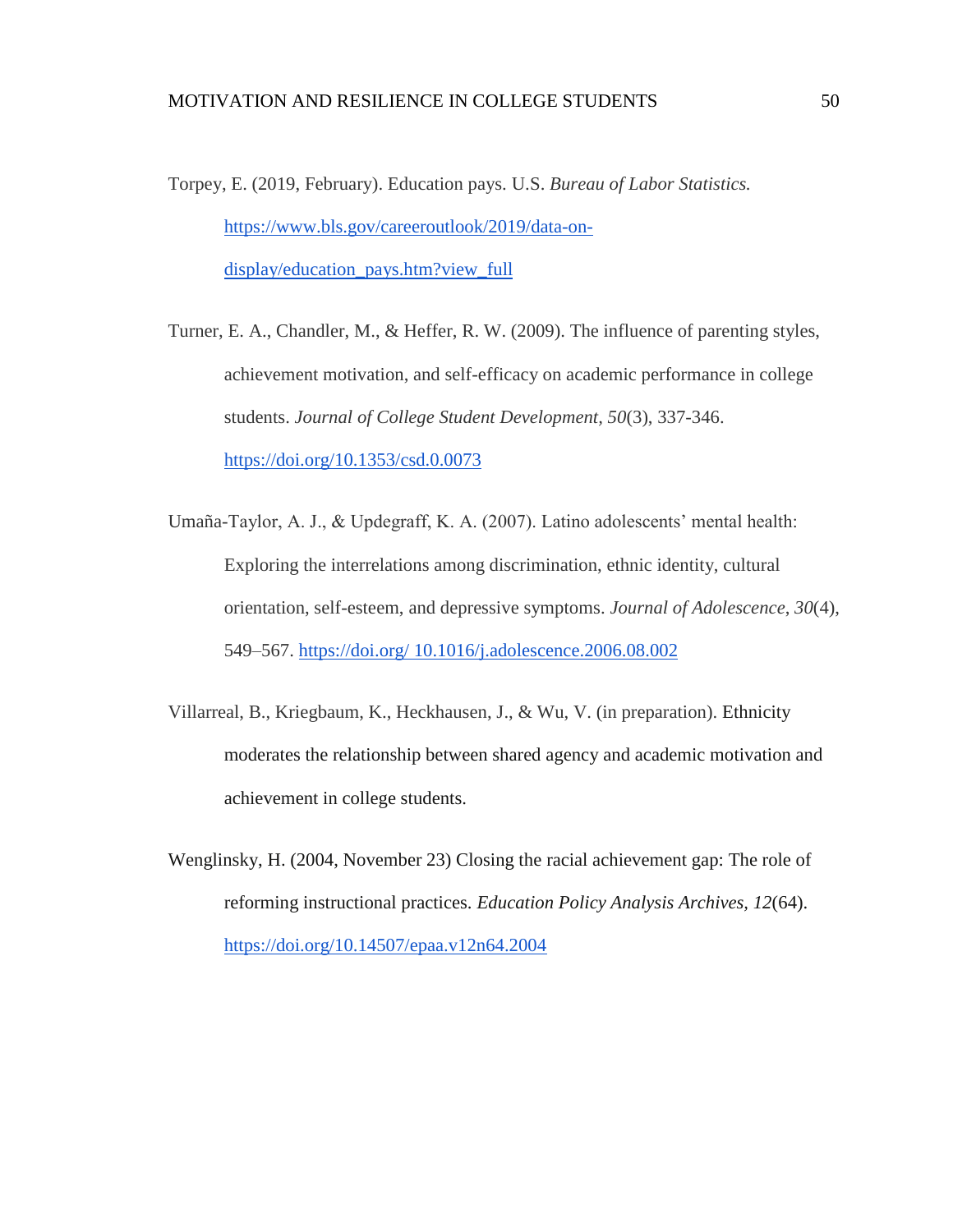- Torpey, E. (2019, February). Education pays. U.S. *Bureau of Labor Statistics.*  [https://www.bls.gov/careeroutlook/2019/data-on](https://www.bls.gov/careeroutlook/2019/data-on-display/education_pays.htm?view_full)[display/education\\_pays.htm?view\\_full](https://www.bls.gov/careeroutlook/2019/data-on-display/education_pays.htm?view_full)
- Turner, E. A., Chandler, M., & Heffer, R. W. (2009). The influence of parenting styles, achievement motivation, and self-efficacy on academic performance in college students. *Journal of College Student Development, 50*(3), 337-346. <https://doi.org/10.1353/csd.0.0073>
- Umaña-Taylor, A. J., & Updegraff, K. A. (2007). Latino adolescents' mental health: Exploring the interrelations among discrimination, ethnic identity, cultural orientation, self-esteem, and depressive symptoms. *Journal of Adolescence*, *30*(4), 549–567. [https://doi.org/ 10.1016/j.adolescence.2006.08.002](https://doi.org/)
- Villarreal, B., Kriegbaum, K., Heckhausen, J., & Wu, V. (in preparation). Ethnicity moderates the relationship between shared agency and academic motivation and achievement in college students.
- Wenglinsky, H. (2004, November 23) Closing the racial achievement gap: The role of reforming instructional practices. *Education Policy Analysis Archives, 12*(64). <https://doi.org/10.14507/epaa.v12n64.2004>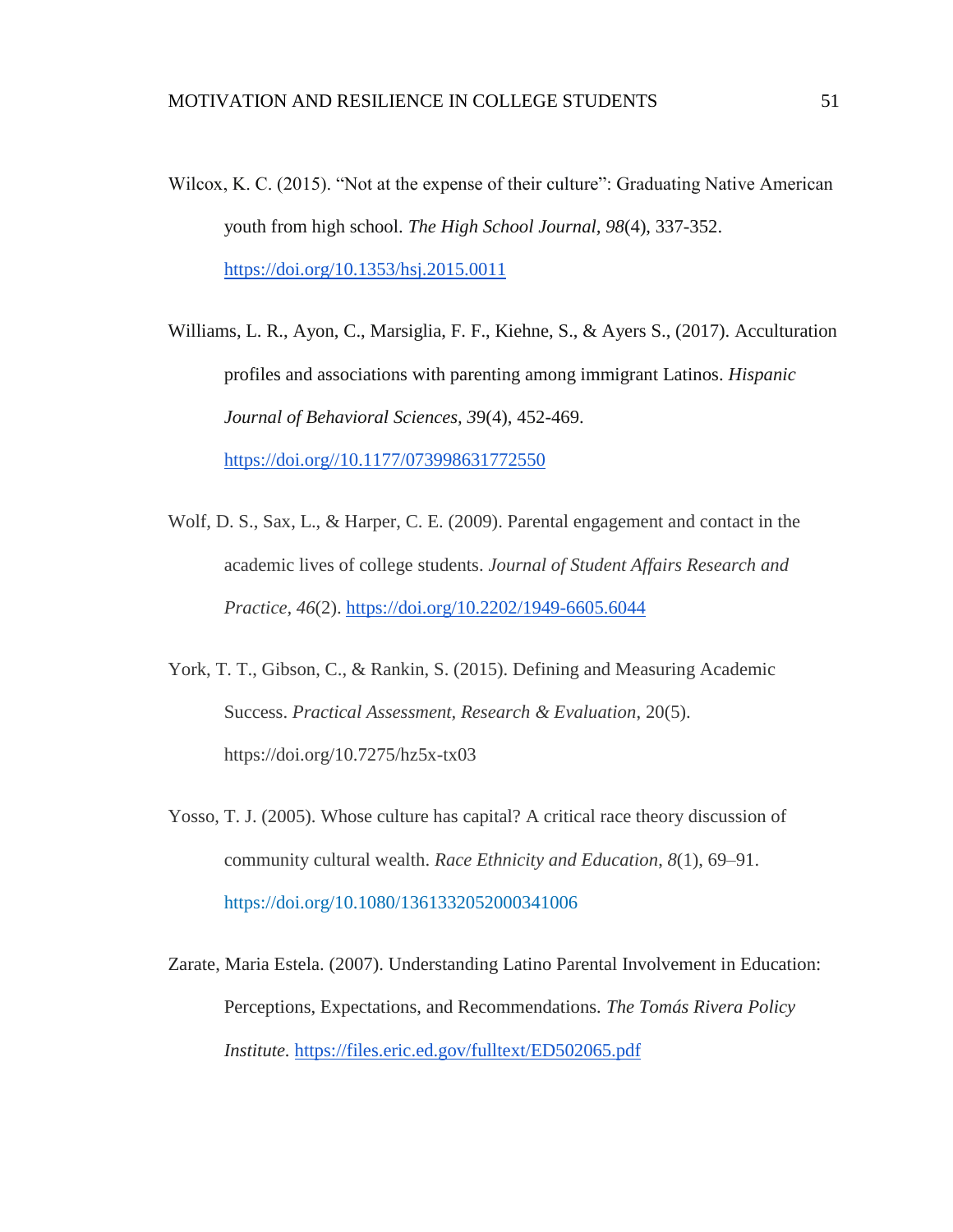Wilcox, K. C. (2015). "Not at the expense of their culture": Graduating Native American youth from high school. *The High School Journal, 98*(4), 337-352. [https://doi.org/10.1353/hsj.2015.0011](https://doi.org/10.1353/hsj.2015.001)

Williams, L. R., Ayon, C., Marsiglia, F. F., Kiehne, S., & Ayers S., (2017). Acculturation profiles and associations with parenting among immigrant Latinos. *Hispanic Journal of Behavioral Sciences, 3*9(4), 452-469. [https://doi.org//10.1177/073998631772550](https://doi.org/10.1177/073998631772550)

- Wolf, D. S., Sax, L., & Harper, C. E. (2009). Parental engagement and contact in the academic lives of college students. *Journal of Student Affairs Research and Practice, 46*(2).<https://doi.org/10.2202/1949-6605.6044>
- York, T. T., Gibson, C., & Rankin, S. (2015). Defining and Measuring Academic Success. *Practical Assessment, Research & Evaluation*, 20(5). https://doi.org/10.7275/hz5x-tx03
- Yosso, T. J. (2005). Whose culture has capital? A critical race theory discussion of community cultural wealth. *Race Ethnicity and Education*, *8*(1), 69–91. <https://doi.org/10.1080/1361332052000341006>
- Zarate, Maria Estela. (2007). Understanding Latino Parental Involvement in Education: Perceptions, Expectations, and Recommendations*. The Tomás Rivera Policy Institute.* <https://files.eric.ed.gov/fulltext/ED502065.pdf>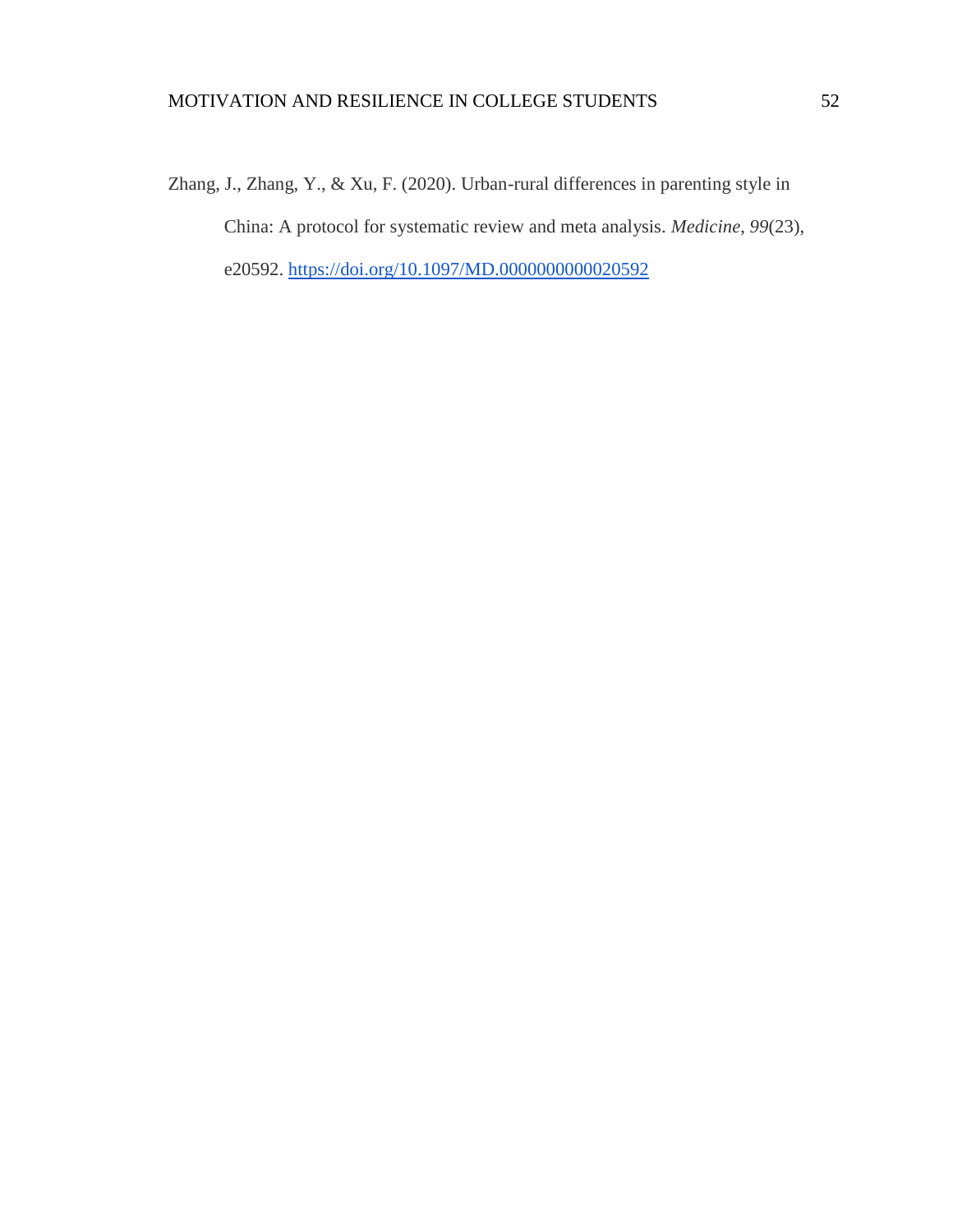### MOTIVATION AND RESILIENCE IN COLLEGE STUDENTS 52

Zhang, J., Zhang, Y., & Xu, F. (2020). Urban-rural differences in parenting style in China: A protocol for systematic review and meta analysis. *Medicine*, *99*(23), e20592.<https://doi.org/10.1097/MD.0000000000020592>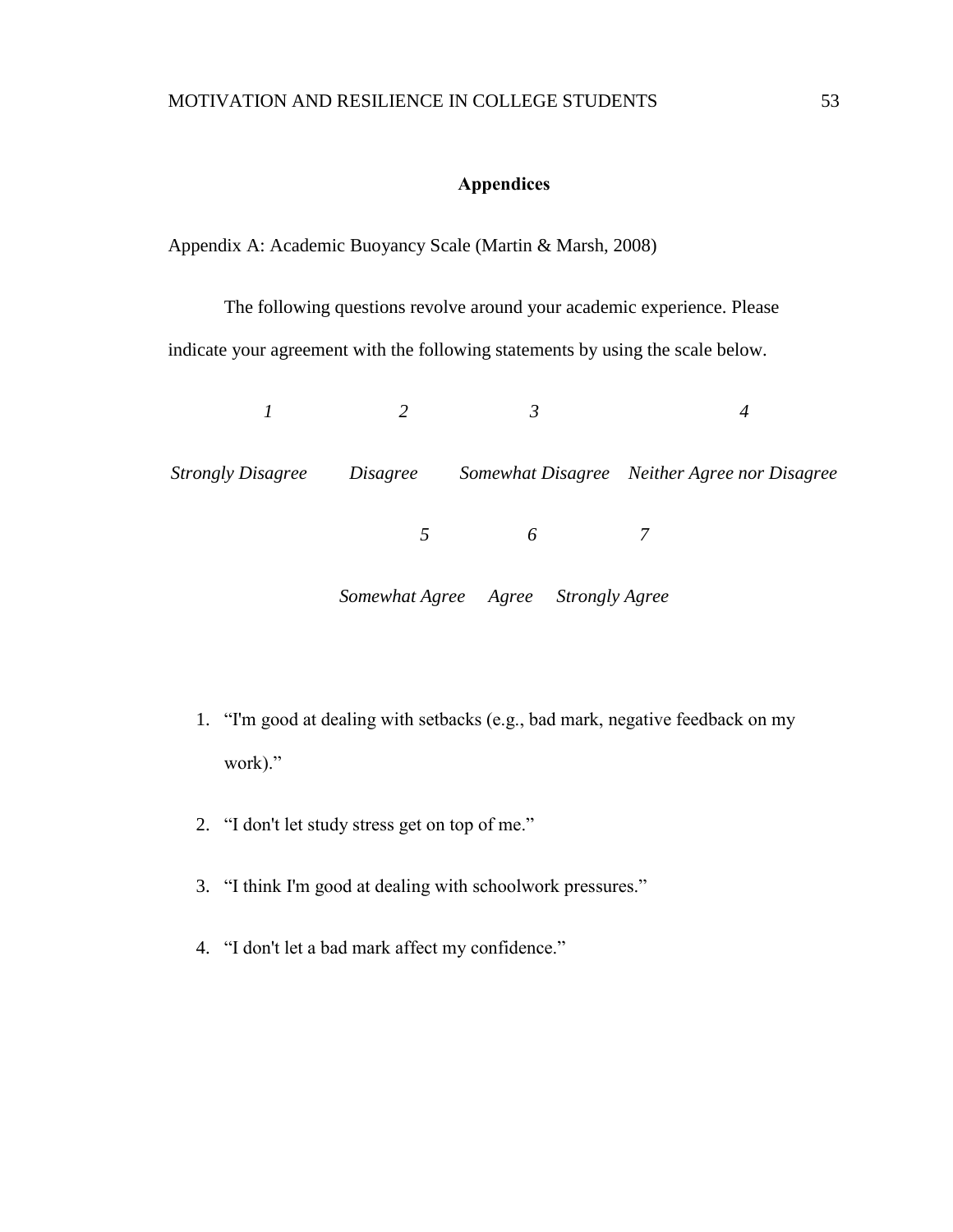## **Appendices**

<span id="page-59-1"></span><span id="page-59-0"></span>Appendix A: Academic Buoyancy Scale (Martin & Marsh, 2008)

The following questions revolve around your academic experience. Please indicate your agreement with the following statements by using the scale below.

|                          | $\mathcal{D}$   |                                     |                                              |
|--------------------------|-----------------|-------------------------------------|----------------------------------------------|
| <b>Strongly Disagree</b> | <i>Disagree</i> |                                     | Somewhat Disagree Neither Agree nor Disagree |
|                          | $\sqrt{2}$      | $\overline{6}$                      |                                              |
|                          |                 | Somewhat Agree Agree Strongly Agree |                                              |

- 1. "I'm good at dealing with setbacks (e.g., bad mark, negative feedback on my work)."
- 2. "I don't let study stress get on top of me."
- 3. "I think I'm good at dealing with schoolwork pressures."
- <span id="page-59-2"></span>4. "I don't let a bad mark affect my confidence."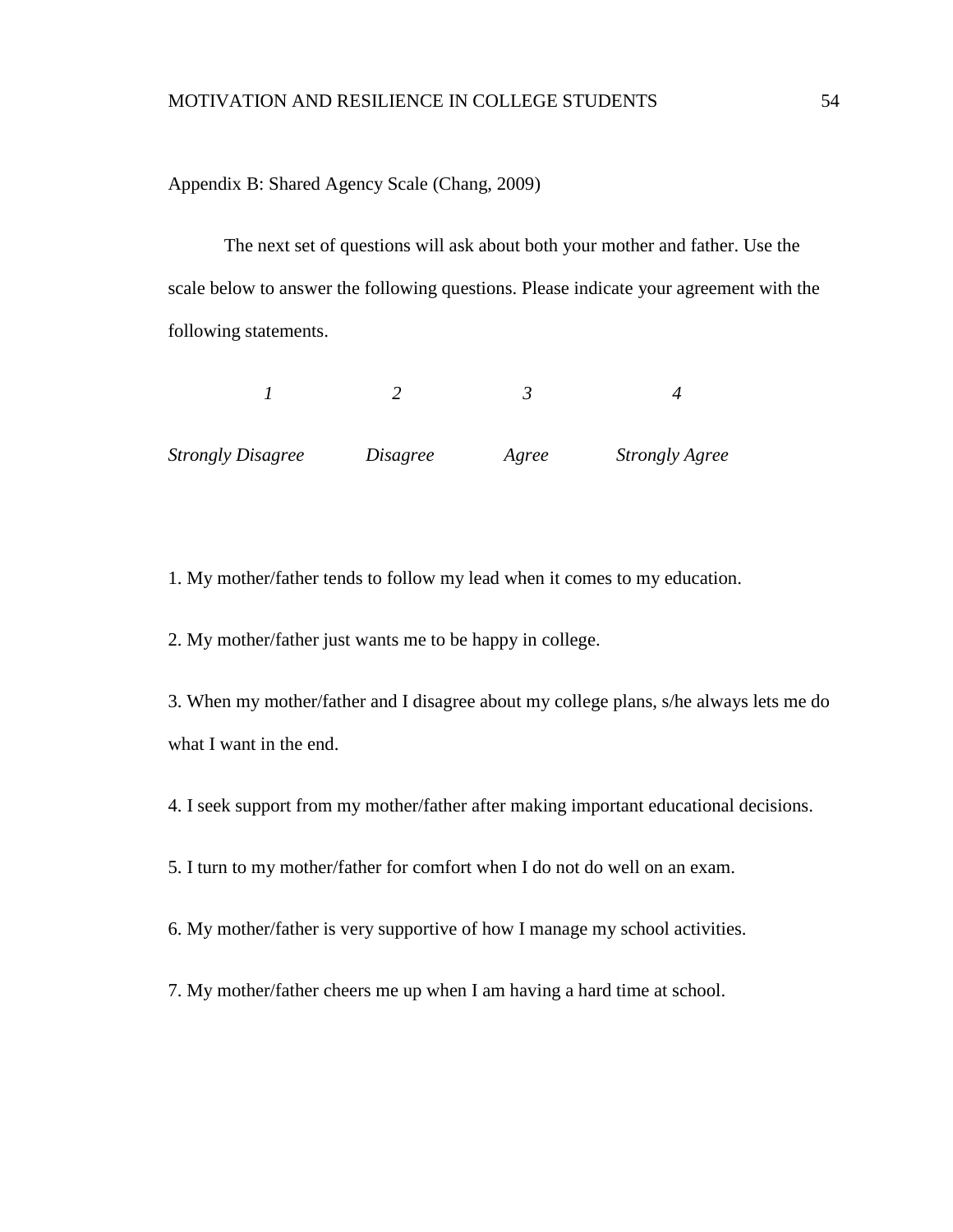Appendix B: Shared Agency Scale (Chang, 2009)

The next set of questions will ask about both your mother and father. Use the scale below to answer the following questions. Please indicate your agreement with the following statements.

| <b>Strongly Disagree</b> | Disagree | Agree | <b>Strongly Agree</b> |
|--------------------------|----------|-------|-----------------------|

1. My mother/father tends to follow my lead when it comes to my education.

2. My mother/father just wants me to be happy in college.

3. When my mother/father and I disagree about my college plans, s/he always lets me do what I want in the end.

4. I seek support from my mother/father after making important educational decisions.

5. I turn to my mother/father for comfort when I do not do well on an exam.

6. My mother/father is very supportive of how I manage my school activities.

7. My mother/father cheers me up when I am having a hard time at school.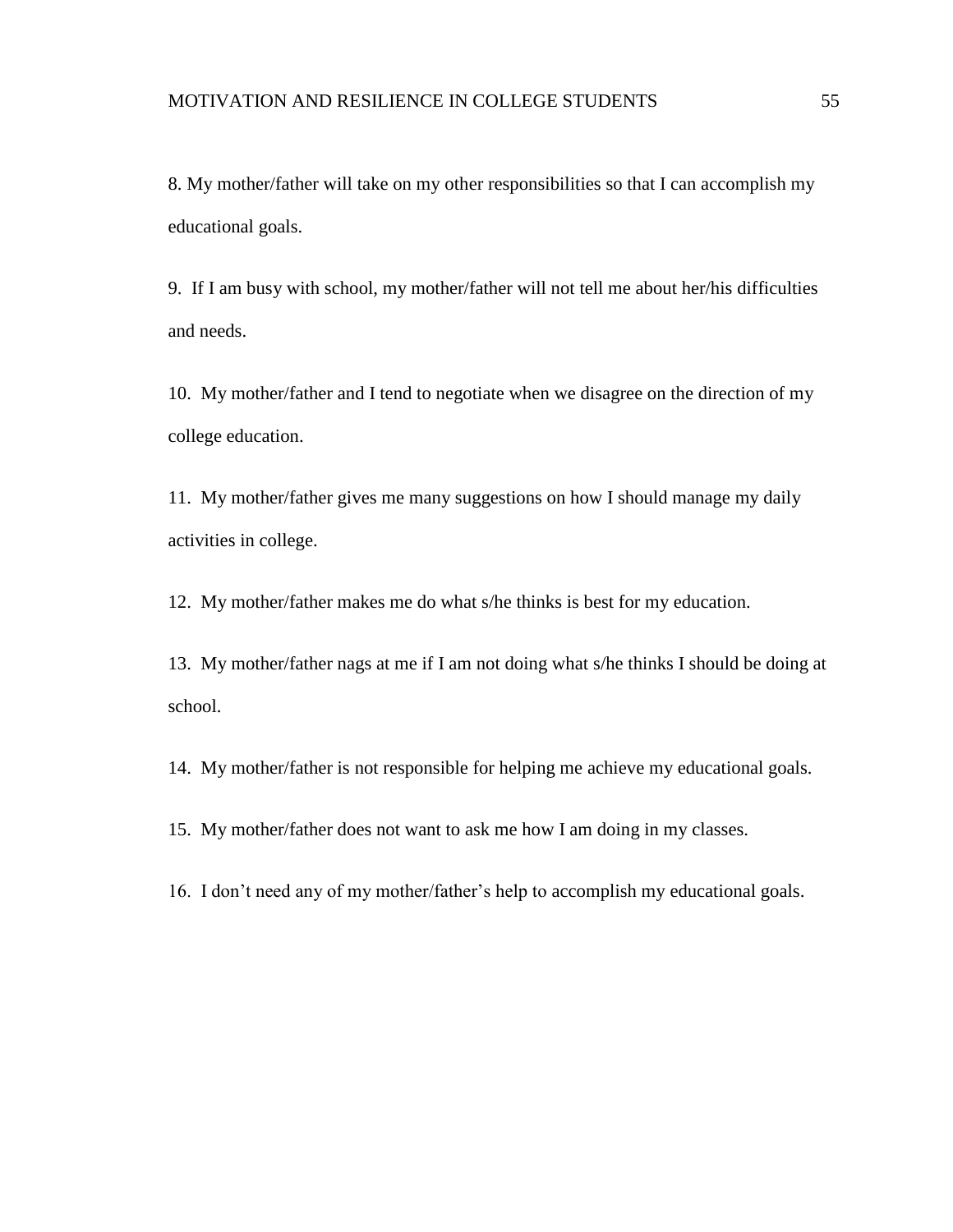8. My mother/father will take on my other responsibilities so that I can accomplish my educational goals.

9. If I am busy with school, my mother/father will not tell me about her/his difficulties and needs.

10. My mother/father and I tend to negotiate when we disagree on the direction of my college education.

11. My mother/father gives me many suggestions on how I should manage my daily activities in college.

12. My mother/father makes me do what s/he thinks is best for my education.

13. My mother/father nags at me if I am not doing what s/he thinks I should be doing at school.

14. My mother/father is not responsible for helping me achieve my educational goals.

15. My mother/father does not want to ask me how I am doing in my classes.

16. I don't need any of my mother/father's help to accomplish my educational goals.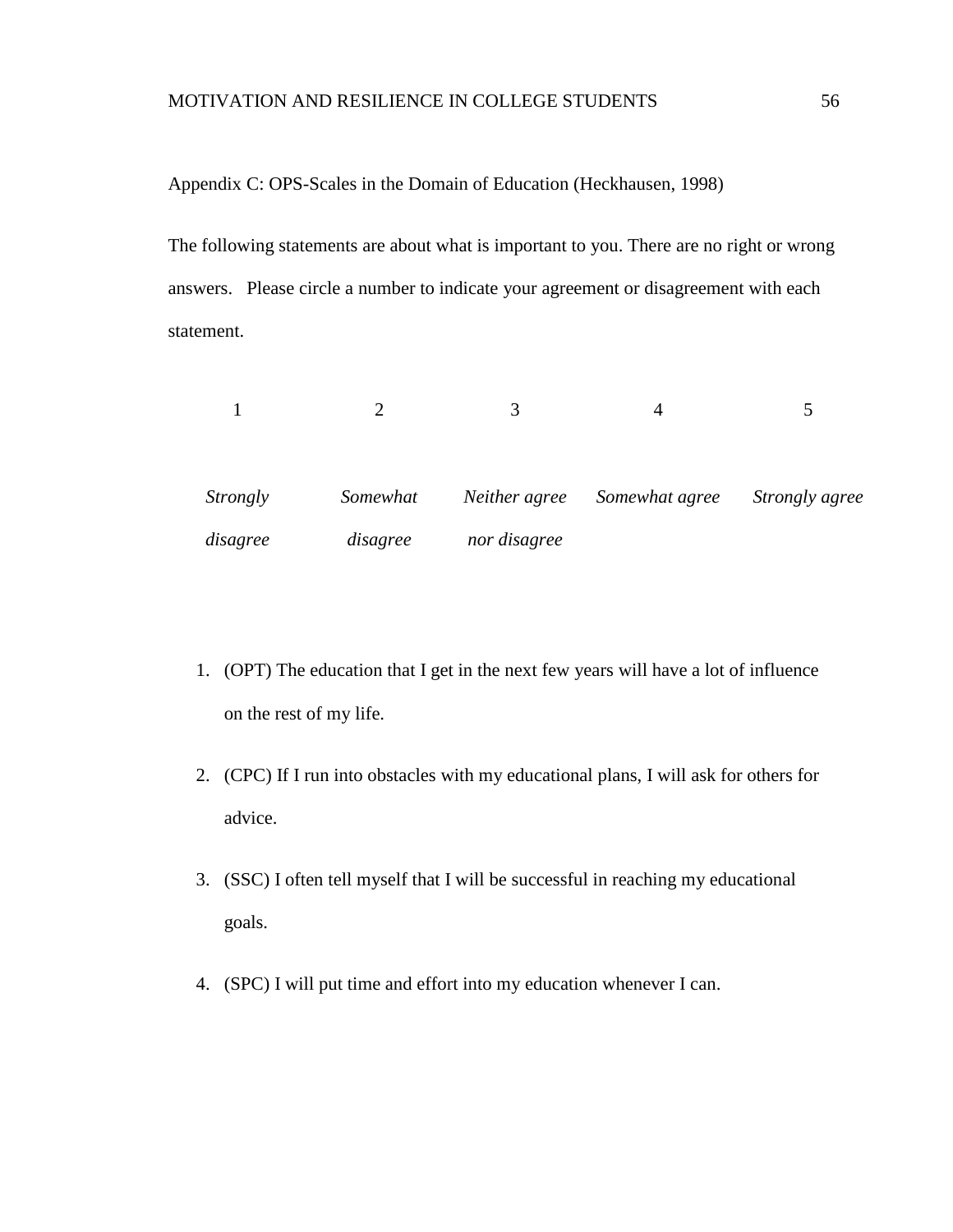<span id="page-62-0"></span>Appendix C: OPS-Scales in the Domain of Education (Heckhausen, 1998)

The following statements are about what is important to you. There are no right or wrong answers. Please circle a number to indicate your agreement or disagreement with each statement.

| <i>Strongly</i> | Somewhat | Neither agree | Somewhat agree | Strongly agree |
|-----------------|----------|---------------|----------------|----------------|
| disagree        | disagree | nor disagree  |                |                |

- 1. (OPT) The education that I get in the next few years will have a lot of influence on the rest of my life.
- 2. (CPC) If I run into obstacles with my educational plans, I will ask for others for advice.
- 3. (SSC) I often tell myself that I will be successful in reaching my educational goals.
- 4. (SPC) I will put time and effort into my education whenever I can.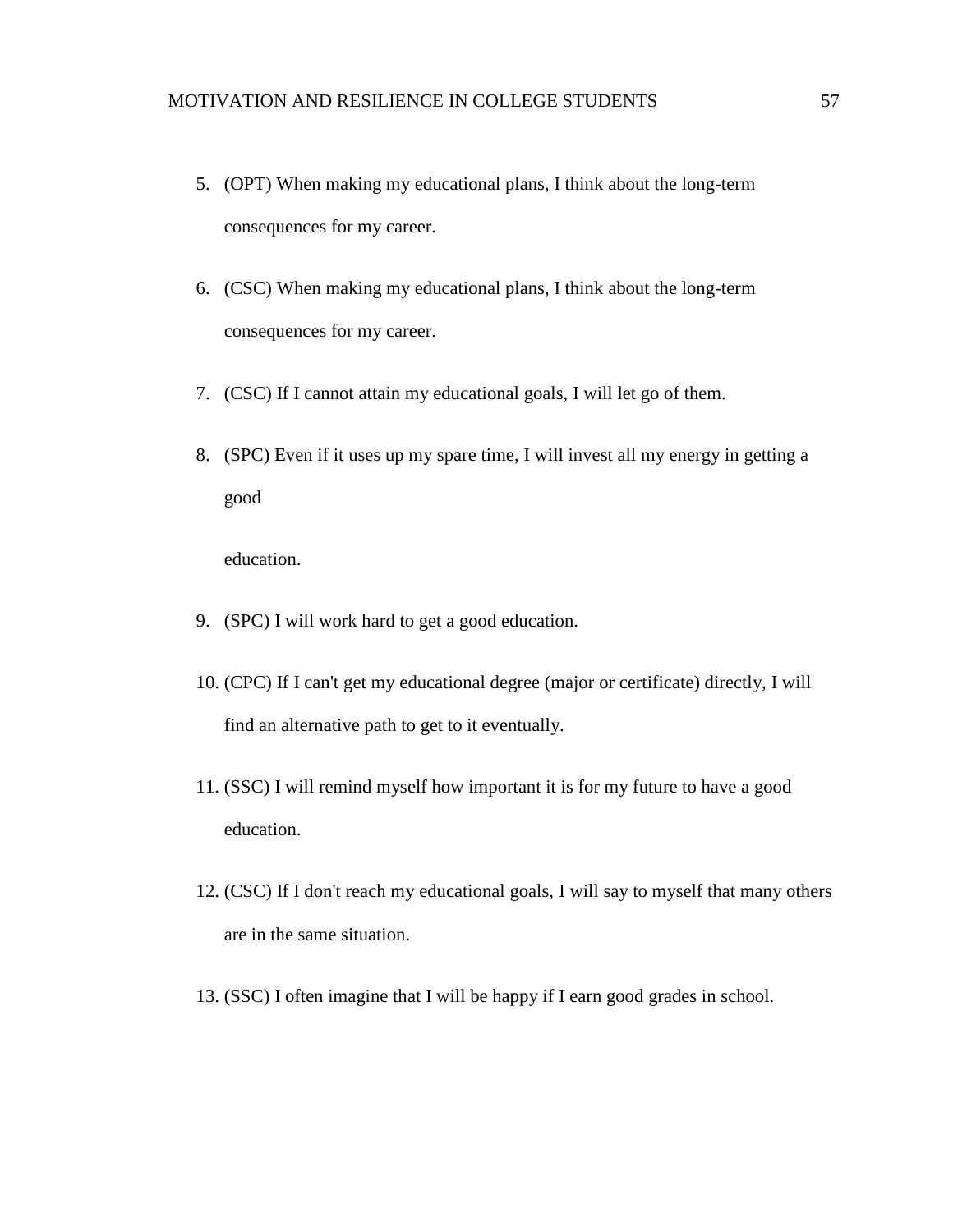- 5. (OPT) When making my educational plans, I think about the long-term consequences for my career.
- 6. (CSC) When making my educational plans, I think about the long-term consequences for my career.
- 7. (CSC) If I cannot attain my educational goals, I will let go of them.
- 8. (SPC) Even if it uses up my spare time, I will invest all my energy in getting a good

education.

- 9. (SPC) I will work hard to get a good education.
- 10. (CPC) If I can't get my educational degree (major or certificate) directly, I will find an alternative path to get to it eventually.
- 11. (SSC) I will remind myself how important it is for my future to have a good education.
- 12. (CSC) If I don't reach my educational goals, I will say to myself that many others are in the same situation.
- 13. (SSC) I often imagine that I will be happy if I earn good grades in school.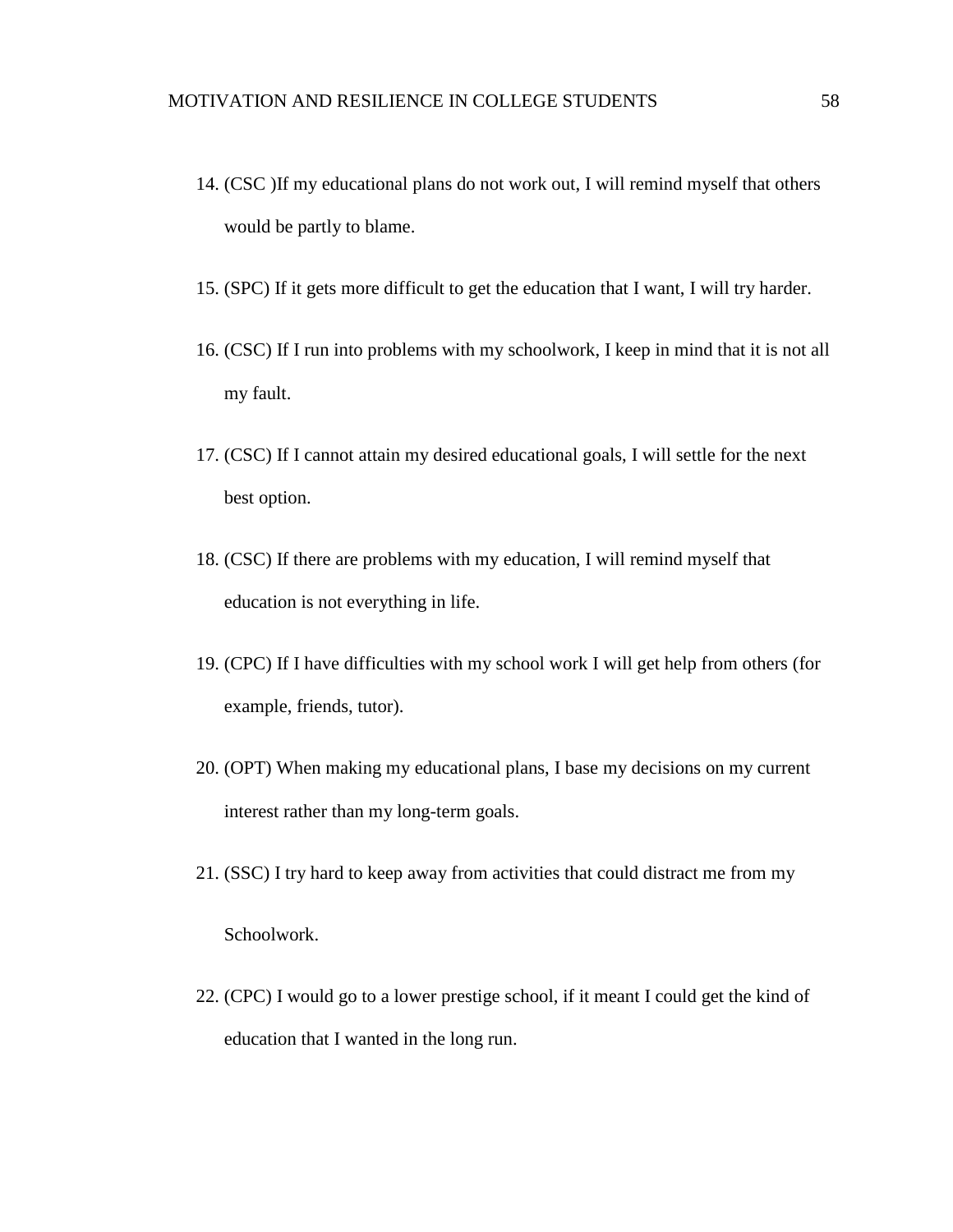- 14. (CSC )If my educational plans do not work out, I will remind myself that others would be partly to blame.
- 15. (SPC) If it gets more difficult to get the education that I want, I will try harder.
- 16. (CSC) If I run into problems with my schoolwork, I keep in mind that it is not all my fault.
- 17. (CSC) If I cannot attain my desired educational goals, I will settle for the next best option.
- 18. (CSC) If there are problems with my education, I will remind myself that education is not everything in life.
- 19. (CPC) If I have difficulties with my school work I will get help from others (for example, friends, tutor).
- 20. (OPT) When making my educational plans, I base my decisions on my current interest rather than my long-term goals.
- 21. (SSC) I try hard to keep away from activities that could distract me from my Schoolwork.
- 22. (CPC) I would go to a lower prestige school, if it meant I could get the kind of education that I wanted in the long run.